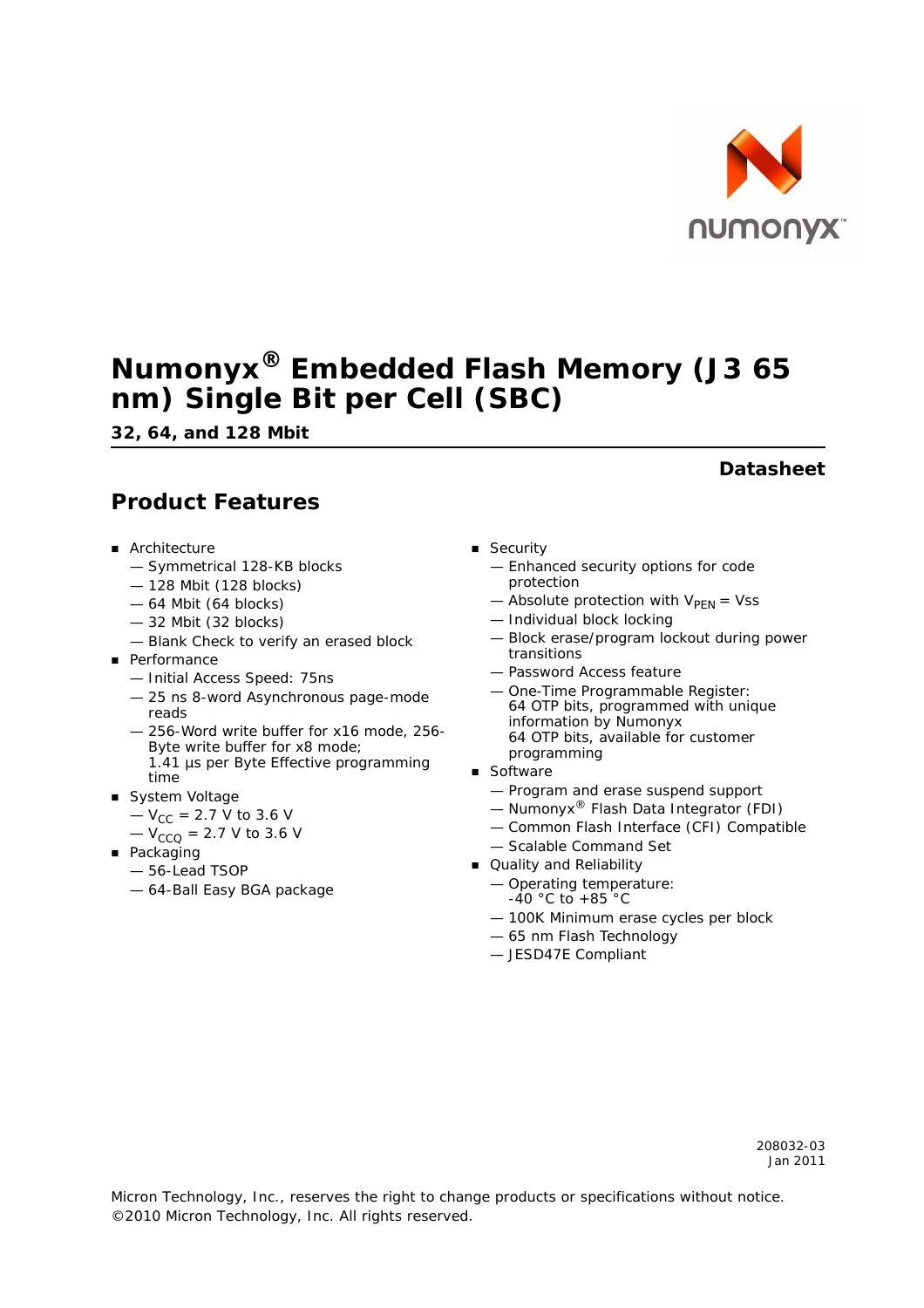

# **Numonyx® Embedded Flash Memory (J3 65 nm) Single Bit per Cell (SBC)**

*32, 64, and 128 Mbit*

## **Product Features**

- **Architecture** 
	- Symmetrical 128-KB blocks
	- 128 Mbit (128 blocks)
	- 64 Mbit (64 blocks)
	- 32 Mbit (32 blocks)
	- Blank Check to verify an erased block
- **Performance** 
	- Initial Access Speed: 75ns
	- 25 ns 8-word Asynchronous page-mode reads
	- 256-Word write buffer for x16 mode, 256- Byte write buffer for x8 mode; 1.41 µs per Byte Effective programming time
- System Voltage
	- $-V_{CC}$  = 2.7 V to 3.6 V
	- $-V_{CCO}$  = 2.7 V to 3.6 V
- **Packaging** 
	- 56-Lead TSOP
	- 64-Ball Easy BGA package
- **B** Security
	- Enhanced security options for code protection
	- Absolute protection with  $V_{\text{PEN}} = Vss$
	- Individual block locking
	- Block erase/program lockout during power transitions
	- Password Access feature
	- One-Time Programmable Register: 64 OTP bits, programmed with unique information by Numonyx 64 OTP bits, available for customer programming
- **Software** 
	- Program and erase suspend support
	- $-$  Numonyx<sup>®</sup> Flash Data Integrator (FDI)
	- Common Flash Interface (CFI) Compatible
	- Scalable Command Set
- Quality and Reliability
	- Operating temperature:  $-40$  °C to  $+85$  °C
	- 100K Minimum erase cycles per block
	- 65 nm Flash Technology
	- JESD47E Compliant

### **Datasheet**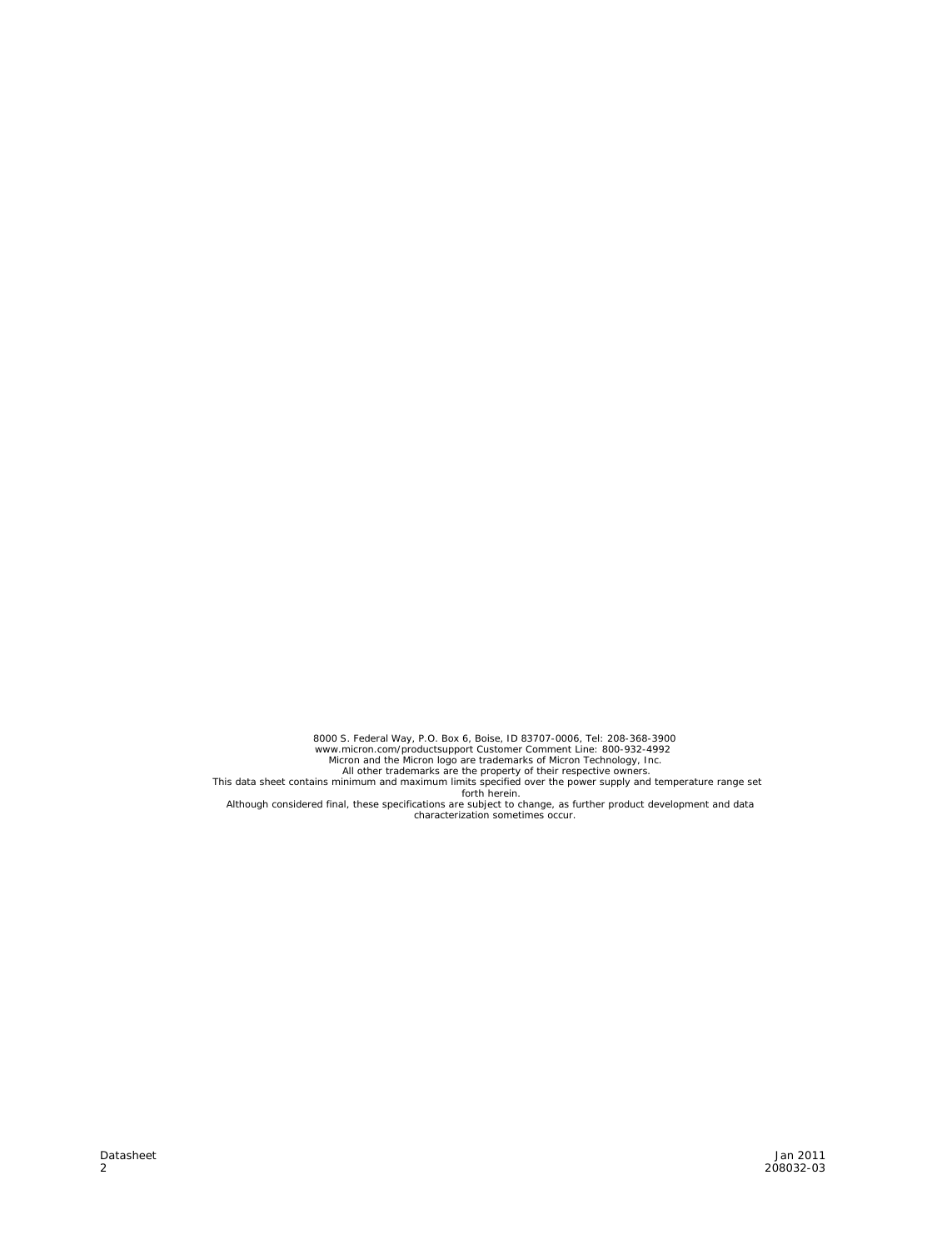8000 S. Federal Way, P.O. Box 6, Boise, ID 83707-0006, Tel: 208-368-3900<br>
www.micron.com/productsupport Customer Comment Line: 800-932-4992<br>
Micron and the Micron logo are trademarks of Micron Technology, Inc.<br>
All other t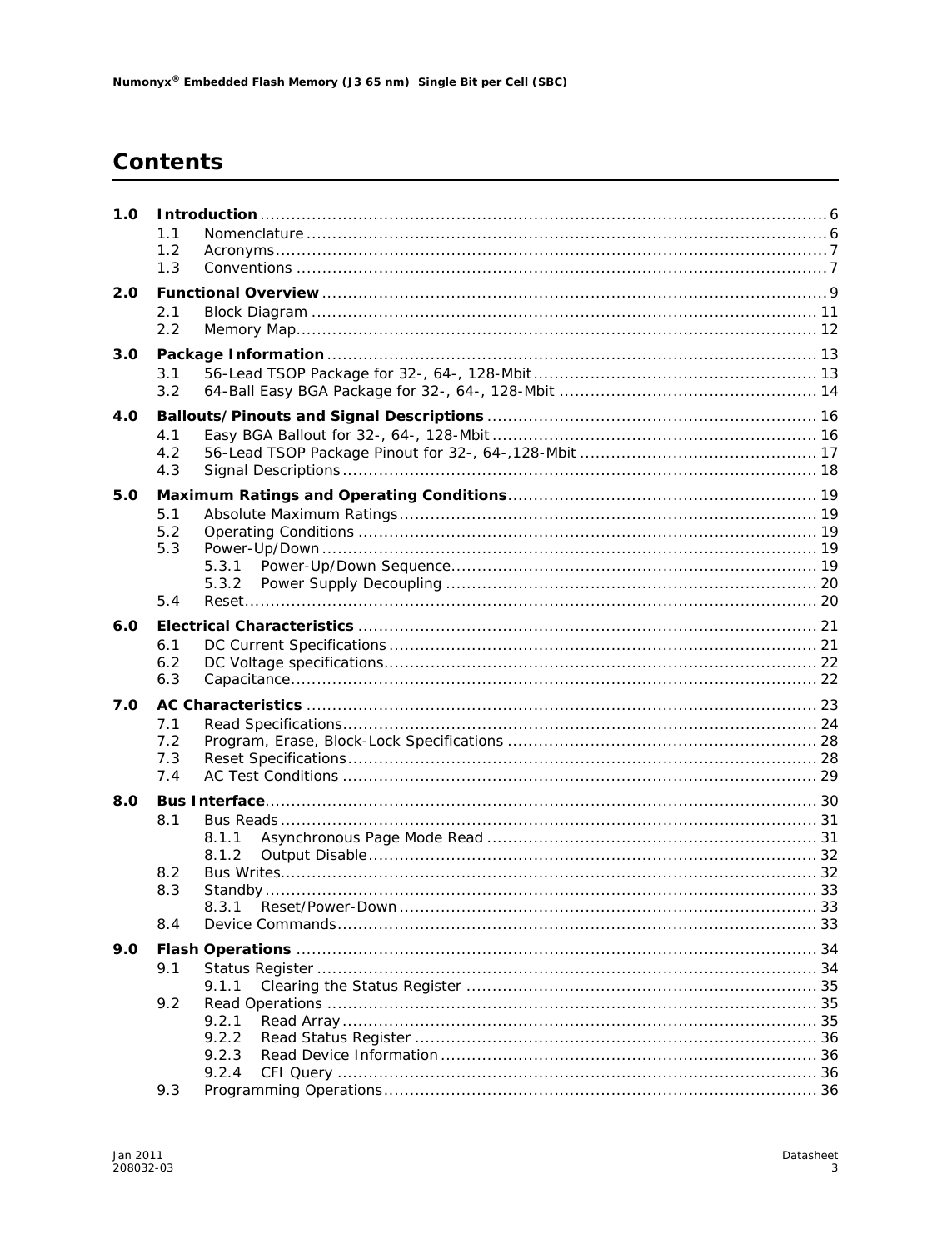# **Contents**

| 1.0 |            |       |  |
|-----|------------|-------|--|
|     | 1.1<br>1.2 |       |  |
|     | 1.3        |       |  |
| 2.0 |            |       |  |
|     | 2.1        |       |  |
|     | 2.2        |       |  |
|     |            |       |  |
| 3.0 |            |       |  |
|     | 3.1<br>3.2 |       |  |
| 4.0 |            |       |  |
|     | 4.1        |       |  |
|     | 4.2        |       |  |
|     | 4.3        |       |  |
|     |            |       |  |
| 5.0 |            |       |  |
|     | 5.1        |       |  |
|     | 5.2        |       |  |
|     | 5.3        |       |  |
|     |            | 5.3.1 |  |
|     |            | 5.3.2 |  |
|     | 5.4        |       |  |
| 6.0 |            |       |  |
|     | 6.1        |       |  |
|     | 6.2        |       |  |
|     | 6.3        |       |  |
| 7.0 |            |       |  |
|     | 7.1        |       |  |
|     | 7.2        |       |  |
|     | 7.3        |       |  |
|     | 7.4        |       |  |
| 8.0 |            |       |  |
|     | 8.1        |       |  |
|     |            | 8.1.1 |  |
|     |            | 8.1.2 |  |
|     | 8.2        |       |  |
|     | 8.3        |       |  |
|     |            | 8.3.1 |  |
|     | 8.4        |       |  |
| 9.0 |            |       |  |
|     |            |       |  |
|     | 9.1        | 9.1.1 |  |
|     | 9.2        |       |  |
|     |            | 9.2.1 |  |
|     |            | 9.2.2 |  |
|     |            | 9.2.3 |  |
|     |            | 9.2.4 |  |
|     | 9.3        |       |  |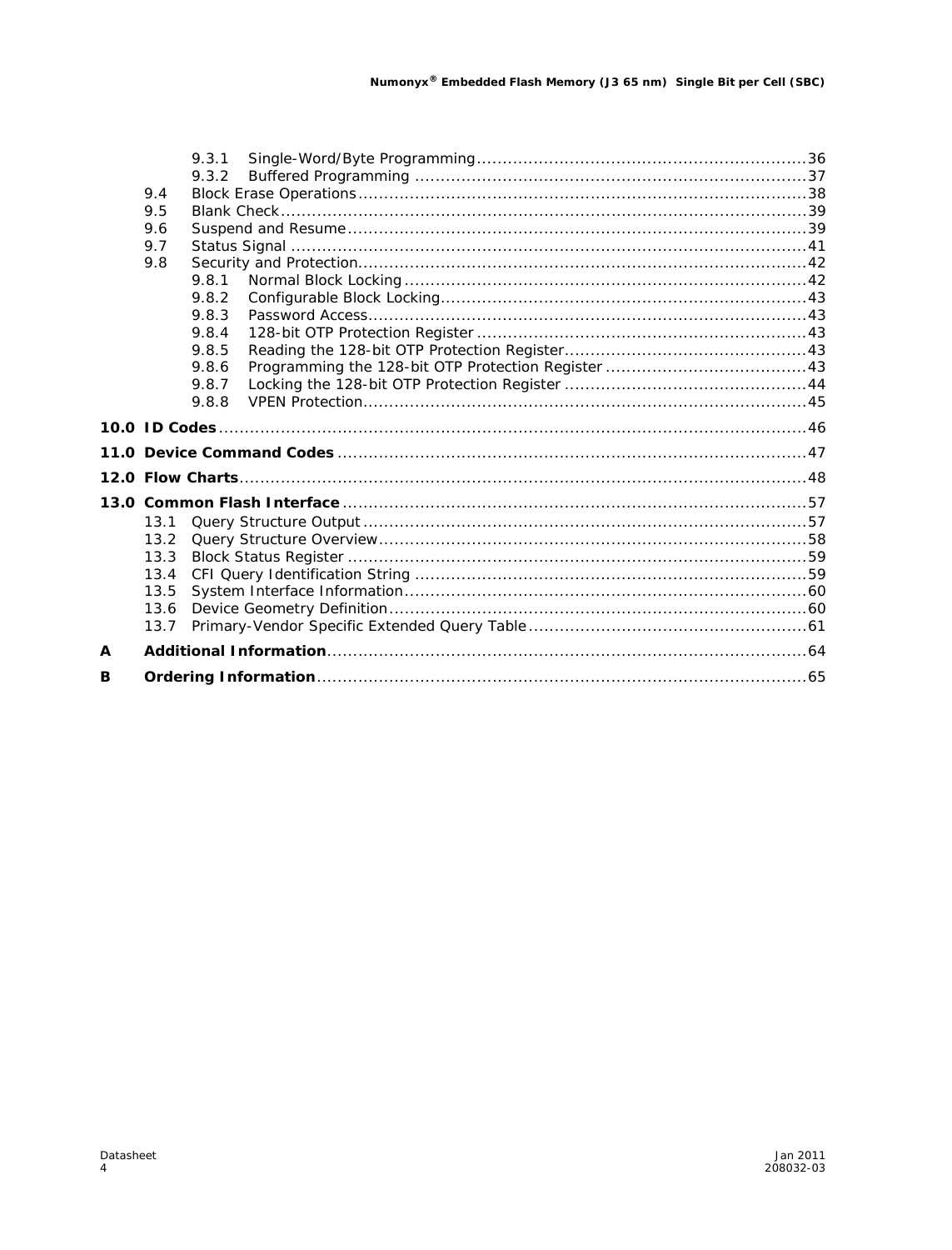|   |      | 9.3.1 |  |
|---|------|-------|--|
|   |      | 9.3.2 |  |
|   | 9.4  |       |  |
|   | 9.5  |       |  |
|   | 9.6  |       |  |
|   | 9.7  |       |  |
|   | 9.8  |       |  |
|   |      | 9.8.1 |  |
|   |      | 9.8.2 |  |
|   |      | 9.8.3 |  |
|   |      | 9.8.4 |  |
|   |      | 9.8.5 |  |
|   |      | 9.8.6 |  |
|   |      | 9.8.7 |  |
|   |      | 9.8.8 |  |
|   |      |       |  |
|   |      |       |  |
|   |      |       |  |
|   |      |       |  |
|   | 13.1 |       |  |
|   | 13.2 |       |  |
|   | 13.3 |       |  |
|   | 13.4 |       |  |
|   | 13.5 |       |  |
|   | 13.6 |       |  |
|   | 13.7 |       |  |
| A |      |       |  |
|   |      |       |  |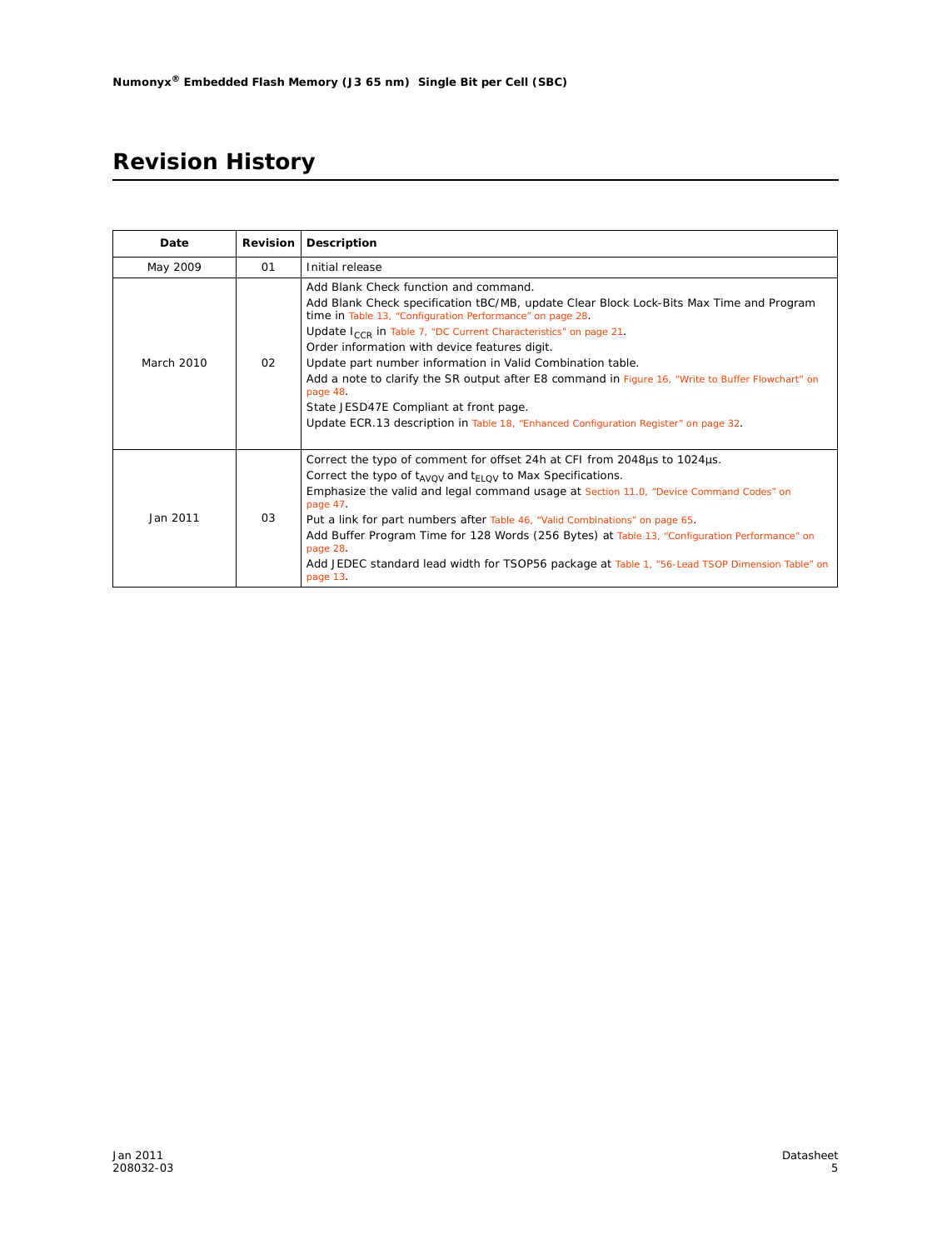# **Revision History**

| Date       | <b>Revision</b> | Description                                                                                                                                                                                                                                                                                                                                                                                                                                                                                                                                                                                                                                     |
|------------|-----------------|-------------------------------------------------------------------------------------------------------------------------------------------------------------------------------------------------------------------------------------------------------------------------------------------------------------------------------------------------------------------------------------------------------------------------------------------------------------------------------------------------------------------------------------------------------------------------------------------------------------------------------------------------|
| May 2009   | 01              | Initial release                                                                                                                                                                                                                                                                                                                                                                                                                                                                                                                                                                                                                                 |
| March 2010 | 02              | Add Blank Check function and command.<br>Add Blank Check specification tBC/MB, update Clear Block Lock-Bits Max Time and Program<br>time in Table 13, "Configuration Performance" on page 28.<br>Update I <sub>CCR</sub> in Table 7, "DC Current Characteristics" on page 21.<br>Order information with device features digit.<br>Update part number information in Valid Combination table.<br>Add a note to clarify the SR output after E8 command in Figure 16, "Write to Buffer Flowchart" on<br>page 48.<br>State JESD47E Compliant at front page.<br>Update ECR.13 description in Table 18, "Enhanced Configuration Register" on page 32. |
| Jan 2011   | 03              | Correct the typo of comment for offset 24h at CFI from 2048µs to 1024µs.<br>Correct the typo of $t_{AVOV}$ and $t_{FLOV}$ to Max Specifications.<br>Emphasize the valid and legal command usage at Section 11.0, "Device Command Codes" on<br>page 47.<br>Put a link for part numbers after Table 46, "Valid Combinations" on page 65.<br>Add Buffer Program Time for 128 Words (256 Bytes) at Table 13, "Configuration Performance" on<br>page 28.<br>Add JEDEC standard lead width for TSOP56 package at Table 1, "56-Lead TSOP Dimension Table" on<br>page 13.                                                                               |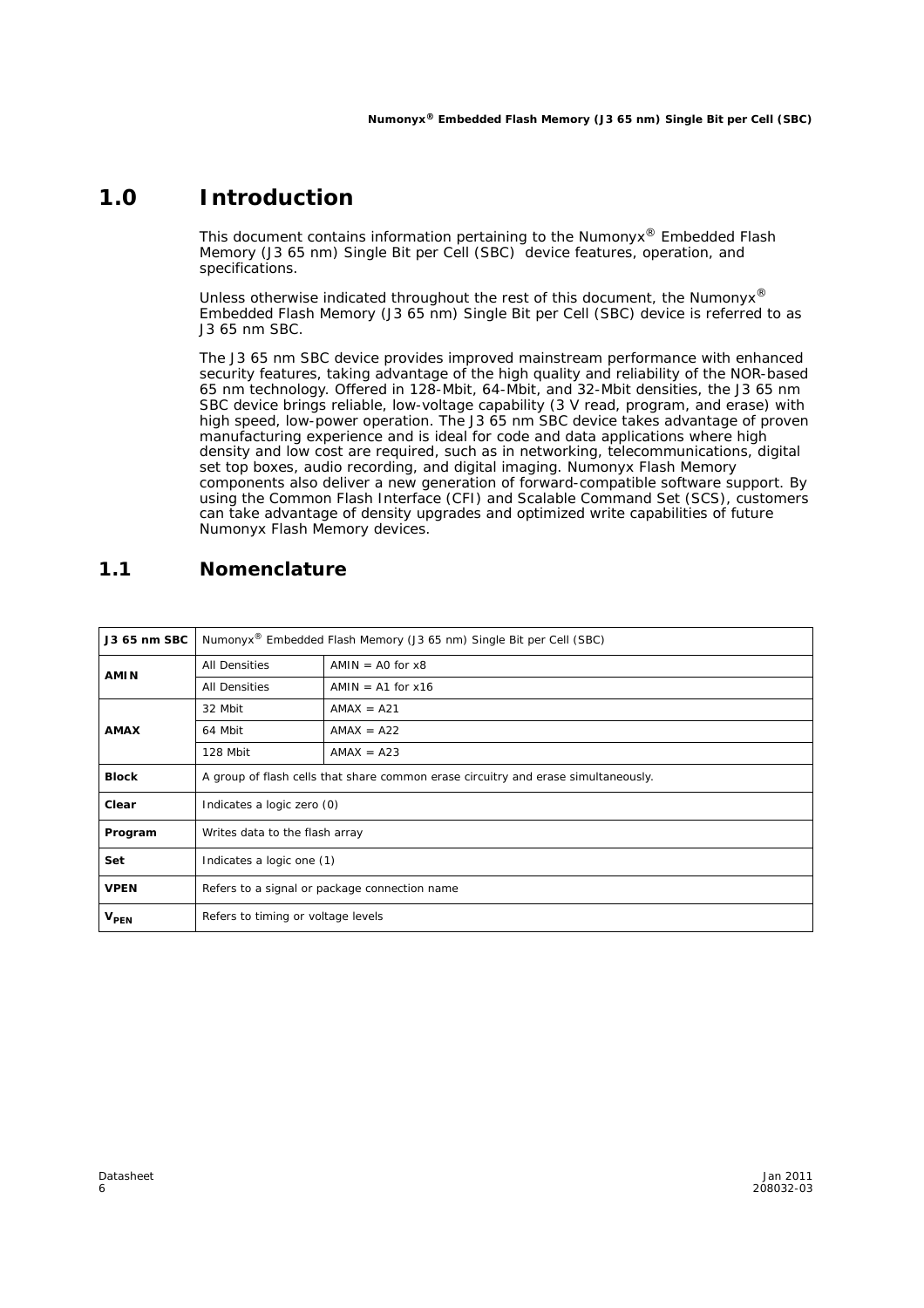### **1.0 Introduction**

This document contains information pertaining to the Numonyx® Embedded Flash Memory (J3 65 nm) Single Bit per Cell (SBC) device features, operation, and specifications.

Unless otherwise indicated throughout the rest of this document, the Numonyx<sup>®</sup> Embedded Flash Memory (J3 65 nm) Single Bit per Cell (SBC) device is referred to as J3 65 nm SBC.

The J3 65 nm SBC device provides improved mainstream performance with enhanced security features, taking advantage of the high quality and reliability of the NOR-based 65 nm technology. Offered in 128-Mbit, 64-Mbit, and 32-Mbit densities, the J3 65 nm SBC device brings reliable, low-voltage capability (3 V read, program, and erase) with high speed, low-power operation. The J3 65 nm SBC device takes advantage of proven manufacturing experience and is ideal for code and data applications where high density and low cost are required, such as in networking, telecommunications, digital set top boxes, audio recording, and digital imaging. Numonyx Flash Memory components also deliver a new generation of forward-compatible software support. By using the Common Flash Interface (CFI) and Scalable Command Set (SCS), customers can take advantage of density upgrades and optimized write capabilities of future Numonyx Flash Memory devices.

### **1.1 Nomenclature**

| J3 65 nm SBC     | Numonyx <sup>®</sup> Embedded Flash Memory (J3 65 nm) Single Bit per Cell (SBC)    |                                    |  |  |  |  |
|------------------|------------------------------------------------------------------------------------|------------------------------------|--|--|--|--|
| <b>AMIN</b>      | <b>All Densities</b>                                                               | $AMIN = AO$ for $x8$               |  |  |  |  |
|                  | <b>All Densities</b>                                                               | $AMIN = A1$ for $x16$              |  |  |  |  |
|                  | 32 Mbit                                                                            | $AMAX = A21$                       |  |  |  |  |
| <b>AMAX</b>      | 64 Mbit                                                                            | $AMAX = A22$                       |  |  |  |  |
|                  | 128 Mbit                                                                           | $AMAX = A23$                       |  |  |  |  |
| <b>Block</b>     | A group of flash cells that share common erase circuitry and erase simultaneously. |                                    |  |  |  |  |
| Clear            | Indicates a logic zero (0)                                                         |                                    |  |  |  |  |
| Program          | Writes data to the flash array                                                     |                                    |  |  |  |  |
| Set              | Indicates a logic one (1)                                                          |                                    |  |  |  |  |
| <b>VPEN</b>      | Refers to a signal or package connection name                                      |                                    |  |  |  |  |
| V <sub>PEN</sub> |                                                                                    | Refers to timing or voltage levels |  |  |  |  |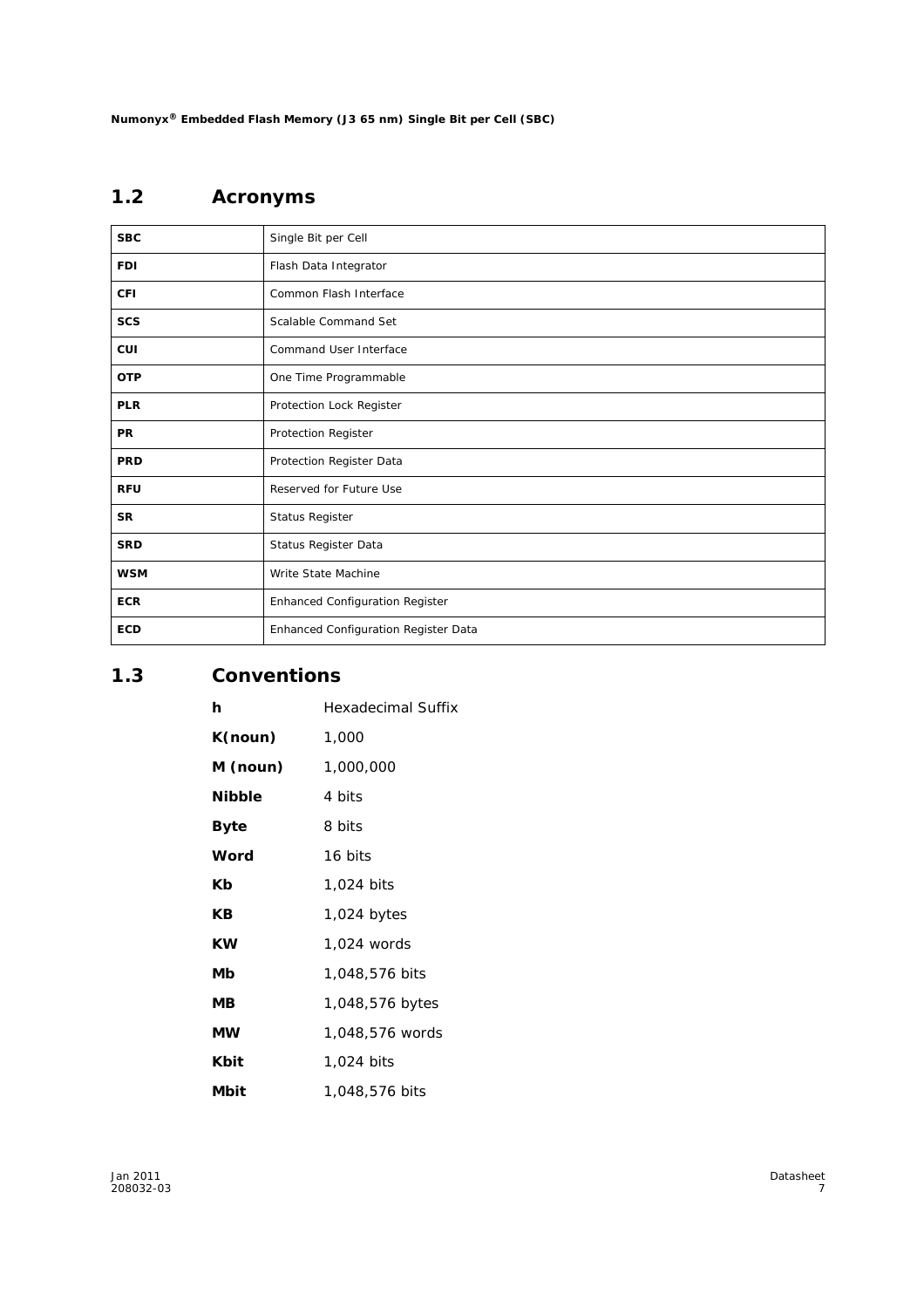# **1.2 Acronyms**

| <b>SBC</b> | Single Bit per Cell                    |
|------------|----------------------------------------|
| <b>FDI</b> | Flash Data Integrator                  |
| <b>CFI</b> | Common Flash Interface                 |
| <b>SCS</b> | Scalable Command Set                   |
| <b>CUI</b> | Command User Interface                 |
| <b>OTP</b> | One Time Programmable                  |
| <b>PLR</b> | Protection Lock Register               |
| <b>PR</b>  | Protection Register                    |
| <b>PRD</b> | Protection Register Data               |
| <b>RFU</b> | Reserved for Future Use                |
| <b>SR</b>  | Status Register                        |
| <b>SRD</b> | Status Register Data                   |
| <b>WSM</b> | Write State Machine                    |
| <b>ECR</b> | <b>Enhanced Configuration Register</b> |
| <b>ECD</b> | Enhanced Configuration Register Data   |

### **1.3 Conventions**

| h             | <b>Hexadecimal Suffix</b> |
|---------------|---------------------------|
| K(noun)       | 1,000                     |
| M (noun)      | 1,000,000                 |
| <b>Nibble</b> | 4 bits                    |
| Byte          | 8 bits                    |
| Word          | 16 bits                   |
| Кb            | 1,024 bits                |
| КB            | 1,024 bytes               |
| ΚW            | 1.024 words               |
| Мb            | 1,048,576 bits            |
| ΜВ            | 1,048,576 bytes           |
| <b>MW</b>     | 1,048,576 words           |
| Kbit          | 1,024 bits                |
| Mbit          | 1,048,576 bits            |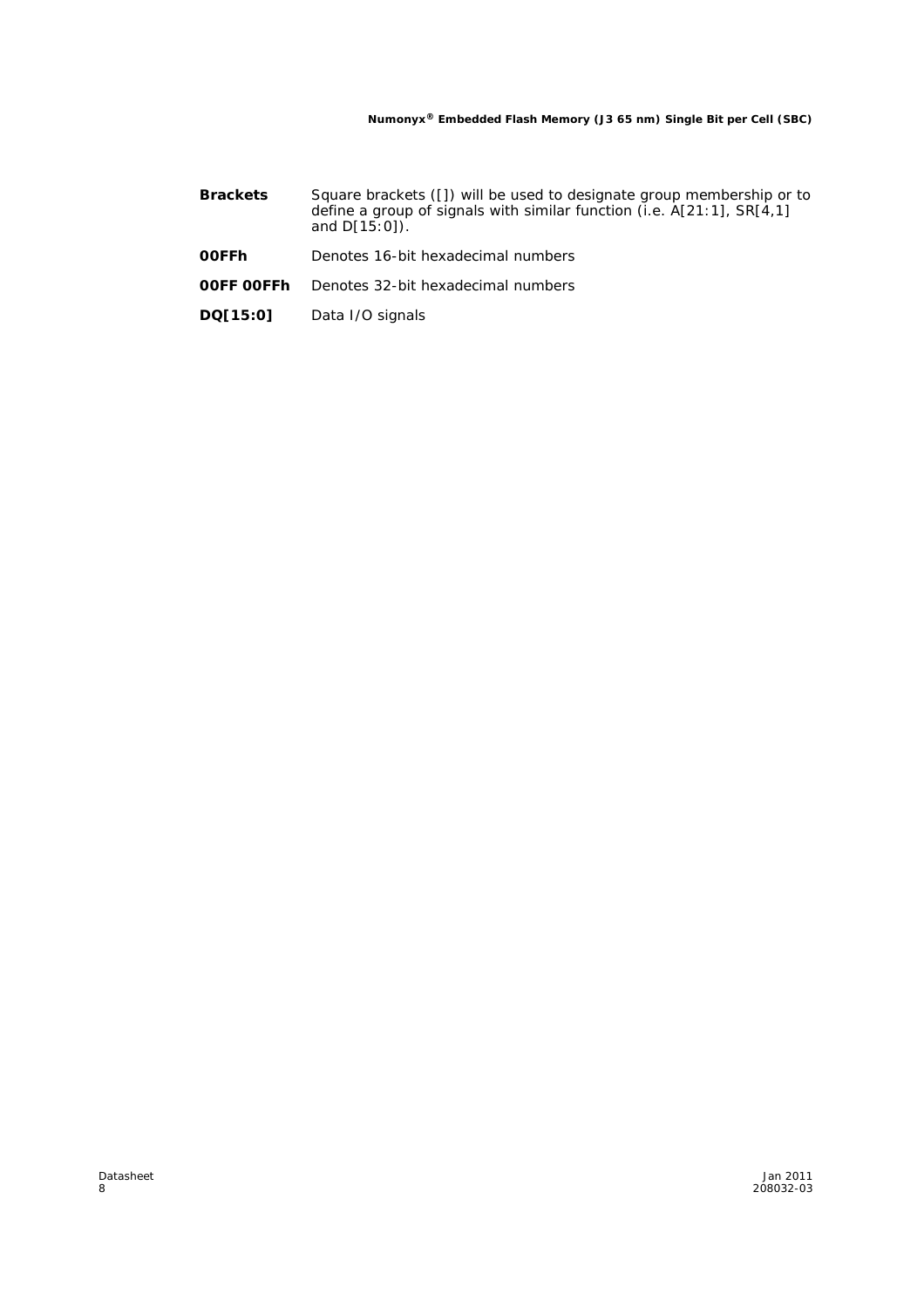- **Brackets** Square brackets ([]) will be used to designate group membership or to define a group of signals with similar function (i.e. A[21:1], SR[4,1] and D[15:0]).
- **00FFh** Denotes 16-bit hexadecimal numbers
- **00FF 00FFh** Denotes 32-bit hexadecimal numbers
- **DQ[15:0]** Data I/O signals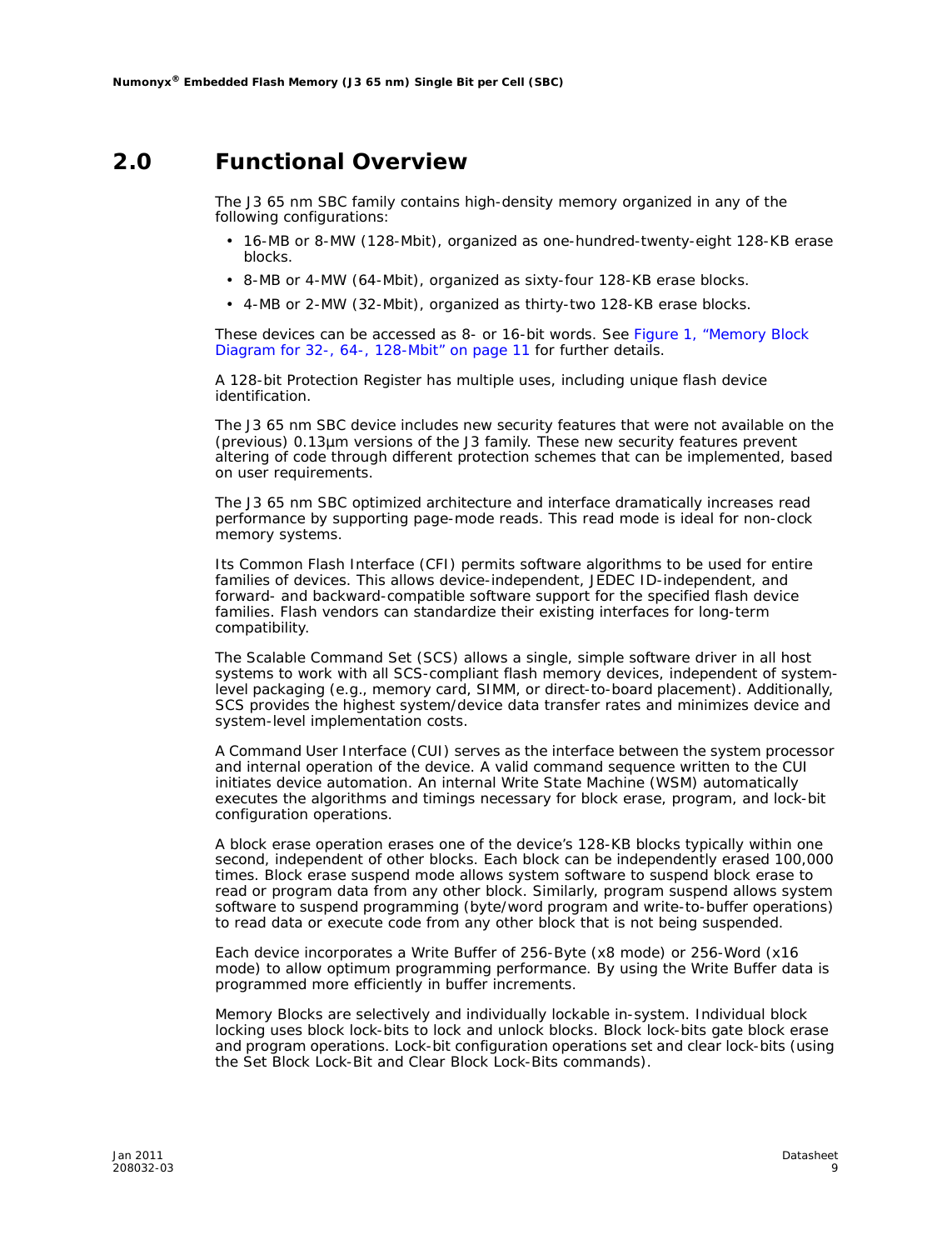### **2.0 Functional Overview**

The J3 65 nm SBC family contains high-density memory organized in any of the following configurations:

- 16-MB or 8-MW (128-Mbit), organized as one-hundred-twenty-eight 128-KB erase blocks.
- 8-MB or 4-MW (64-Mbit), organized as sixty-four 128-KB erase blocks.
- 4-MB or 2-MW (32-Mbit), organized as thirty-two 128-KB erase blocks.

These devices can be accessed as 8- or 16-bit words. See Figure 1, "Memory Block Diagram for 32-, 64-, 128-Mbit" on page 11 for further details.

A 128-bit Protection Register has multiple uses, including unique flash device identification.

The J3 65 nm SBC device includes new security features that were not available on the (previous) 0.13µm versions of the J3 family. These new security features prevent altering of code through different protection schemes that can be implemented, based on user requirements.

The J3 65 nm SBC optimized architecture and interface dramatically increases read performance by supporting page-mode reads. This read mode is ideal for non-clock memory systems.

Its Common Flash Interface (CFI) permits software algorithms to be used for entire families of devices. This allows device-independent, JEDEC ID-independent, and forward- and backward-compatible software support for the specified flash device families. Flash vendors can standardize their existing interfaces for long-term compatibility.

The Scalable Command Set (SCS) allows a single, simple software driver in all host systems to work with all SCS-compliant flash memory devices, independent of systemlevel packaging (e.g., memory card, SIMM, or direct-to-board placement). Additionally, SCS provides the highest system/device data transfer rates and minimizes device and system-level implementation costs.

A Command User Interface (CUI) serves as the interface between the system processor and internal operation of the device. A valid command sequence written to the CUI initiates device automation. An internal Write State Machine (WSM) automatically executes the algorithms and timings necessary for block erase, program, and lock-bit configuration operations.

A block erase operation erases one of the device's 128-KB blocks typically within one second, independent of other blocks. Each block can be independently erased 100,000 times. Block erase suspend mode allows system software to suspend block erase to read or program data from any other block. Similarly, program suspend allows system software to suspend programming (byte/word program and write-to-buffer operations) to read data or execute code from any other block that is not being suspended.

Each device incorporates a Write Buffer of 256-Byte (x8 mode) or 256-Word (x16 mode) to allow optimum programming performance. By using the Write Buffer data is programmed more efficiently in buffer increments.

Memory Blocks are selectively and individually lockable in-system. Individual block locking uses block lock-bits to lock and unlock blocks. Block lock-bits gate block erase and program operations. Lock-bit configuration operations set and clear lock-bits (using the Set Block Lock-Bit and Clear Block Lock-Bits commands).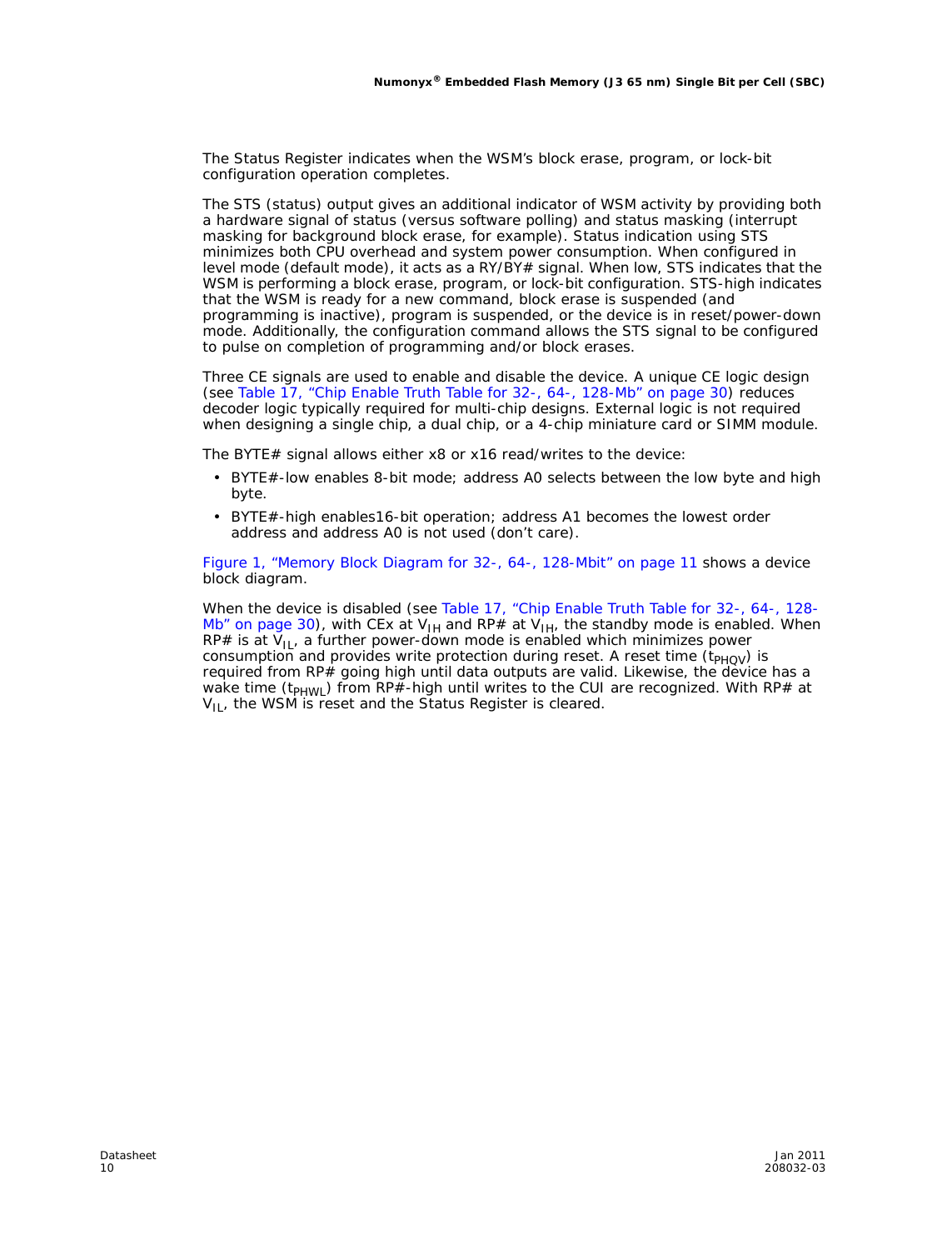The Status Register indicates when the WSM's block erase, program, or lock-bit configuration operation completes.

The STS (status) output gives an additional indicator of WSM activity by providing both a hardware signal of status (versus software polling) and status masking (interrupt masking for background block erase, for example). Status indication using STS minimizes both CPU overhead and system power consumption. When configured in level mode (default mode), it acts as a RY/BY# signal. When low, STS indicates that the WSM is performing a block erase, program, or lock-bit configuration. STS-high indicates that the WSM is ready for a new command, block erase is suspended (and programming is inactive), program is suspended, or the device is in reset/power-down mode. Additionally, the configuration command allows the STS signal to be configured to pulse on completion of programming and/or block erases.

Three CE signals are used to enable and disable the device. A unique CE logic design (see Table 17, "Chip Enable Truth Table for 32-, 64-, 128-Mb" on page 30) reduces decoder logic typically required for multi-chip designs. External logic is not required when designing a single chip, a dual chip, or a 4-chip miniature card or SIMM module.

The BYTE# signal allows either x8 or x16 read/writes to the device:

- BYTE#-low enables 8-bit mode; address A0 selects between the low byte and high byte.
- BYTE#-high enables16-bit operation; address A1 becomes the lowest order address and address A0 is not used (don't care).

Figure 1, "Memory Block Diagram for 32-, 64-, 128-Mbit" on page 11 shows a device block diagram.

When the device is disabled (see Table 17, "Chip Enable Truth Table for 32-, 64-, 128- Mb" on page 30), with CEx at V<sub>IH</sub> and RP# at V<sub>IH</sub>, the standby mode is enabled. When RP# is at  $V_{II}$ , a further power-down mode is enabled which minimizes power consumption and provides write protection during reset. A reset time  $(t_{PHOV})$  is required from RP# going high until data outputs are valid. Likewise, the device has a wake time  $(t_{PHWL})$  from RP#-high until writes to the CUI are recognized. With RP# at  $V_{II}$ , the WSM is reset and the Status Register is cleared.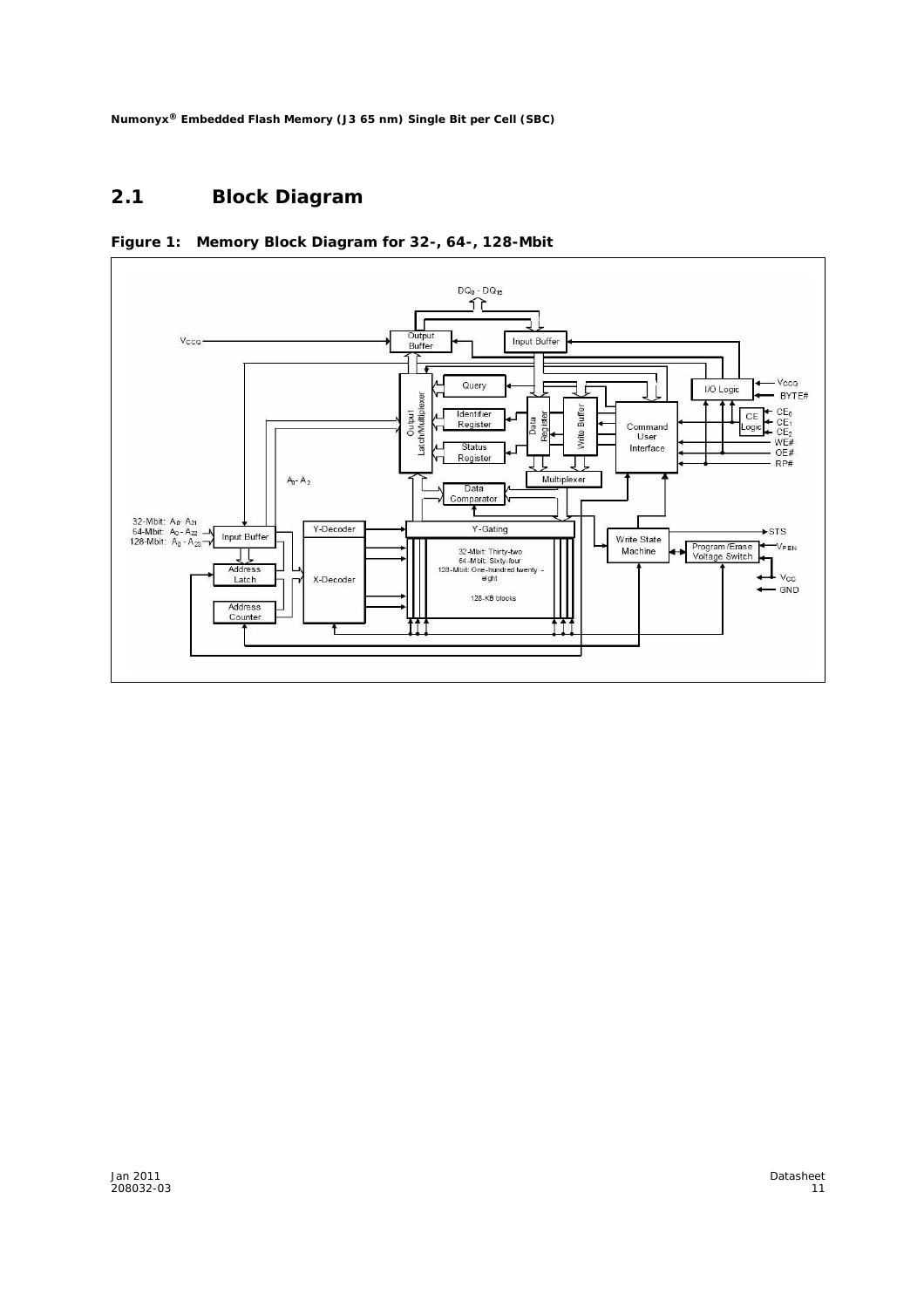### **2.1 Block Diagram**



**Figure 1: Memory Block Diagram for 32-, 64-, 128-Mbit**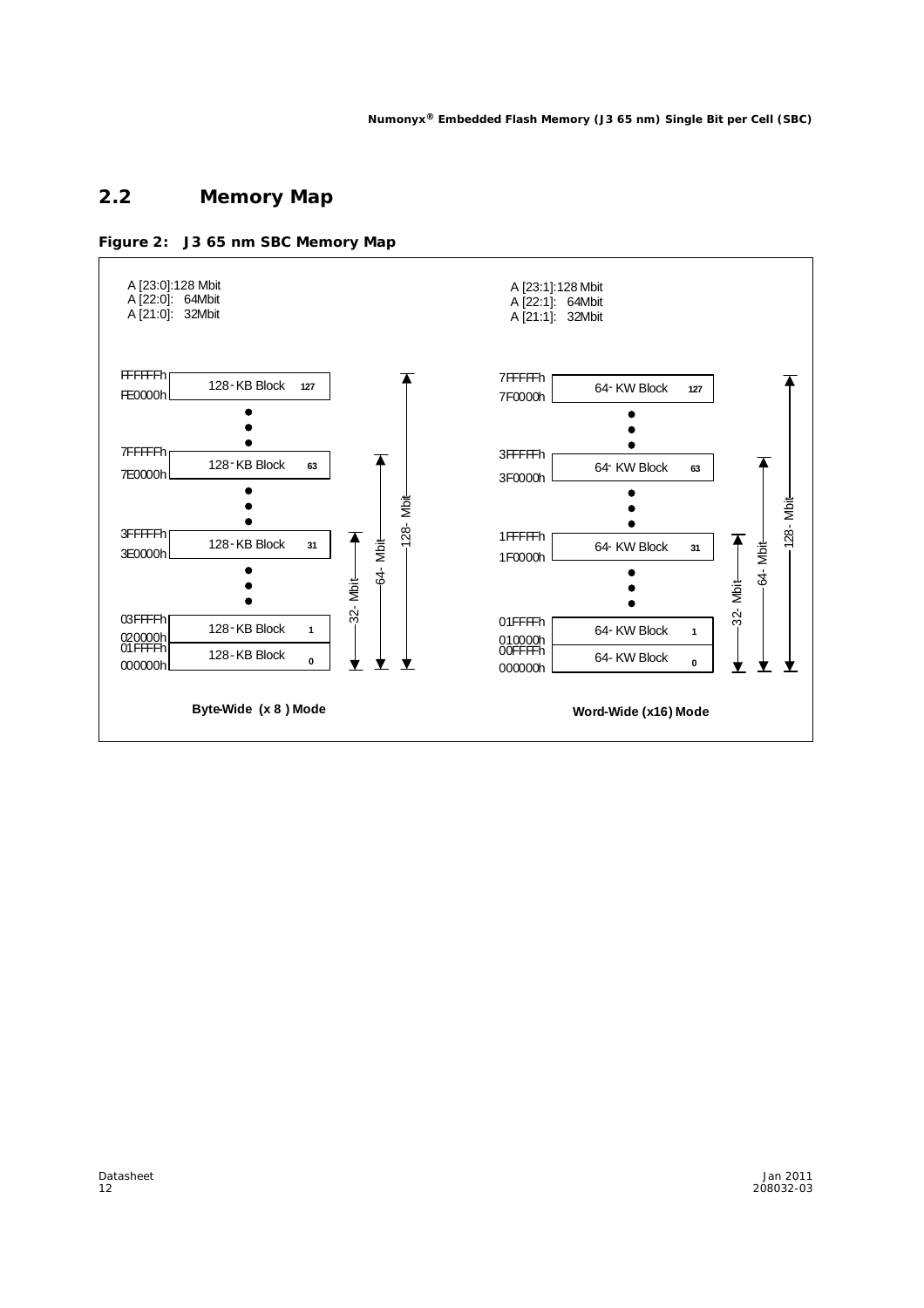### **2.2 Memory Map**



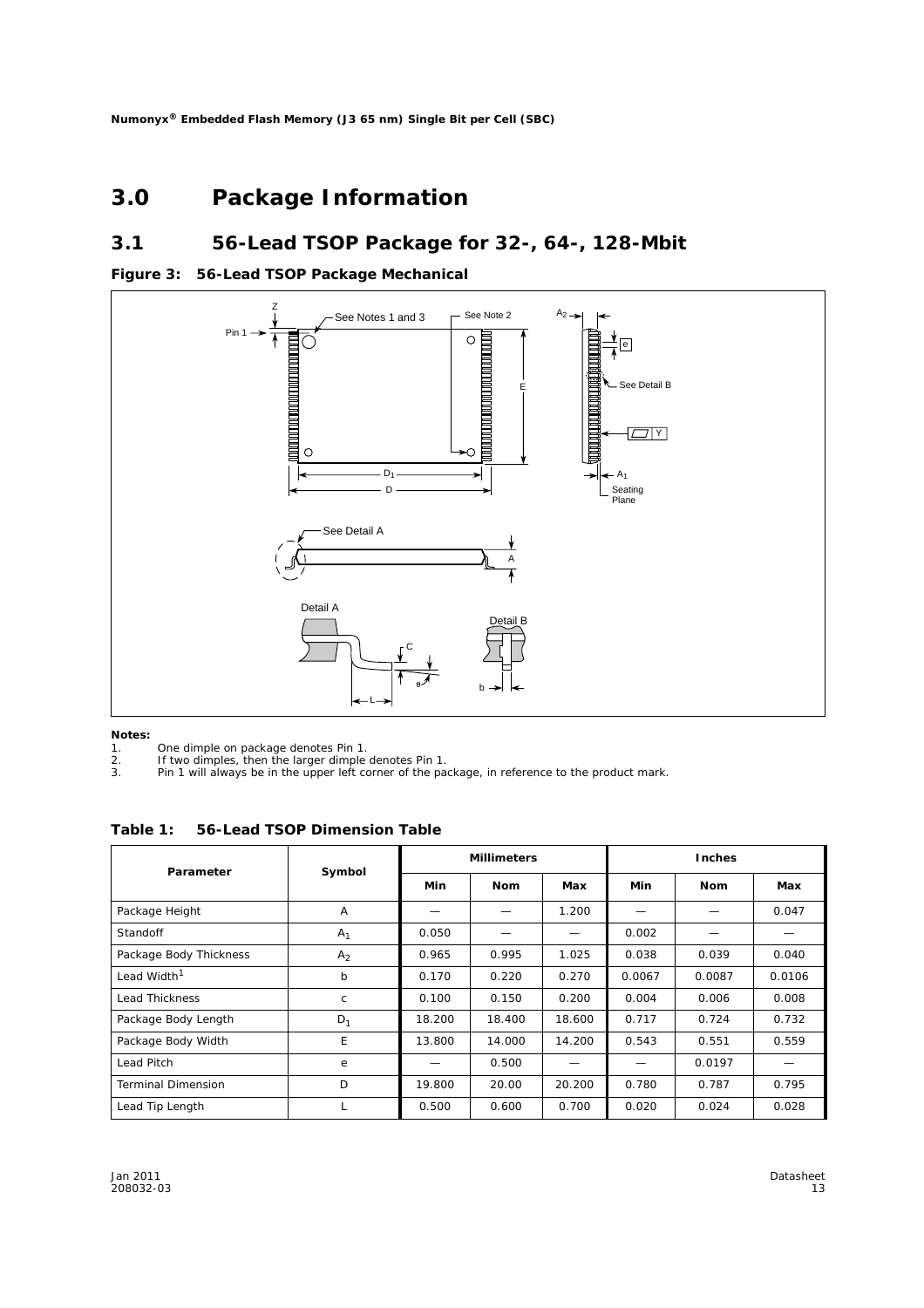### **3.0 Package Information**

### **3.1 56-Lead TSOP Package for 32-, 64-, 128-Mbit**





#### *Notes:*

- 1. One dimple on package denotes Pin 1.<br>2. If two dimples, then the larger dimple<br>3. Pin 1 will always be in the upper left co
- If two dimples, then the larger dimple denotes Pin 1.
- 3. Pin 1 will always be in the upper left corner of the package, in reference to the product mark.

**Table 1: 56-Lead TSOP Dimension Table**

| Parameter                 | Symbol         | <b>Millimeters</b> |            |        | <b>Inches</b> |            |        |  |
|---------------------------|----------------|--------------------|------------|--------|---------------|------------|--------|--|
|                           |                | Min                | <b>Nom</b> | Max    | Min           | <b>Nom</b> | Max    |  |
| Package Height            | Α              |                    |            | 1.200  |               |            | 0.047  |  |
| <b>Standoff</b>           | A <sub>1</sub> | 0.050              |            | —      | 0.002         |            |        |  |
| Package Body Thickness    | A <sub>2</sub> | 0.965              | 0.995      | 1.025  | 0.038         | 0.039      | 0.040  |  |
| Lead Width <sup>1</sup>   | b              | 0.170              | 0.220      | 0.270  | 0.0067        | 0.0087     | 0.0106 |  |
| <b>Lead Thickness</b>     | C              | 0.100              | 0.150      | 0.200  | 0.004         | 0.006      | 0.008  |  |
| Package Body Length       | $D_1$          | 18.200             | 18.400     | 18.600 | 0.717         | 0.724      | 0.732  |  |
| Package Body Width        | E              | 13.800             | 14.000     | 14.200 | 0.543         | 0.551      | 0.559  |  |
| Lead Pitch                | e              |                    | 0.500      |        |               | 0.0197     |        |  |
| <b>Terminal Dimension</b> | D              | 19.800             | 20.00      | 20.200 | 0.780         | 0.787      | 0.795  |  |
| Lead Tip Length           | L.             | 0.500              | 0.600      | 0.700  | 0.020         | 0.024      | 0.028  |  |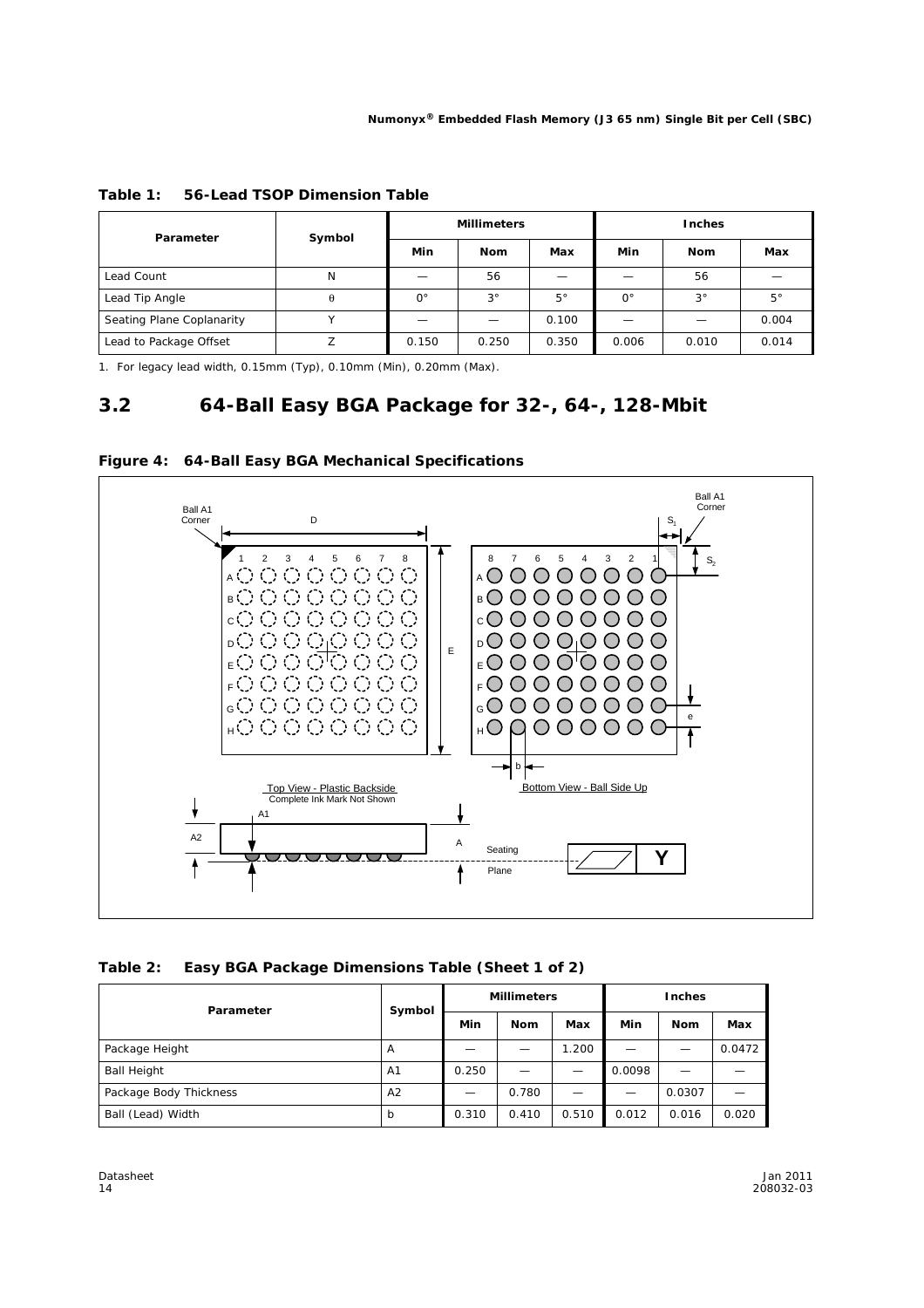| Parameter                 | Symbol   | <b>Millimeters</b> |             |             | Inches      |             |             |  |
|---------------------------|----------|--------------------|-------------|-------------|-------------|-------------|-------------|--|
|                           |          | Min                | <b>Nom</b>  | Max         | Min         | <b>Nom</b>  | Max         |  |
| Lead Count                | N        |                    | 56          |             |             | 56          |             |  |
| Lead Tip Angle            | $\theta$ | $0^{\circ}$        | $3^{\circ}$ | $5^{\circ}$ | $0^{\circ}$ | $3^{\circ}$ | $5^{\circ}$ |  |
| Seating Plane Coplanarity |          |                    |             | 0.100       |             |             | 0.004       |  |
| Lead to Package Offset    |          | 0.150              | 0.250       | 0.350       | 0.006       | 0.010       | 0.014       |  |

| Table 1: 56-Lead TSOP Dimension Table |
|---------------------------------------|
|---------------------------------------|

1. For legacy lead width, 0.15mm (Typ), 0.10mm (Min), 0.20mm (Max).

### **3.2 64-Ball Easy BGA Package for 32-, 64-, 128-Mbit**



|  |  | Figure 4: 64-Ball Easy BGA Mechanical Specifications |
|--|--|------------------------------------------------------|
|--|--|------------------------------------------------------|

| Table 2: Easy BGA Package Dimensions Table (Sheet 1 of 2) |  |  |
|-----------------------------------------------------------|--|--|
|-----------------------------------------------------------|--|--|

| Parameter              | Symbol         | <b>Millimeters</b> |            |       | <b>Inches</b> |            |        |
|------------------------|----------------|--------------------|------------|-------|---------------|------------|--------|
|                        |                | Min                | <b>Nom</b> | Max   | Min           | <b>Nom</b> | Max    |
| Package Height         | A              |                    |            | 1.200 |               |            | 0.0472 |
| <b>Ball Height</b>     | A <sub>1</sub> | 0.250              |            |       | 0.0098        |            |        |
| Package Body Thickness | A <sub>2</sub> |                    | 0.780      |       |               | 0.0307     |        |
| Ball (Lead) Width      | b              | 0.310              | 0.410      | 0.510 | 0.012         | 0.016      | 0.020  |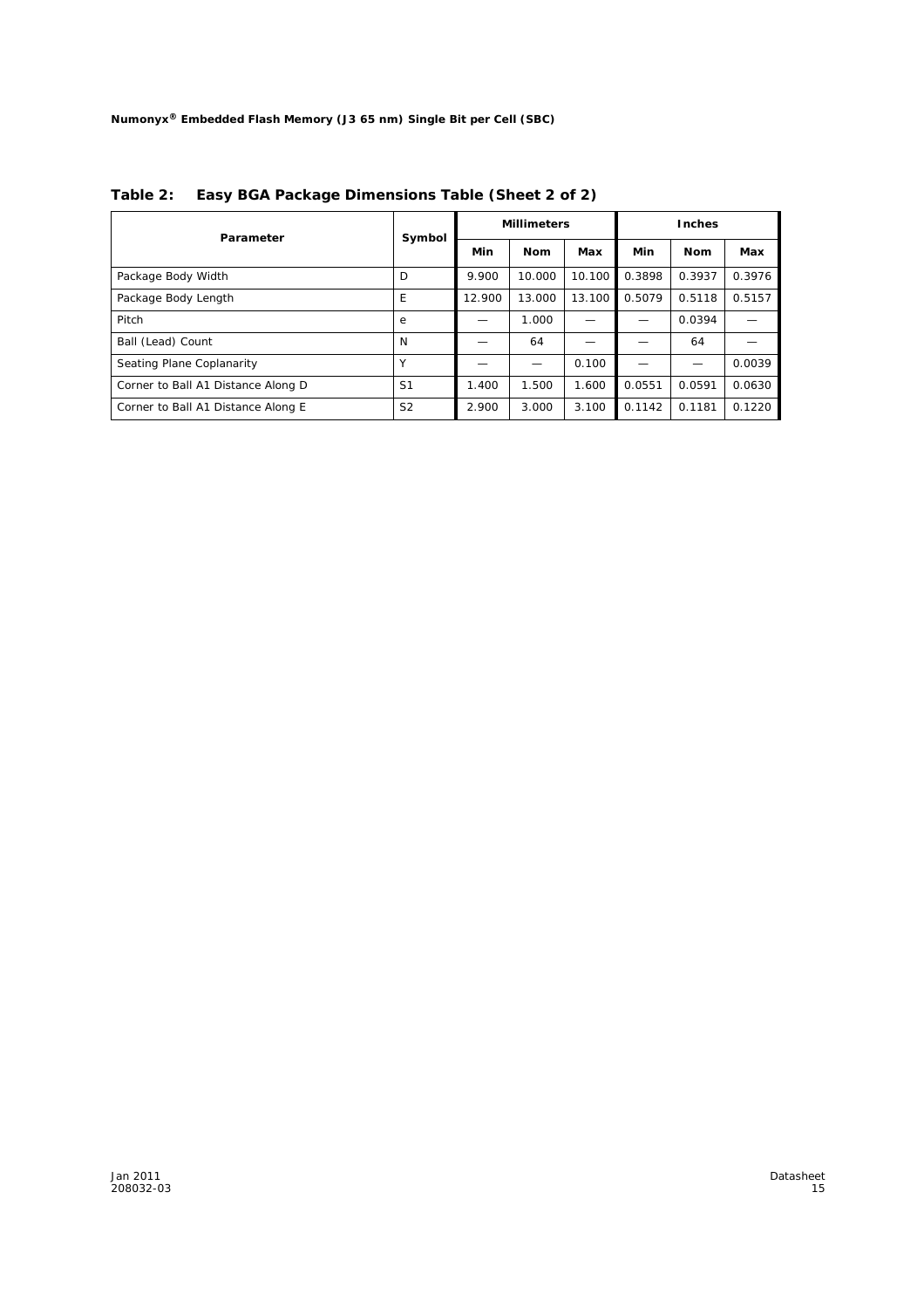| Parameter                          | Symbol         |        | <b>Millimeters</b> |        | <b>Inches</b> |        |        |
|------------------------------------|----------------|--------|--------------------|--------|---------------|--------|--------|
|                                    |                | Min    | <b>Nom</b>         | Max    | Min           | Nom    | Max    |
| Package Body Width                 | D              | 9.900  | 10.000             | 10.100 | 0.3898        | 0.3937 | 0.3976 |
| Package Body Length                | E              | 12.900 | 13.000             | 13.100 | 0.5079        | 0.5118 | 0.5157 |
| Pitch                              | e              |        | 1.000              |        |               | 0.0394 |        |
| Ball (Lead) Count                  | N              |        | 64                 |        |               | 64     |        |
| Seating Plane Coplanarity          |                |        |                    | 0.100  |               |        | 0.0039 |
| Corner to Ball A1 Distance Along D | S <sub>1</sub> | 1.400  | 1.500              | 1.600  | 0.0551        | 0.0591 | 0.0630 |
| Corner to Ball A1 Distance Along E | S <sub>2</sub> | 2.900  | 3.000              | 3.100  | 0.1142        | 0.1181 | 0.1220 |

**Table 2: Easy BGA Package Dimensions Table (Sheet 2 of 2)**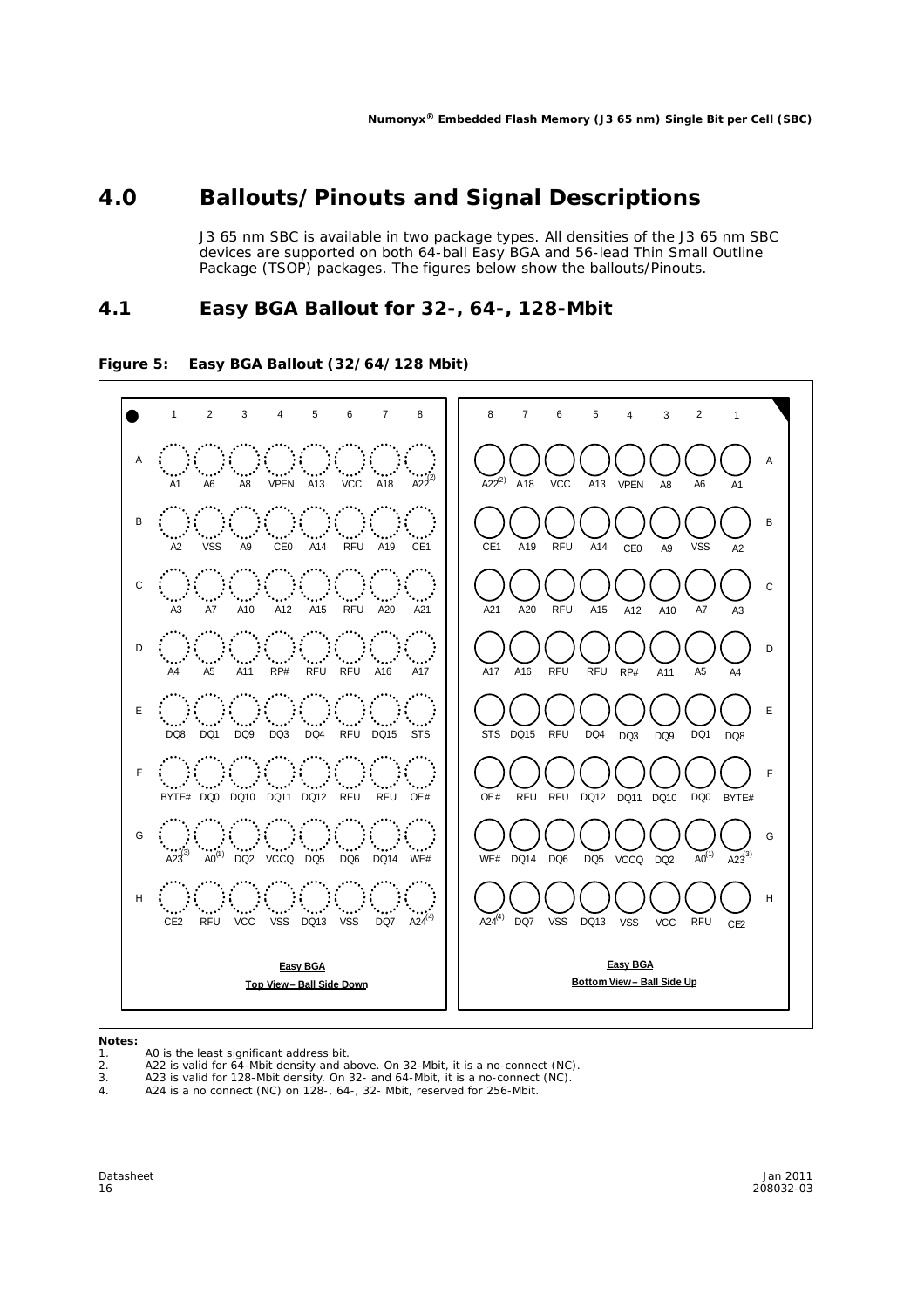### **4.0 Ballouts/Pinouts and Signal Descriptions**

J3 65 nm SBC is available in two package types. All densities of the J3 65 nm SBC devices are supported on both 64-ball Easy BGA and 56-lead Thin Small Outline Package (TSOP) packages. The figures below show the ballouts/Pinouts.

### **4.1 Easy BGA Ballout for 32-, 64-, 128-Mbit**

#### **Figure 5: Easy BGA Ballout (32/64/128 Mbit)**



#### *Notes:*

- 1. A0 is the least significant address bit.
- 
- 2. A22 is valid for 64-Mbit density and above. On 32-Mbit, it is a no-connect (NC). 3. A23 is valid for 128-Mbit density. On 32- and 64-Mbit, it is a no-connect (NC).
- 4. A24 is a no connect (NC) on 128-, 64-, 32- Mbit, reserved for 256-Mbit.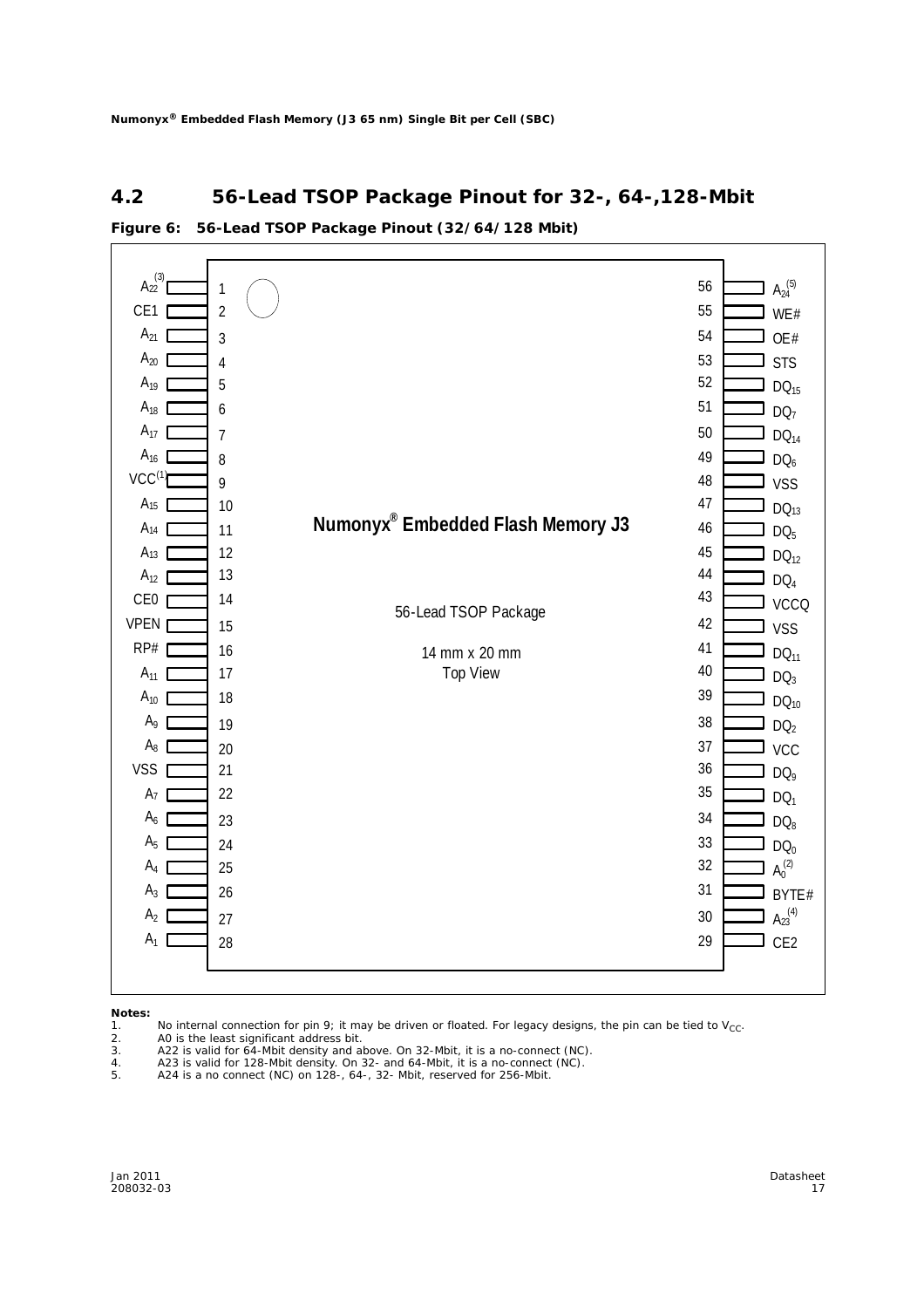#### **4.2 56-Lead TSOP Package Pinout for 32-, 64-,128-Mbit**

#### 56-Lead TSOP Package 14 mm x 20 mm Top View  $A_{22}^{(3)}$ CE<sub>1</sub>  $A_{21}$  [  $A_{19}$  |  $A_{18}$  $A_{17}$  |  $A_{16}$  $\mathsf{VCC}^\mathsf{(1)}$  $A_{15}$  $A_{14}$  $A_{13}$  [  $A_{12}$  [ CE0 r VPEN RP#  $A_{11}$  [  $A_{10}$  [  $A_9$  [  $A_8$  [ VSS<sub>[</sub>  $A<sub>7</sub>$  $A_6$   $\blacksquare$  $A_5$  [  $A_4$  $A_3$  $A<sub>2</sub>$  $A_{20}$  [  $A_1$  |  $A_{24}^{(5)}$ WE# OE#  $DQ_{15}$ DQ<sub>7</sub>  $DQ_{14}$ DQ<sub>6</sub> VSS  $DQ_{13}$  $DQ<sub>5</sub>$  $DQ_{12}$ DQ<sub>4</sub> **VCCQ** VSS  $DQ_{11}$  $DQ<sub>3</sub>$  $DQ_{10}$  $DQ<sub>2</sub>$ **VCC**  $DQ<sub>9</sub>$ DQ<sub>1</sub>  $DQ_8$  $DQ_0$  $A_0^{(2)}$ BYTE#  $A_{23}^{(4)}$ **STS** CE2 1 2 3 4 5 6 7 8 9 10 11 12 13 14 15 16 17 18 19 20 21 22 23 24 25 26 27 28 56 55 54 53 52 51 50 49 48 47 46 45 44 43 42 41 40 39 38 37 36 35 34 33 32 31 30 29  $\begin{array}{ccc} \text{(3)} & \text{(5)} \\ \text{(6)} & \text{(7)} \\ \text{(8)} & \text{(9)} \end{array}$ **Numonyx® Embedded Flash Memory J3**

#### **Figure 6: 56-Lead TSOP Package Pinout (32/64/128 Mbit)**

*Notes:*

- 1. No internal connection for pin 9; it may be driven or floated. For legacy designs, the pin can be tied to  $V_{CC}$ .<br>2. AO is the least significant address bit.
- A0 is the least significant address bit.
- 
- 3. A22 is valid for 64-Mbit density and above. On 32-Mbit, it is a no-connect (NC).
- 4. A23 is valid for 128-Mbit density. On 32- and 64-Mbit, it is a no-connect (NC). 5. A24 is a no connect (NC) on 128-, 64-, 32- Mbit, reserved for 256-Mbit.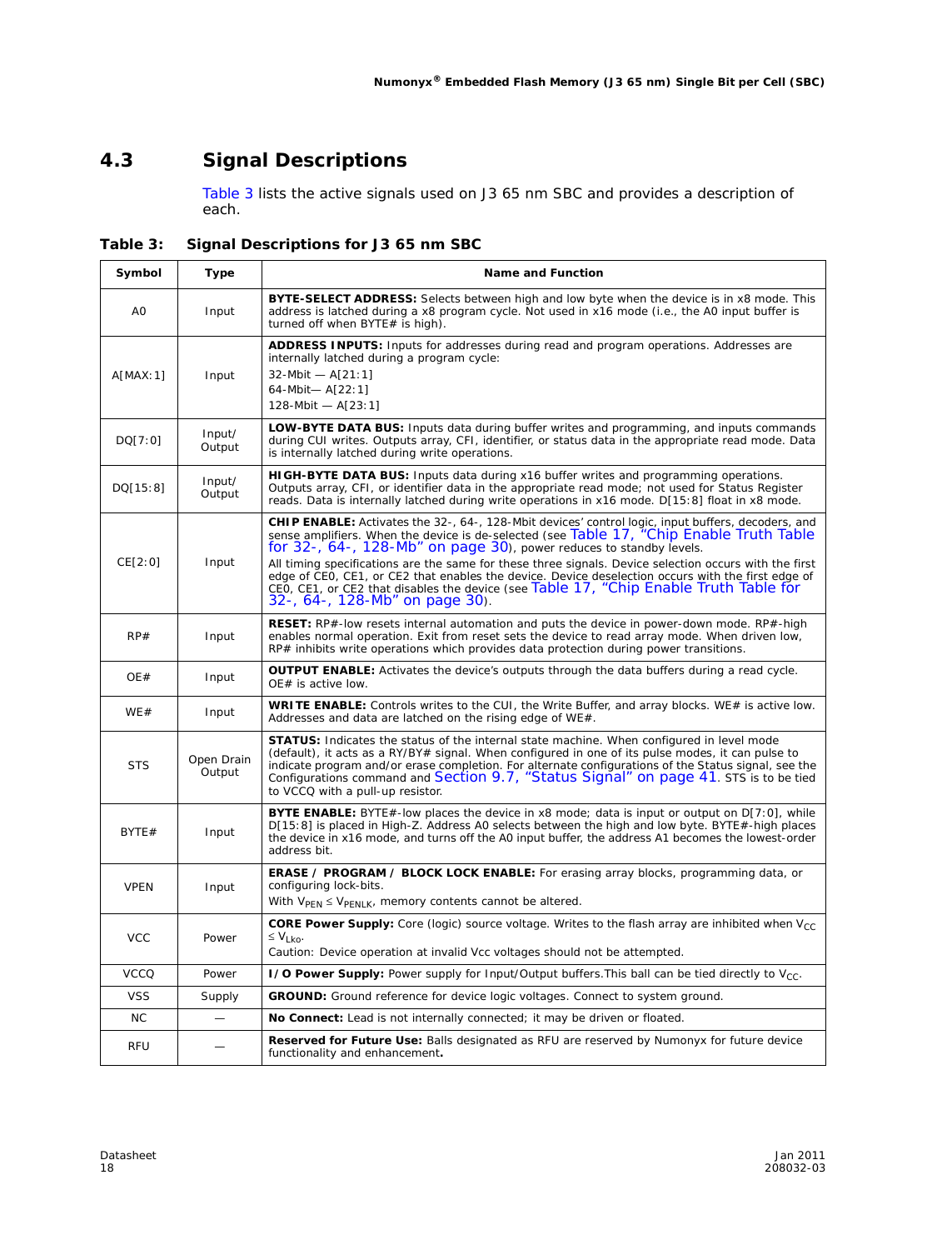### **4.3 Signal Descriptions**

'n

Table 3 lists the active signals used on J3 65 nm SBC and provides a description of each.

**Table 3: Signal Descriptions for J3 65 nm SBC**

| Symbol         | Type                 | <b>Name and Function</b>                                                                                                                                                                                                                                                                                                                                                                                                                                                                                                                                                       |
|----------------|----------------------|--------------------------------------------------------------------------------------------------------------------------------------------------------------------------------------------------------------------------------------------------------------------------------------------------------------------------------------------------------------------------------------------------------------------------------------------------------------------------------------------------------------------------------------------------------------------------------|
| A <sub>O</sub> | Input                | BYTE-SELECT ADDRESS: Selects between high and low byte when the device is in x8 mode. This<br>address is latched during a x8 program cycle. Not used in x16 mode (i.e., the A0 input buffer is<br>turned off when BYTE# is high).                                                                                                                                                                                                                                                                                                                                              |
| A[MAX:1]       | Input                | <b>ADDRESS INPUTS:</b> Inputs for addresses during read and program operations. Addresses are<br>internally latched during a program cycle:<br>$32-Mbit - A[21:1]$<br>64-Mbit-A[22:1]<br>128-Mbit $- A[23:1]$                                                                                                                                                                                                                                                                                                                                                                  |
| DQ[7:0]        | Input/<br>Output     | <b>LOW-BYTE DATA BUS:</b> Inputs data during buffer writes and programming, and inputs commands<br>during CUI writes. Outputs array, CFI, identifier, or status data in the appropriate read mode. Data<br>is internally latched during write operations.                                                                                                                                                                                                                                                                                                                      |
| DQ[15:8]       | Input/<br>Output     | HIGH-BYTE DATA BUS: Inputs data during x16 buffer writes and programming operations.<br>Outputs array, CFI, or identifier data in the appropriate read mode; not used for Status Register<br>reads. Data is internally latched during write operations in x16 mode. D[15:8] float in x8 mode.                                                                                                                                                                                                                                                                                  |
| CE[2:0]        | Input                | CHIP ENABLE: Activates the 32-, 64-, 128-Mbit devices' control logic, input buffers, decoders, and<br>sense amplifiers. When the device is de-selected (see Table 17, "Chip Enable Truth Table<br>for 32-, 64-, 128-Mb" on page 30), power reduces to standby levels.<br>All timing specifications are the same for these three signals. Device selection occurs with the first<br>edge of CEO, CE1, or CE2 that enables the device. Device deselection occurs with the first edge of<br>CEO, CE1, or CE2 that disables the device (see Table 17, "Chip Enable Truth Table for |
|                |                      | 32-, 64-, 128-Mb" on page 30).                                                                                                                                                                                                                                                                                                                                                                                                                                                                                                                                                 |
| RP#            | Input                | <b>RESET:</b> RP#-low resets internal automation and puts the device in power-down mode. RP#-high<br>enables normal operation. Exit from reset sets the device to read array mode. When driven low,<br>RP# inhibits write operations which provides data protection during power transitions.                                                                                                                                                                                                                                                                                  |
| OE#            | Input                | <b>OUTPUT ENABLE:</b> Activates the device's outputs through the data buffers during a read cycle.<br>OE# is active low.                                                                                                                                                                                                                                                                                                                                                                                                                                                       |
| WE#            | Input                | WRITE ENABLE: Controls writes to the CUI, the Write Buffer, and array blocks. WE# is active low.<br>Addresses and data are latched on the rising edge of WE#.                                                                                                                                                                                                                                                                                                                                                                                                                  |
| <b>STS</b>     | Open Drain<br>Output | <b>STATUS:</b> Indicates the status of the internal state machine. When configured in level mode<br>(default), it acts as a RY/BY# signal. When configured in one of its pulse modes, it can pulse to<br>indicate program and/or erase completion. For alternate configurations of the Status signal, see the<br>Configurations command and Section 9.7, "Status Signal" on page 41. STS is to be tied<br>to VCCQ with a pull-up resistor.                                                                                                                                     |
| BYTE#          | Input                | <b>BYTE ENABLE:</b> BYTE#-low places the device in x8 mode; data is input or output on D[7:0], while<br>D[15:8] is placed in High-Z. Address AO selects between the high and low byte. BYTE#-high places<br>the device in x16 mode, and turns off the A0 input buffer, the address A1 becomes the lowest-order<br>address bit.                                                                                                                                                                                                                                                 |
| <b>VPEN</b>    | Input                | <b>ERASE / PROGRAM / BLOCK LOCK ENABLE:</b> For erasing array blocks, programming data, or<br>configuring lock-bits.<br>With $V_{\text{PEN}} \leq V_{\text{PENLK}}$ , memory contents cannot be altered.                                                                                                                                                                                                                                                                                                                                                                       |
| <b>VCC</b>     | Power                | <b>CORE Power Supply:</b> Core (logic) source voltage. Writes to the flash array are inhibited when $V_{CC}$<br>$≤$ V <sub>I ko</sub> .<br>Caution: Device operation at invalid Vcc voltages should not be attempted.                                                                                                                                                                                                                                                                                                                                                          |
| <b>VCCQ</b>    | Power                | I/O Power Supply: Power supply for Input/Output buffers. This ball can be tied directly to $V_{CC}$ .                                                                                                                                                                                                                                                                                                                                                                                                                                                                          |
| <b>VSS</b>     | Supply               | <b>GROUND:</b> Ground reference for device logic voltages. Connect to system ground.                                                                                                                                                                                                                                                                                                                                                                                                                                                                                           |
| <b>NC</b>      |                      | No Connect: Lead is not internally connected; it may be driven or floated.                                                                                                                                                                                                                                                                                                                                                                                                                                                                                                     |
| <b>RFU</b>     |                      | <b>Reserved for Future Use:</b> Balls designated as RFU are reserved by Numonyx for future device<br>functionality and enhancement.                                                                                                                                                                                                                                                                                                                                                                                                                                            |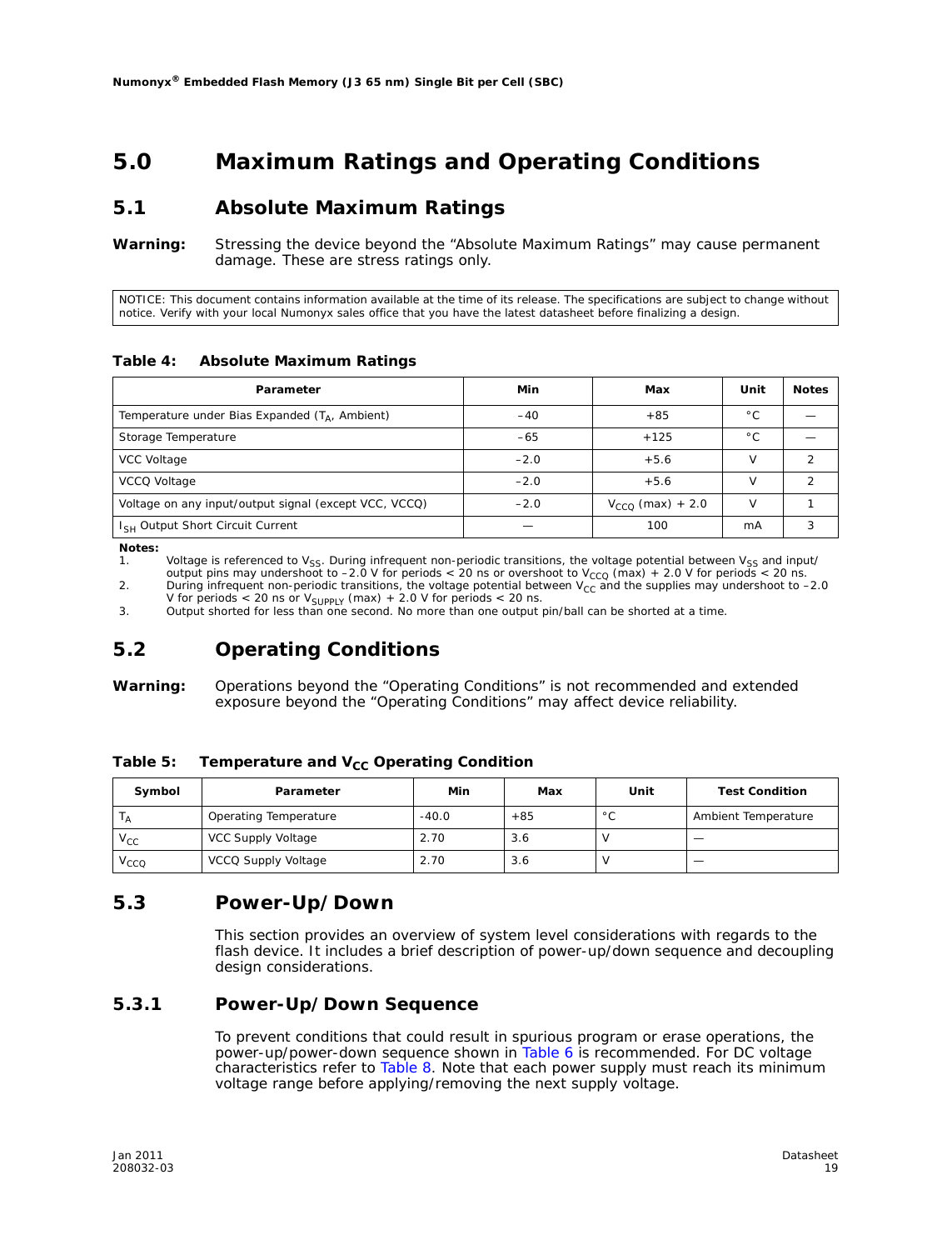### **5.0 Maximum Ratings and Operating Conditions**

#### **5.1 Absolute Maximum Ratings**

*Warning:* Stressing the device beyond the "Absolute Maximum Ratings" may cause permanent damage. These are stress ratings only.

NOTICE: This document contains information available at the time of its release. The specifications are subject to change without notice. Verify with your local Numonyx sales office that you have the latest datasheet before finalizing a design.

#### **Table 4: Absolute Maximum Ratings**

| Parameter                                             | Min    | Max                   | Unit          | <b>Notes</b> |
|-------------------------------------------------------|--------|-----------------------|---------------|--------------|
| Temperature under Bias Expanded $(T_A,$ Ambient)      | $-40$  | $+85$                 | $^{\circ}$ C  |              |
| Storage Temperature                                   | $-65$  | $+125$                | °С            |              |
| VCC Voltage                                           | $-2.0$ | $+5.6$                |               |              |
| VCCQ Voltage                                          | $-2.0$ | $+5.6$                |               |              |
| Voltage on any input/output signal (except VCC, VCCQ) | $-2.0$ | $V_{CCO}$ (max) + 2.0 | $\mathcal{U}$ |              |
| I <sub>SH</sub> Output Short Circuit Current          |        | 100                   | mA            |              |

*Notes:*

1. Voltage is referenced to  $V_{SS}$ . During infrequent non-periodic transitions, the voltage potential between  $V_{SS}$  and input/ output pins may undershoot to –2.0 V for periods < 20 ns or overshoot to V<sub>CCQ</sub> (max) + 2.0 V for periods < 20 ns. 2. During infrequent non-periodic transitions, the voltage potential between  $V_{CC}$  and the supplies may undershoot to -2.0

V for periods < 20 ns or  $V_{\text{SUPPLY}}$  (max) + 2.0 V for periods < 20 ns.

3. Output shorted for less than one second. No more than one output pin/ball can be shorted at a time.

### **5.2 Operating Conditions**

*Warning:* Operations beyond the "Operating Conditions" is not recommended and extended exposure beyond the "Operating Conditions" may affect device reliability.

Table 5: Temperature and V<sub>CC</sub> Operating Condition

| Symbol                     | Parameter             | Min     | Max   | Unit           | <b>Test Condition</b> |
|----------------------------|-----------------------|---------|-------|----------------|-----------------------|
|                            | Operating Temperature | $-40.0$ | $+85$ | $\circ$ $\sim$ | Ambient Temperature   |
| $\mathsf{v}_{\mathsf{cc}}$ | VCC Supply Voltage    | 2.70    | 3.6   |                |                       |
| $\mathsf{v}_\mathsf{CCQ}$  | VCCQ Supply Voltage   | 2.70    | 3.6   |                |                       |

#### **5.3 Power-Up/Down**

This section provides an overview of system level considerations with regards to the flash device. It includes a brief description of power-up/down sequence and decoupling design considerations.

#### **5.3.1 Power-Up/Down Sequence**

To prevent conditions that could result in spurious program or erase operations, the power-up/power-down sequence shown in Table 6 is recommended. For DC voltage characteristics refer to Table 8. Note that each power supply must reach its minimum voltage range before applying/removing the next supply voltage.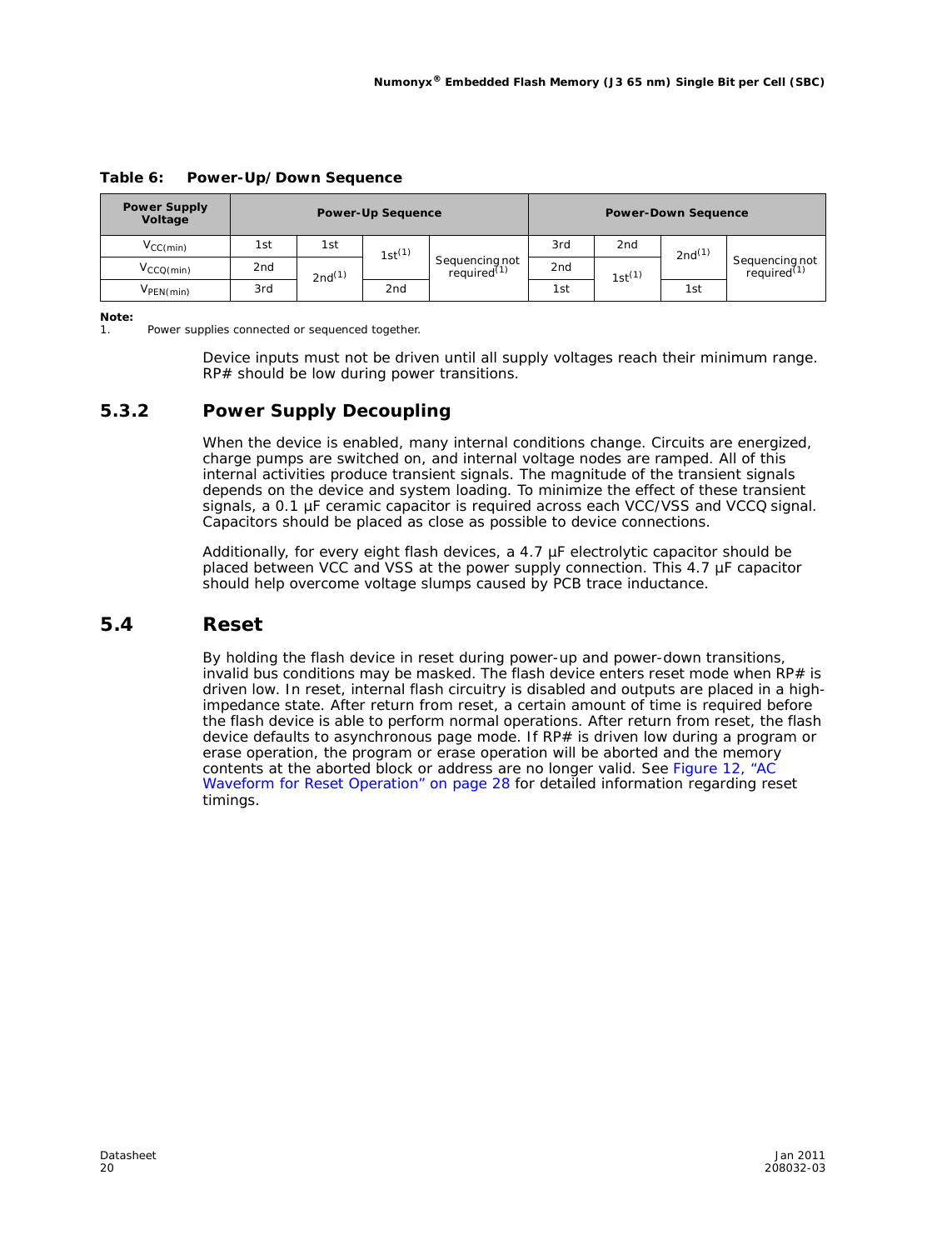| <b>Power Supply</b><br>Voltage | <b>Power-Up Sequence</b> |             |                 | <b>Power-Down Sequence</b>                |                 |                 |                    |                                           |
|--------------------------------|--------------------------|-------------|-----------------|-------------------------------------------|-----------------|-----------------|--------------------|-------------------------------------------|
| $V_{CC(min)}$                  | 1st                      | 1st         | $1st^{(1)}$     |                                           | 3rd             | 2 <sub>nd</sub> | 2nd <sup>(1)</sup> |                                           |
| $V_{CCQ(min)}$                 | 2 <sub>nd</sub>          | $2nd^{(1)}$ |                 | Sequencing not<br>required <sup>(1)</sup> | 2 <sub>nd</sub> | $1st^{(1)}$     |                    | Sequencing not<br>required <sup>(1)</sup> |
| V <sub>PEN</sub> (min)         | 3rd                      |             | 2 <sub>nd</sub> |                                           | 1st             |                 | 1st                |                                           |

#### **Table 6: Power-Up/Down Sequence**

*Note:*

Power supplies connected or sequenced together.

Device inputs must not be driven until all supply voltages reach their minimum range. RP# should be low during power transitions.

#### **5.3.2 Power Supply Decoupling**

When the device is enabled, many internal conditions change. Circuits are energized, charge pumps are switched on, and internal voltage nodes are ramped. All of this internal activities produce transient signals. The magnitude of the transient signals depends on the device and system loading. To minimize the effect of these transient signals, a 0.1 µF ceramic capacitor is required across each VCC/VSS and VCCQ signal. Capacitors should be placed as close as possible to device connections.

Additionally, for every eight flash devices, a 4.7 µF electrolytic capacitor should be placed between VCC and VSS at the power supply connection. This 4.7 µF capacitor should help overcome voltage slumps caused by PCB trace inductance.

#### **5.4 Reset**

By holding the flash device in reset during power-up and power-down transitions, invalid bus conditions may be masked. The flash device enters reset mode when  $RP#$  is driven low. In reset, internal flash circuitry is disabled and outputs are placed in a highimpedance state. After return from reset, a certain amount of time is required before the flash device is able to perform normal operations. After return from reset, the flash device defaults to asynchronous page mode. If RP# is driven low during a program or erase operation, the program or erase operation will be aborted and the memory contents at the aborted block or address are no longer valid. See Figure 12, "AC Waveform for Reset Operation" on page 28 for detailed information regarding reset timings.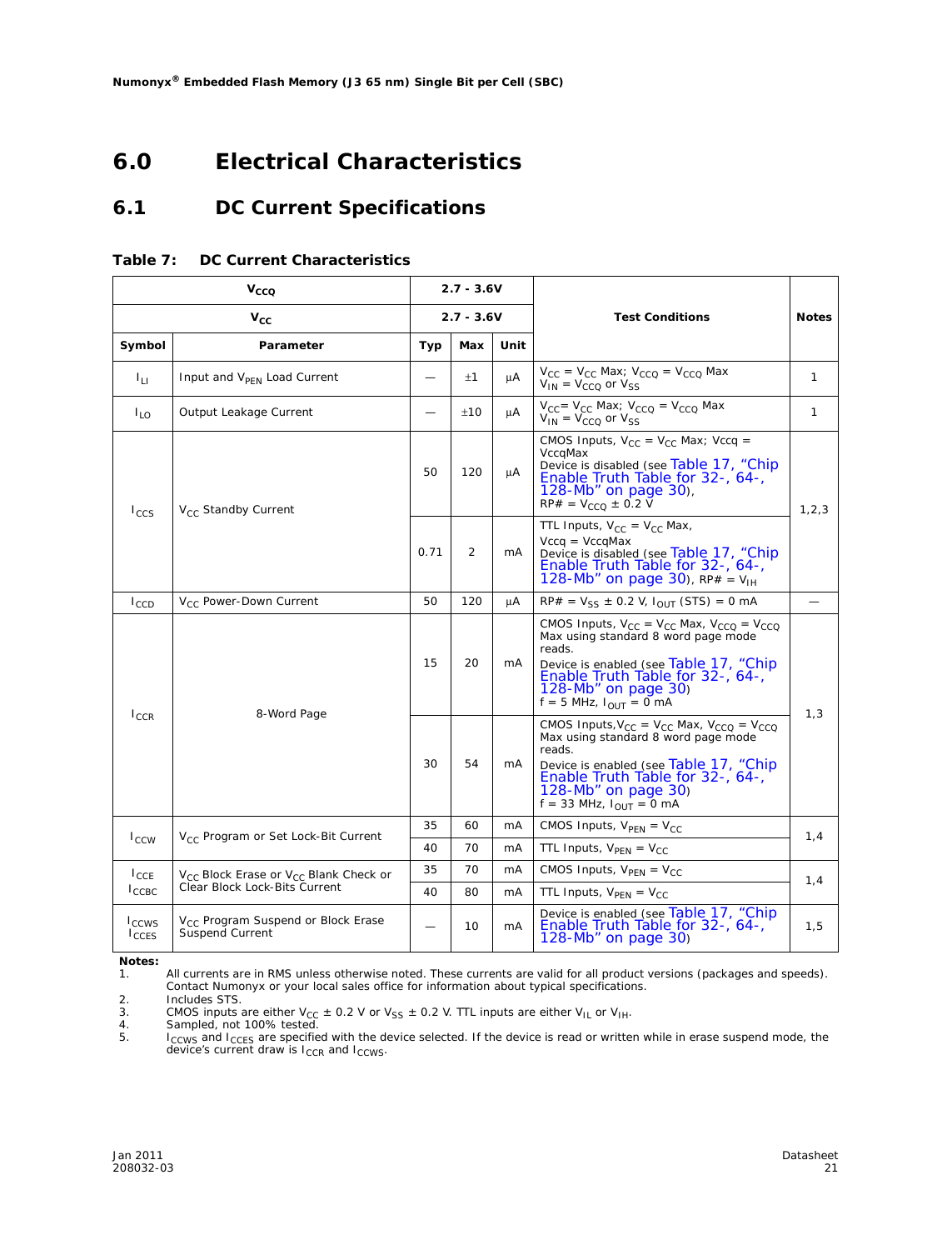### **6.0 Electrical Characteristics**

### **6.1 DC Current Specifications**

|                                 | $V_{CCO}$                                                         | $2.7 - 3.6V$ |              |                |                                                                                                                                                                                                                                                 |              |
|---------------------------------|-------------------------------------------------------------------|--------------|--------------|----------------|-------------------------------------------------------------------------------------------------------------------------------------------------------------------------------------------------------------------------------------------------|--------------|
|                                 | $V_{\text{CC}}$                                                   |              | $2.7 - 3.6V$ |                | <b>Test Conditions</b>                                                                                                                                                                                                                          | <b>Notes</b> |
| Symbol                          | Parameter                                                         | Typ          | Max          | Unit           |                                                                                                                                                                                                                                                 |              |
| 4 L                             | Input and V <sub>PFN</sub> Load Current                           |              | ±1           | μA             | $V_{CC} = V_{CC}$ Max; $V_{CCQ} = V_{CCQ}$ Max<br>$V_{IN} = V_{CCO}$ or $V_{SS}$                                                                                                                                                                | 1            |
| $I_{10}$                        | Output Leakage Current                                            |              | ±10          | μA             | $V_{CC} = V_{CC}$ Max; $V_{CCQ} = V_{CCQ}$ Max<br>$V_{\text{IN}} = V_{\text{CCQ}}$ or $V_{\text{SS}}$                                                                                                                                           | $\mathbf{1}$ |
| $I_{CCS}$                       | V <sub>CC</sub> Standby Current                                   |              | 120          | μA             | CMOS Inputs, $V_{CC} = V_{CC}$ Max; Vccq =<br>VccqMax<br>Device is disabled (see Table 17, "Chip<br>Enable Truth Table for 32-, 64-,<br>128-Mb" on page 30),<br>$RP# = V_{CCO} \pm 0.2 V$                                                       | 1, 2, 3      |
|                                 |                                                                   | 0.71         | 2            | mA             | TTL Inputs, $V_{CC} = V_{CC}$ Max,<br>$Vccq = VccqMax$<br>Device is disabled (see Table 17, "Chip<br>Enable Truth Table for 32-, 64-,<br>128-Mb" on page 30), $RP# = V_{\text{H}}$                                                              |              |
| $I_{CCD}$                       | V <sub>CC</sub> Power-Down Current                                | 50           | 120          | μA             | $RP# = V_{SS} \pm 0.2 V, I_{OUT} (STS) = 0 mA$                                                                                                                                                                                                  |              |
|                                 |                                                                   | 15           | 20           | mA             | CMOS Inputs, $V_{CC} = V_{CC}$ Max, $V_{CCO} = V_{CCO}$<br>Max using standard 8 word page mode<br>reads.<br>Device is enabled (see Table 17, "Chip<br>Enable Truth Table for 32-, 64-,<br>128-Mb" on page 30)<br>$f = 5$ MHz, $I_{OIII} = 0$ mA |              |
| $I_{CCR}$                       | 8-Word Page                                                       | 30           | 54           | mA             | CMOS Inputs, $V_{CC} = V_{CC}$ Max, $V_{CCQ} = V_{CCQ}$<br>Max using standard 8 word page mode<br>reads.<br>Device is enabled (see Table 17, "Chip<br>Enable Truth Table for 32-, 64-,<br>128-Mb" on page 30)<br>$f = 33$ MHz, $I_{OUT} = 0$ mA | 1,3          |
|                                 | V <sub>CC</sub> Program or Set Lock-Bit Current                   | 35           | 60           | m <sub>A</sub> | CMOS Inputs, $V_{\text{PFN}} = V_{\text{CC}}$                                                                                                                                                                                                   | 1,4          |
| $I_{\text{CCW}}$                |                                                                   | 40           | 70           | mA             | TTL Inputs, $V_{\text{PEN}} = V_{\text{CC}}$                                                                                                                                                                                                    |              |
| $I_{CCE}$                       | V <sub>CC</sub> Block Erase or V <sub>CC</sub> Blank Check or     | 35           | 70           | mA             | CMOS Inputs, $V_{\text{PFN}} = V_{\text{CC}}$                                                                                                                                                                                                   | 1,4          |
| $I_{\text{CCBC}}$               | Clear Block Lock-Bits Current                                     | 40           | 80           | mA             | TTL Inputs, $V_{\text{PFN}} = V_{\text{CC}}$                                                                                                                                                                                                    |              |
| I <sub>CCWS</sub><br>$I_{CCES}$ | V <sub>CC</sub> Program Suspend or Block Erase<br>Suspend Current |              | 10           | mA             | Device is enabled (see Table 17, "Chip<br>Enable Truth Table for 32-, 64-,<br>128-Mb" on page $30$ )                                                                                                                                            | 1,5          |

#### **Table 7: DC Current Characteristics**

*Notes:*

1. All currents are in RMS unless otherwise noted. These currents are valid for all product versions (packages and speeds). Contact Numonyx or your local sales office for information about typical specifications.

2. Includes STS.<br>3. CMOS inputs a 3. CMOS inputs are either V<sub>CC</sub>  $\pm$  0.2 V or V<sub>SS</sub>  $\pm$  0.2 V. TTL inputs are either V<sub>IL</sub> or V<sub>IH</sub>.<br>4. Sampled, not 100% tested.

5. I<sub>CCWS</sub> and I<sub>CCES</sub> are specified with the device selected. If the device is read or written while in erase suspend mode, the device's current draw is I<sub>CCR</sub> and I<sub>CCWS</sub>.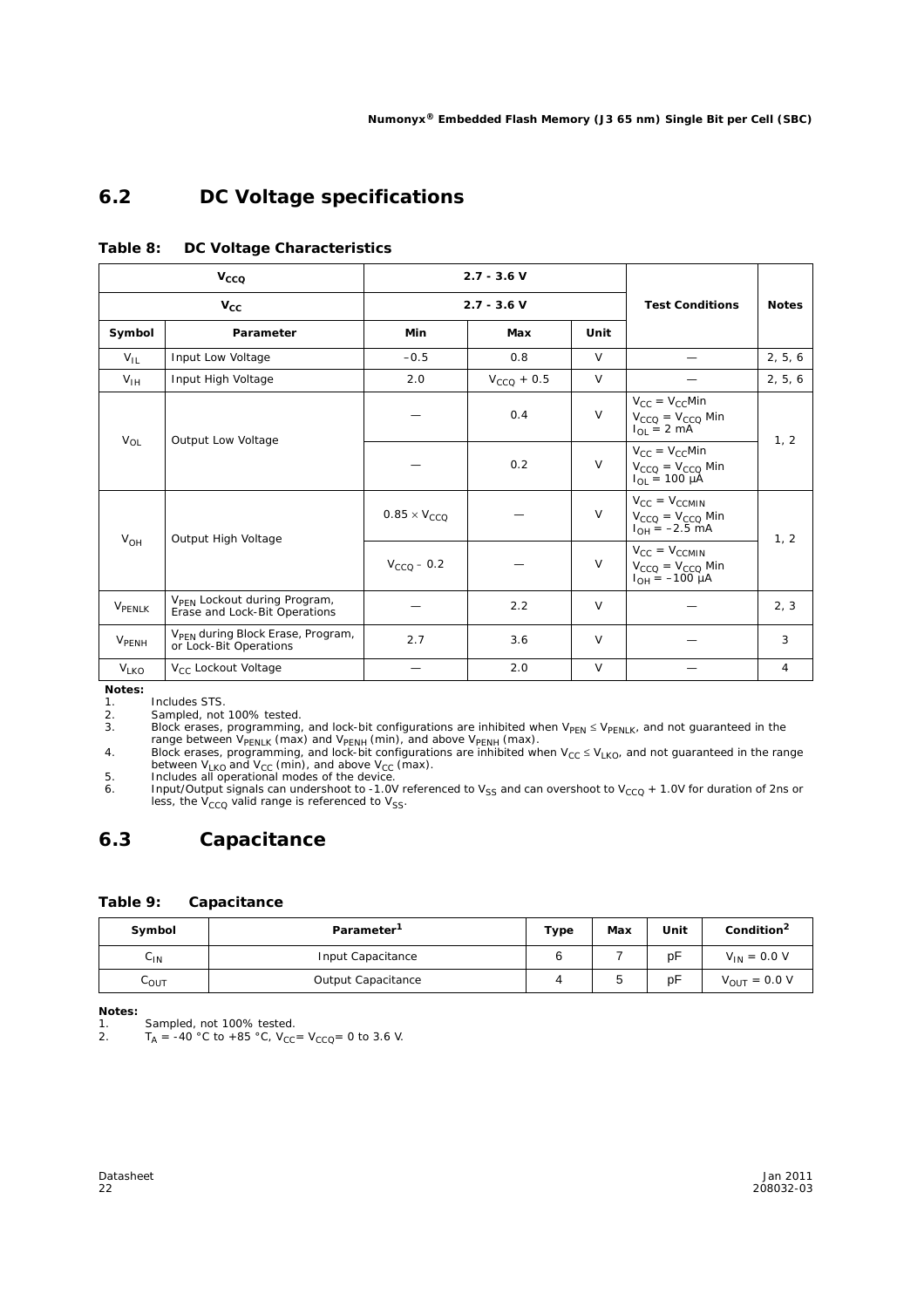### **6.2 DC Voltage specifications**

|                         | $V_{CCQ}$                                                                 |                                     | $2.7 - 3.6 V$                                                                   |        |                                                                                    |              |  |
|-------------------------|---------------------------------------------------------------------------|-------------------------------------|---------------------------------------------------------------------------------|--------|------------------------------------------------------------------------------------|--------------|--|
|                         | $V_{\rm CC}$                                                              |                                     | $2.7 - 3.6 V$                                                                   |        | <b>Test Conditions</b>                                                             | <b>Notes</b> |  |
| Symbol                  | Parameter                                                                 | Min                                 | Max                                                                             | Unit   |                                                                                    |              |  |
| $V_{IL}$                | Input Low Voltage                                                         | $-0.5$                              | 0.8                                                                             | $\vee$ |                                                                                    | 2, 5, 6      |  |
| $V_{\text{IH}}$         | Input High Voltage                                                        | 2.0                                 | $V_{CCQ}$ + 0.5                                                                 | $\vee$ |                                                                                    | 2, 5, 6      |  |
| $V_{\text{O}}$          |                                                                           |                                     | 0.4                                                                             | $\vee$ | $V_{CC} = V_{CC}$ Min<br>$V_{CCQ} = V_{CCQ}$ Min<br>$I_{\text{OI}} = 2 \text{ mA}$ | 1, 2         |  |
|                         |                                                                           | Output Low Voltage<br>0.2<br>$\vee$ | $V_{CC} = V_{CC}$ Min<br>$V_{CCO} = V_{CCO}$ Min<br>$I_{\text{OI}} = 100 \mu A$ |        |                                                                                    |              |  |
| $V_{OH}$                |                                                                           | $0.85 \times V_{CCO}$               |                                                                                 | $\vee$ | $V_{CC} = V_{CCMIN}$<br>$V_{CCO} = V_{CCO}$ Min<br>$I_{OH} = -2.5$ mA              | 1, 2         |  |
|                         | Output High Voltage                                                       | $V_{CCQ}$ – 0.2                     |                                                                                 | $\vee$ | $V_{CC} = V_{CCMIN}$<br>$V_{CCO} = V_{CCO}$ Min<br>$I_{OH} = -100 \mu A$           |              |  |
| VPENLK                  | V <sub>PFN</sub> Lockout during Program,<br>Erase and Lock-Bit Operations |                                     | 2.2                                                                             | $\vee$ |                                                                                    | 2, 3         |  |
| <b>V<sub>PENH</sub></b> | V <sub>PFN</sub> during Block Erase, Program,<br>or Lock-Bit Operations   | 2.7                                 | 3.6                                                                             | V      |                                                                                    | 3            |  |
| V <sub>LKO</sub>        | V <sub>CC</sub> Lockout Voltage                                           |                                     | 2.0                                                                             | $\vee$ |                                                                                    | 4            |  |

#### **Table 8: DC Voltage Characteristics**

*Notes:*

1. Includes STS.<br>2. Sampled, not

2. Sampled, not 100% tested.<br>3. Block erases, programming

 $3.$  Block erases, programming, and lock-bit configurations are inhibited when  $V_{\text{PEN}} \leq V_{\text{PENLK}}$ , and not guaranteed in the

range between V<sub>PENLK</sub> (max) and V<sub>PENH</sub> (min), and above V<sub>PENH</sub> (max).<br>4. Block erases, programming, and lock-bit configurations are inhibited when V<sub>CC</sub> ≤ V<sub>LKO</sub>, and not guaranteed in the range<br>between V<sub>LKO</sub> and V<sub>CC</sub>

6. Input/Output signals can undershoot to -1.0V referenced to V<sub>SS</sub> and can overshoot to V<sub>CCQ</sub> + 1.0V for duration of 2ns or less, the V<sub>CCQ</sub> valid range is referenced to V<sub>SS</sub>.

### **6.3 Capacitance**

#### **Table 9: Capacitance**

| Symbol                     | Parameter <sup>1</sup> |  | Max | Unit | Condition <sup>2</sup> |
|----------------------------|------------------------|--|-----|------|------------------------|
| $\mathsf{C}_{\mathsf{IN}}$ | Input Capacitance      |  |     | pF   | $V_{IN} = 0.0 V$       |
| LOUT                       | Output Capacitance     |  | u   | рF   | $V_{OUT} = 0.0 V$      |

*Notes:*

1. Sampled, not 100% tested.<br>2.  $T_A = -40 \degree C$  to  $+85 \degree C$ , V<sub>CC</sub>

 $T_A$  = -40 °C to +85 °C,  $V_{CC}$  =  $V_{CCQ}$  = 0 to 3.6 V.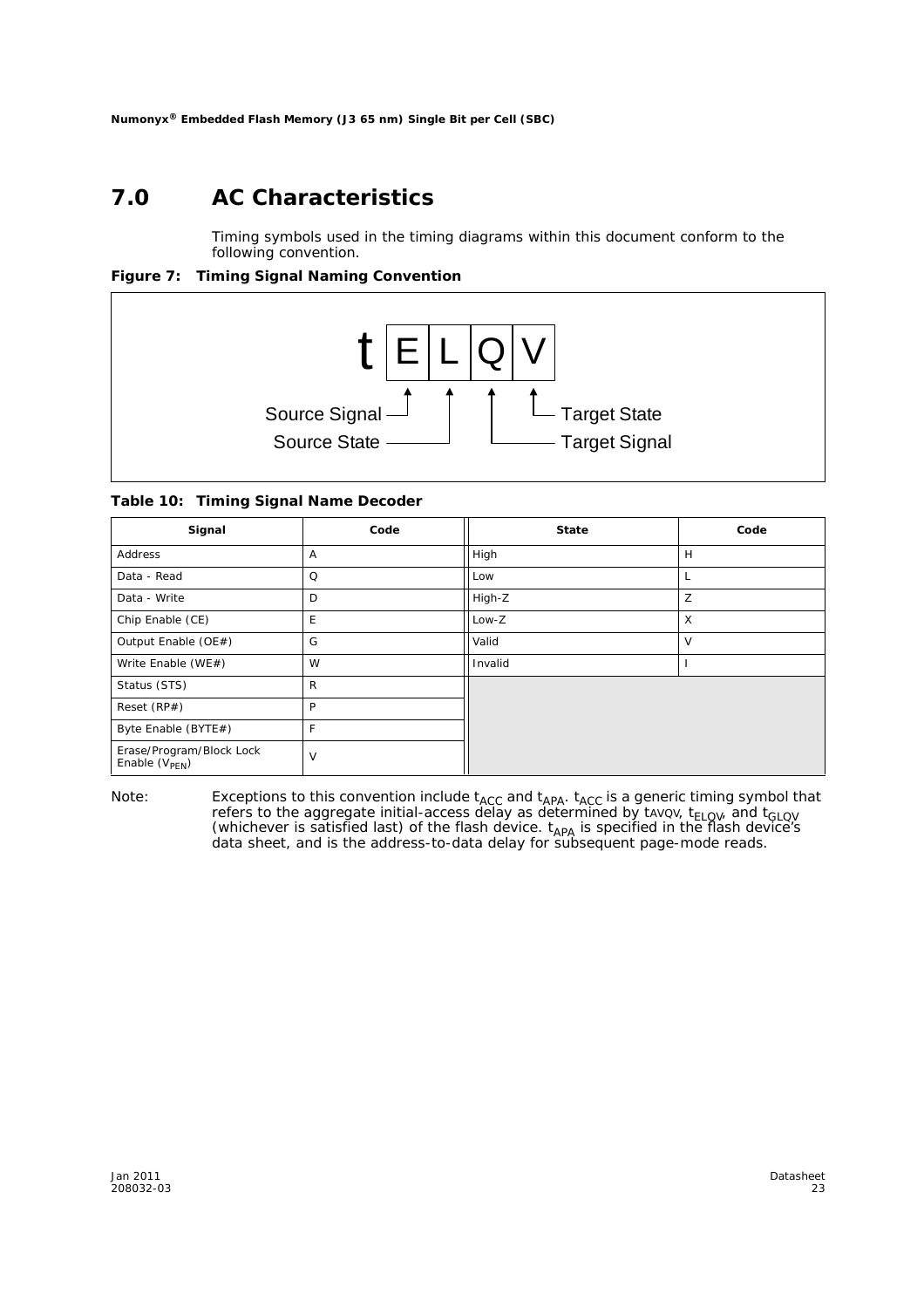### **7.0 AC Characteristics**

Timing symbols used in the timing diagrams within this document conform to the following convention.

**Figure 7: Timing Signal Naming Convention**



**Table 10: Timing Signal Name Decoder**

| Signal                                                | Code | <b>State</b> | Code |
|-------------------------------------------------------|------|--------------|------|
| Address                                               | A    | High         | H    |
| Data - Read                                           | Q    | Low          | L    |
| Data - Write                                          | D    | High-Z       | Z    |
| Chip Enable (CE)                                      | E    | Low-Z        | X    |
| Output Enable (OE#)                                   | G    | Valid        | v    |
| Write Enable (WE#)                                    | W    | Invalid      |      |
| Status (STS)                                          | R    |              |      |
| Reset (RP#)                                           | P    |              |      |
| Byte Enable (BYTE#)                                   | F    |              |      |
| Erase/Program/Block Lock<br>Enable $(V_{\text{PEN}})$ | V    |              |      |

*Note:* Exceptions to this convention include t<sub>ACC</sub> and t<sub>APA</sub>. t<sub>ACC</sub> is a generic timing symbol that refers to the aggregate initial-access delay as determined by tavov, t<sub>ELQV</sub>, and t<sub>GLQV</sub> (whichever is satisfied last) of the flash device.  $t_{APA}$  is specified in the flash device's data sheet, and is the address-to-data delay for subsequent page-mode reads.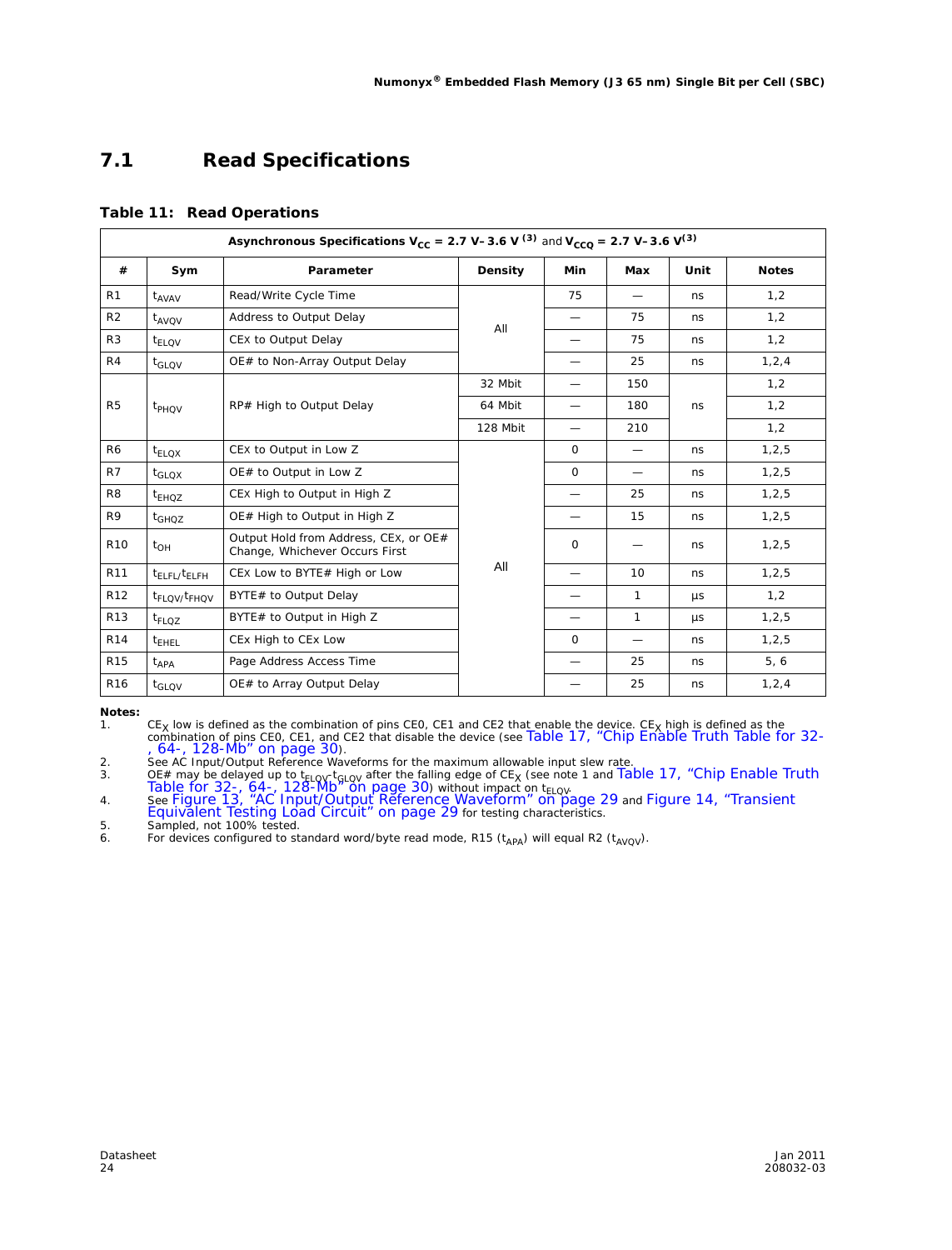### **7.1 Read Specifications**

#### **Table 11: Read Operations**

|                 | Asynchronous Specifications $V_{CC}$ = 2.7 V-3.6 V <sup>(3)</sup> and $V_{CCQ}$ = 2.7 V-3.6 V <sup>(3)</sup> |                                                                         |          |                          |                          |         |              |  |  |
|-----------------|--------------------------------------------------------------------------------------------------------------|-------------------------------------------------------------------------|----------|--------------------------|--------------------------|---------|--------------|--|--|
| #               | Sym                                                                                                          | Parameter                                                               | Density  | <b>Min</b>               | Max                      | Unit    | <b>Notes</b> |  |  |
| R1              | $t_{AVAV}$                                                                                                   | Read/Write Cycle Time                                                   |          | 75                       | $\overline{\phantom{0}}$ | ns      | 1,2          |  |  |
| R <sub>2</sub>  | $t_{AVOV}$                                                                                                   | Address to Output Delay                                                 | All      |                          | 75                       | ns      | 1,2          |  |  |
| R <sub>3</sub>  | $t_{ELOV}$                                                                                                   | CEX to Output Delay                                                     |          |                          | 75                       | ns      | 1,2          |  |  |
| R4              | $t_{\text{GLOV}}$                                                                                            | OE# to Non-Array Output Delay                                           |          |                          | 25                       | ns      | 1, 2, 4      |  |  |
|                 |                                                                                                              |                                                                         | 32 Mbit  |                          | 150                      |         | 1,2          |  |  |
| R <sub>5</sub>  | t <sub>PHQV</sub>                                                                                            | RP# High to Output Delay                                                | 64 Mbit  |                          | 180                      | ns      | 1,2          |  |  |
|                 |                                                                                                              |                                                                         | 128 Mbit |                          | 210                      |         | 1,2          |  |  |
| R <sub>6</sub>  | $t_{ELOX}$                                                                                                   | CEX to Output in Low Z                                                  |          | $\Omega$                 | $\overline{\phantom{0}}$ | ns      | 1, 2, 5      |  |  |
| R7              | $t_{\rm GI\,OX}$                                                                                             | OE# to Output in Low Z                                                  |          | $\Omega$                 | $\equiv$                 | ns      | 1, 2, 5      |  |  |
| R <sub>8</sub>  | $t_{EHOZ}$                                                                                                   | CEX High to Output in High Z                                            |          | $\overline{\phantom{0}}$ | 25                       | ns      | 1, 2, 5      |  |  |
| R9              | $t_{GHOZ}$                                                                                                   | OE# High to Output in High Z                                            |          |                          | 15                       | ns      | 1, 2, 5      |  |  |
| R <sub>10</sub> | $t_{OH}$                                                                                                     | Output Hold from Address, CEX, or OE#<br>Change, Whichever Occurs First |          | $\Omega$                 | $\overline{\phantom{0}}$ | ns      | 1, 2, 5      |  |  |
| R <sub>11</sub> | $t_{\rm FI\,FI}$ / $t_{\rm FI\,FH}$                                                                          | CEX Low to BYTE# High or Low                                            | All      |                          | 10                       | ns      | 1, 2, 5      |  |  |
| R <sub>12</sub> | t <sub>FLQV/</sub> t <sub>FHQV</sub>                                                                         | BYTE# to Output Delay                                                   |          |                          | 1                        | $\mu$ s | 1,2          |  |  |
| R <sub>13</sub> | $t_{FLOZ}$                                                                                                   | BYTE# to Output in High Z                                               |          |                          | $\mathbf{1}$             | $\mu$ s | 1, 2, 5      |  |  |
| R <sub>14</sub> | t <sub>EHEL</sub>                                                                                            | CEx High to CEx Low                                                     |          | $\Omega$                 | $\overline{\phantom{0}}$ | ns      | 1, 2, 5      |  |  |
| R <sub>15</sub> | $t_{APA}$                                                                                                    | Page Address Access Time                                                |          |                          | 25                       | ns      | 5, 6         |  |  |
| R <sub>16</sub> | $t_{\text{GLOV}}$                                                                                            | OE# to Array Output Delay                                               |          |                          | 25                       | ns      | 1, 2, 4      |  |  |

*Notes:*

1. CE<sub>X</sub> low is defined as the combination of pins CEO, CE1 and CE2 that enable the device. CE<sub>X</sub> high is defined as the combination of pins CEO, CE1, and CE2 that disable the device (see Table 17, "Chip Enable Truth Tabl

4. See Figure 13, "AC Input/Output Reference Waveform" on page 29 and Figure 14, "Transient Equivalent Testing Load Circuit" on page 29 for testing characteristics.

5. Sampled, not 100% tested.

6. For devices configured to standard word/byte read mode, R15 ( $t_{APA}$ ) will equal R2 ( $t_{AVQV}$ ).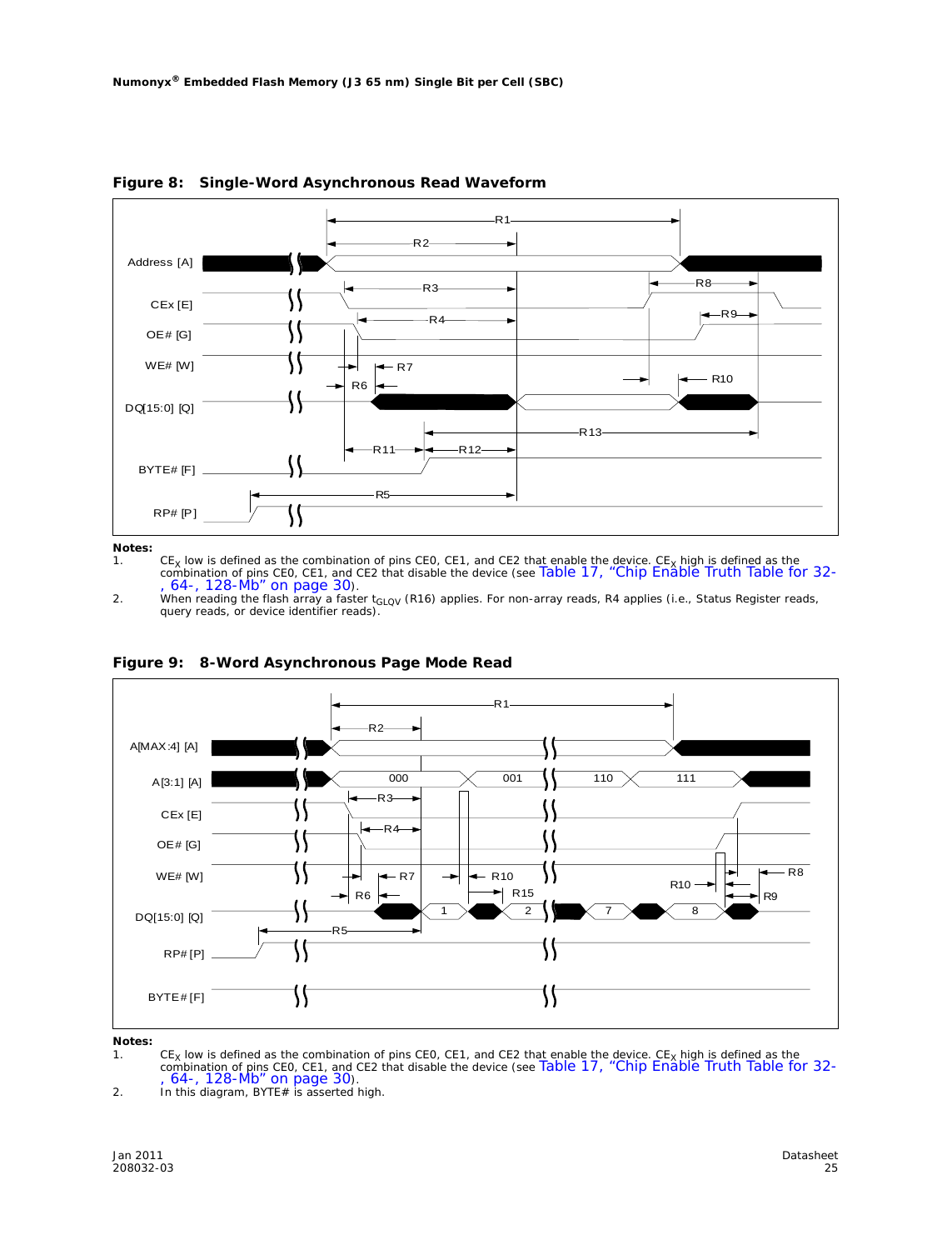

**Figure 8: Single-Word Asynchronous Read Waveform**

*Notes:*

1. CE<sub>X</sub> low is defined as the combination of pins CEO, CE1, and CE2 that enable the device. CE<sub>X</sub> high is defined as the<br>combination of pins CEO, CE1, and CE2 that disable the device (see Table 17, "Chip Enable Truth Tabl

2. When reading the flash array a faster t<sub>GLQV</sub> (R16) applies. For non-array reads, R4 applies (i.e., Status Register reads, query reads, or device identifier reads).



**Figure 9: 8-Word Asynchronous Page Mode Read**

*Notes:* 1. CE<sub>X</sub> low is defined as the combination of pins CEO, CE1, and CE2 that enable the device. CE<sub>X</sub> high is defined as the<br>combination of pins CEO, CE1, and CE2 that disable the device (see Table 17, "Chip Enable Truth Tabl

2. In this diagram, BYTE# is asserted high.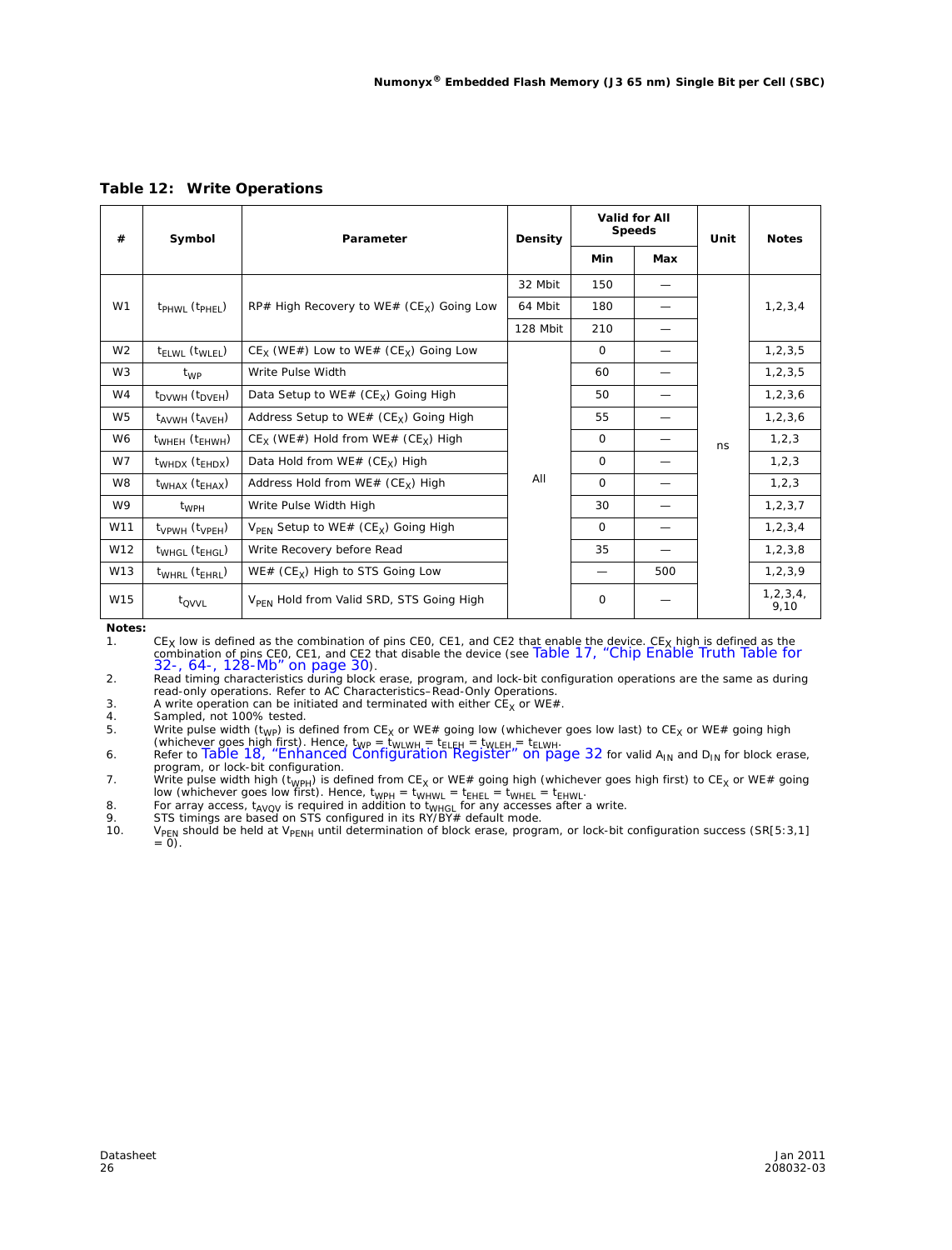| #<br>Symbol    |                                         | Parameter                                                   |          | Valid for All<br><b>Speeds</b> |     | Unit | <b>Notes</b>        |
|----------------|-----------------------------------------|-------------------------------------------------------------|----------|--------------------------------|-----|------|---------------------|
|                |                                         |                                                             |          | Min                            | Max |      |                     |
|                |                                         |                                                             | 32 Mbit  | 150                            |     |      |                     |
| W1             | $t_{PHWI}$ ( $t_{PHFI}$ )               | RP# High Recovery to WE# ( $CEx$ ) Going Low                | 64 Mbit  | 180                            |     |      | 1, 2, 3, 4          |
|                |                                         |                                                             | 128 Mbit | 210                            |     |      |                     |
| W <sub>2</sub> | t <sub>ELWL</sub> (t <sub>WLEL</sub> )  | $CE_x$ (WE#) Low to WE# (CE <sub>x</sub> ) Going Low        |          | $\Omega$                       |     |      | 1, 2, 3, 5          |
| W <sub>3</sub> | t <sub>WP</sub>                         | Write Pulse Width                                           |          | 60                             |     |      | 1, 2, 3, 5          |
| W4             | $t_{\text{DVWH}}(t_{\text{DVFH}})$      | Data Setup to WE# ( $CE_x$ ) Going High                     |          | 50                             |     |      | 1, 2, 3, 6          |
| W <sub>5</sub> | $t_{AVWH}$ ( $t_{AVEH}$ )               | Address Setup to WE# $(CEx)$ Going High                     |          | 55                             |     |      | 1, 2, 3, 6          |
| W <sub>6</sub> | $t_{\text{WHEH}}$ ( $t_{\text{EHWH}}$ ) | $CE_x$ (WE#) Hold from WE# (CE <sub>x</sub> ) High          |          | $\Omega$                       |     | ns   | 1, 2, 3             |
| W7             | $t_{WHDX}$ ( $t_{EHDX}$ )               | Data Hold from WE# $(CE_y)$ High                            |          | $\Omega$                       |     |      | 1, 2, 3             |
| W8             | $tWHAX$ ( $tEHAX$ )                     | Address Hold from $WE# (CE_x)$ High                         | All      | $\Omega$                       |     |      | 1, 2, 3             |
| W9             | $t_{WPH}$                               | Write Pulse Width High                                      |          | 30                             |     |      | 1, 2, 3, 7          |
| W11            | $t_{VPWH}$ ( $t_{VPEH}$ )               | $V_{\text{PFN}}$ Setup to WE# (CE <sub>X</sub> ) Going High |          | $\Omega$                       |     |      | 1, 2, 3, 4          |
| W12            | $t_{WHGI}$ ( $t_{FHGI}$ )               | Write Recovery before Read                                  |          | 35                             |     |      | 1, 2, 3, 8          |
| W13            | $t_{WHRL}$ ( $t_{EHRL}$ )               | WE# ( $CEx$ ) High to STS Going Low                         |          |                                | 500 |      | 1, 2, 3, 9          |
| W15            | $t_{\rm OVVI}$                          | V <sub>PFN</sub> Hold from Valid SRD, STS Going High        |          | $\mathbf 0$                    |     |      | 1, 2, 3, 4,<br>9,10 |

**Table 12: Write Operations**

*Notes:*

1. CE<sub>X</sub> low is defined as the combination of pins CEO, CE1, and CE2 that enable the device. CE<sub>X</sub> high is defined as the combination of pins CEO, CE1, and CE2 that disable the device (see Table 17, "Chip Enable Truth Tabl

2. Read timing characteristics during block erase, program, and lock-bit configuration operations are the same as during

read-only operations. Refer to *AC Characteristics–Read-Only Operations*.<br>3. A write operation can be initiated and terminated with either CE<sub>X</sub> or WE#.

4. Sampled, not 100% tested.<br>5. Write pulse width  $(t_{\text{WP}})$  is de

5. Write pulse width (t<sub>WP</sub>) is defined from CE<sub>X</sub> or WE# going low (whichever goes low last) to CE<sub>X</sub> or WE# going high<br>(whichever goes high first). Hence, t<sub>WP</sub> = t<sub>WLWH</sub> = t<sub>ELEH</sub> = t<sub>WLEH</sub> = t<sub>ELWH</sub>.<br>6. Refer to Table

program, or lock-bit configuration.<br>7. Write pulse width high (t<sub>WPH</sub>) is defined from CE<sub>X</sub> or WE# going high (whichever goes high first) to CE<sub>X</sub> or WE# going

low (whichever goes low first). Hence,  $t_{WPH} = t_{WHHL} = t_{EHEL} = t_{WHEL} = t_{EHWL}$ .<br>8. For array access,  $t_{AVOV}$  is required in addition to  $t_{WHGL}$  for any accesses after a write.<br>9. STS timings are based on STS configured in its RY/

10. V<sub>PEN</sub> should be held at V<sub>PENH</sub> until determination of block erase, program, or lock-bit configuration success (SR[5:3,1]  $V_{\text{PEN}}$  should be held at  $V_{\text{PENH}}$  until determination of block erase, program, or lock-bit configuration success (SR[5:3,1] = 0).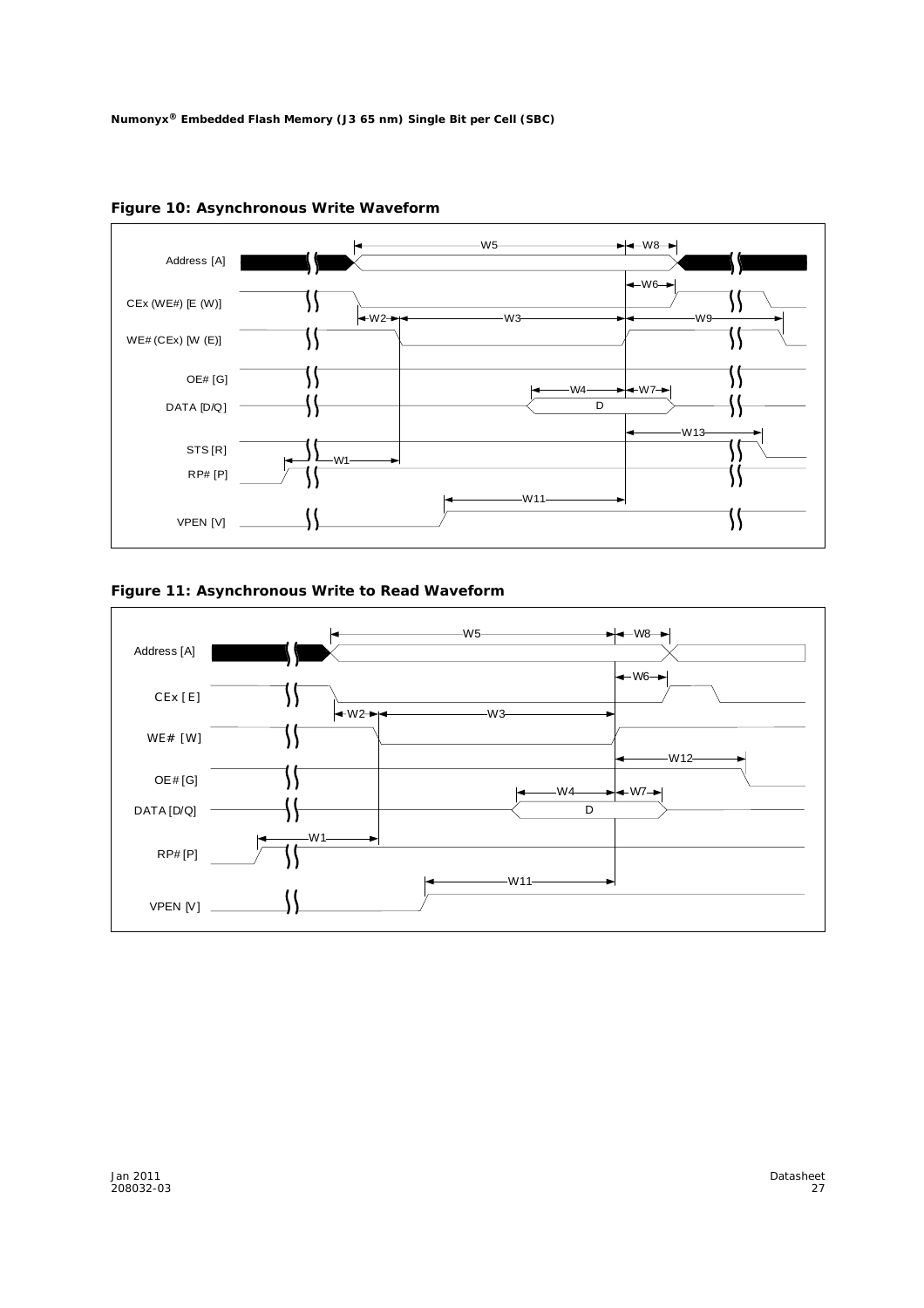

**Figure 10: Asynchronous Write Waveform**

#### **Figure 11: Asynchronous Write to Read Waveform**

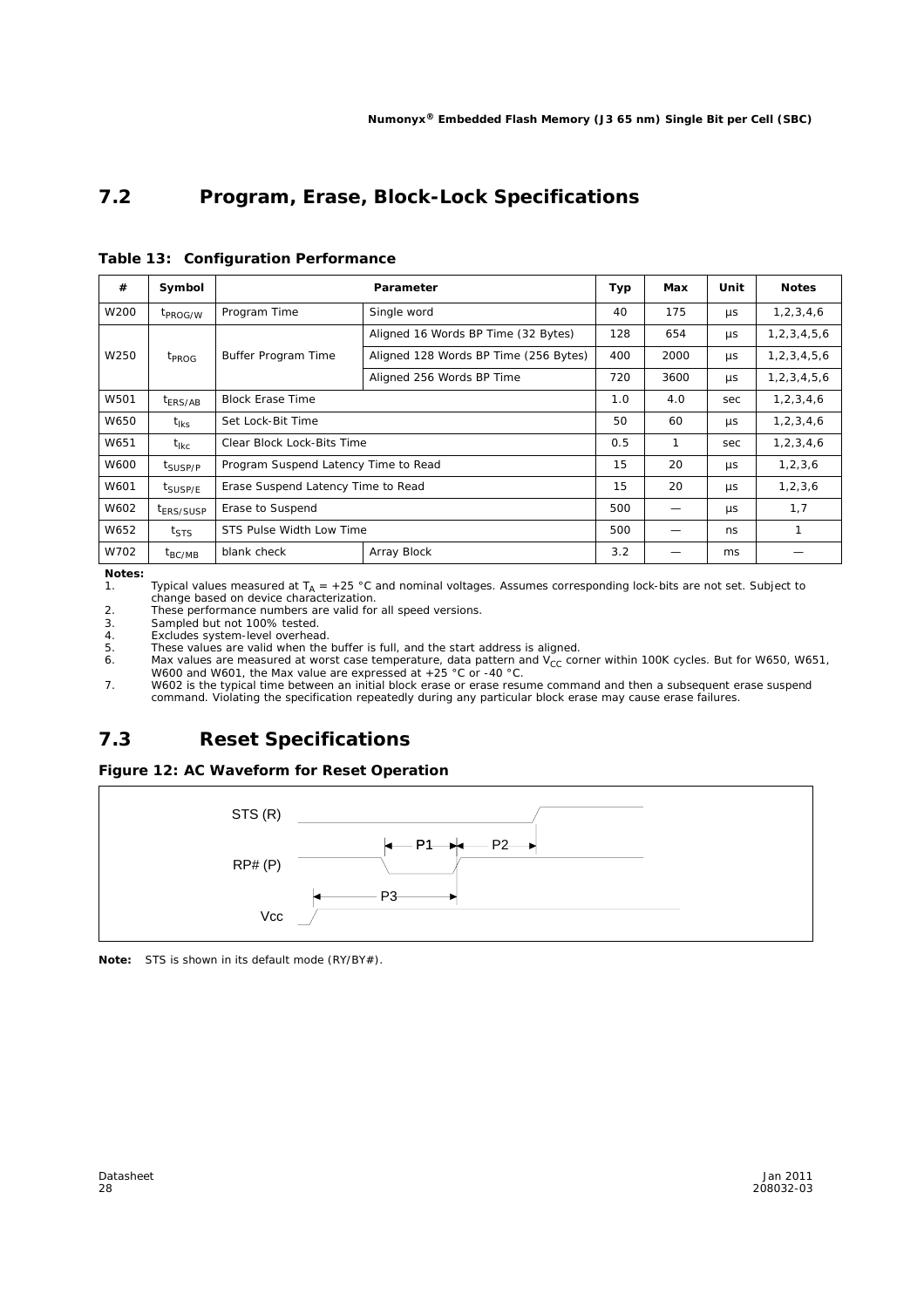### **7.2 Program, Erase, Block-Lock Specifications**

| #    | Symbol                |                                      | Parameter                             | Typ | Max  | Unit    | <b>Notes</b>     |
|------|-----------------------|--------------------------------------|---------------------------------------|-----|------|---------|------------------|
| W200 | t <sub>PROG/W</sub>   | Program Time                         | Single word                           | 40  | 175  | μs      | 1, 2, 3, 4, 6    |
|      |                       |                                      | Aligned 16 Words BP Time (32 Bytes)   | 128 | 654  | μs      | 1, 2, 3, 4, 5, 6 |
| W250 | <sup>t</sup> PROG     | Buffer Program Time                  | Aligned 128 Words BP Time (256 Bytes) | 400 | 2000 | μs      | 1, 2, 3, 4, 5, 6 |
|      |                       |                                      | Aligned 256 Words BP Time             | 720 | 3600 | μs      | 1, 2, 3, 4, 5, 6 |
| W501 | t <sub>ERS/AB</sub>   | <b>Block Erase Time</b>              |                                       | 1.0 | 4.0  | sec     | 1, 2, 3, 4, 6    |
| W650 | $t_{\rm lks}$         | Set Lock-Bit Time                    |                                       | 50  | 60   | μs      | 1, 2, 3, 4, 6    |
| W651 | t <sub>lkc</sub>      | Clear Block Lock-Bits Time           |                                       | 0.5 | 1    | sec     | 1, 2, 3, 4, 6    |
| W600 | t <sub>SUSP/P</sub>   | Program Suspend Latency Time to Read |                                       | 15  | 20   | μs      | 1, 2, 3, 6       |
| W601 | t <sub>SUSP/E</sub>   | Erase Suspend Latency Time to Read   |                                       | 15  | 20   | μs      | 1, 2, 3, 6       |
| W602 | t <sub>ERS/SUSP</sub> | Erase to Suspend                     |                                       | 500 |      | $\mu$ s | 1,7              |
| W652 | $t_{\text{STS}}$      | STS Pulse Width Low Time             |                                       | 500 |      | ns      | 1                |
| W702 | $t_{BC/MB}$           | blank check                          | Array Block                           | 3.2 |      | ms      |                  |

**Table 13: Configuration Performance**

*Notes:*

1. Typical values measured at  $T_A = +25$  °C and nominal voltages. Assumes corresponding lock-bits are not set. Subject to

change based on device characterization. 2. These performance numbers are valid for all speed versions.

3. Sampled but not 100% tested.

4. Excludes system-level overhead.<br>5. These values are valid when the 5. These values are valid when the buffer is full, and the start address is aligned.

6. Max values are measured at worst case temperature, data pattern and  $V_{CC}$  corner within 100K cycles. But for W650, W651, W600 and W601, the Max value are expressed at +25 °C or -40 °C.

7. W602 is the typical time between an initial block erase or erase resume command and then a subsequent erase suspend command. Violating the specification repeatedly during any particular block erase may cause erase failures.

### **7.3 Reset Specifications**





*Note:* STS is shown in its default mode (RY/BY#).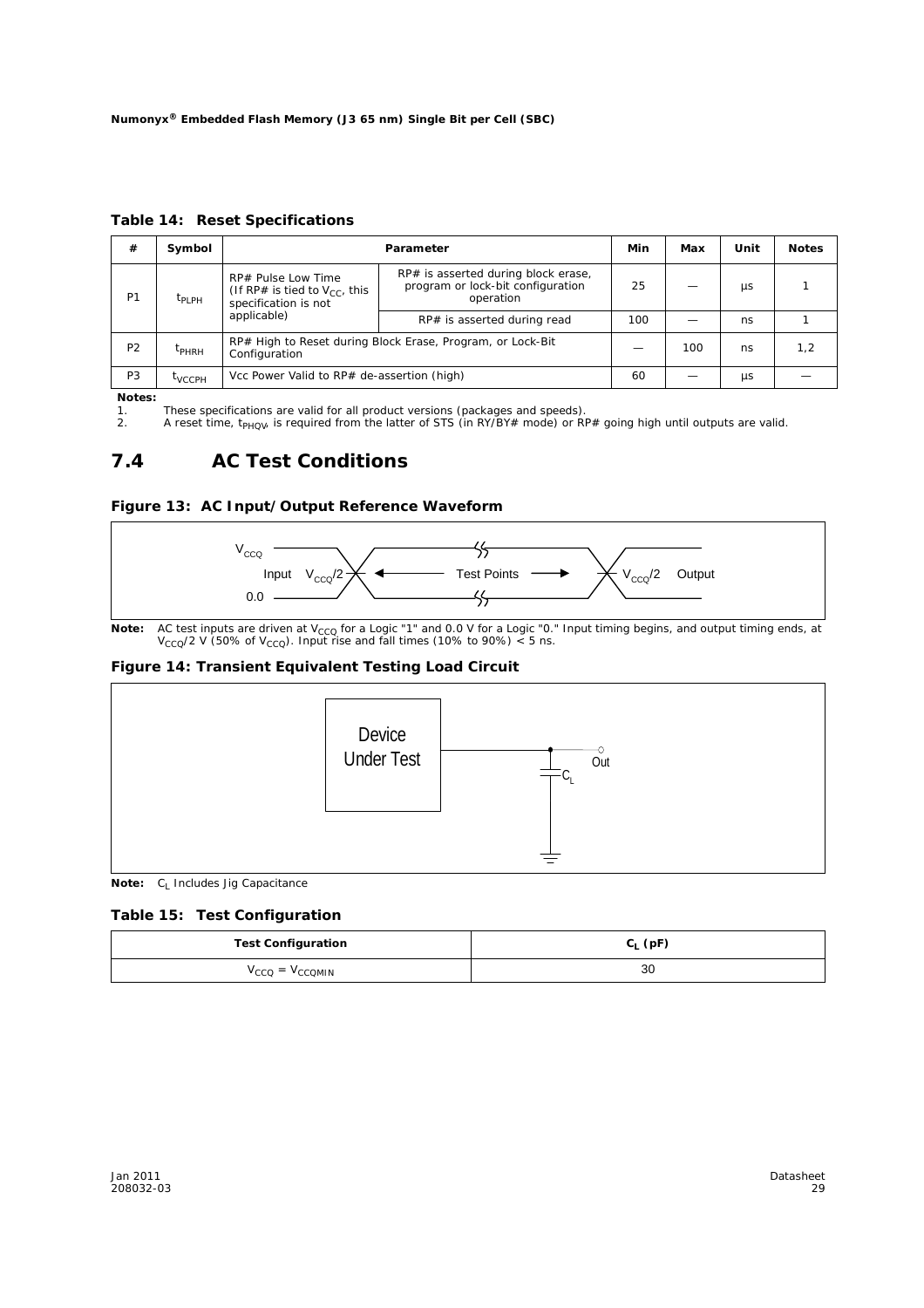**Table 14: Reset Specifications**

| #              | Symbol            | Parameter                                                                        |                                                                                       |     | Max | Unit       | <b>Notes</b> |
|----------------|-------------------|----------------------------------------------------------------------------------|---------------------------------------------------------------------------------------|-----|-----|------------|--------------|
| P <sub>1</sub> | $t_{\text{PLPH}}$ | RP# Pulse Low Time<br>(If RP# is tied to $V_{cc}$ , this<br>specification is not | RP# is asserted during block erase,<br>program or lock-bit configuration<br>operation |     |     | <b>LIS</b> |              |
|                |                   | applicable)                                                                      | RP# is asserted during read                                                           | 100 |     | ns         |              |
| P <sub>2</sub> | <sup>I</sup> PHRH | RP# High to Reset during Block Erase, Program, or Lock-Bit<br>Configuration      |                                                                                       |     | 100 | ns         | 1,2          |
| P <sub>3</sub> | <b>TVCCPH</b>     | Vcc Power Valid to RP# de-assertion (high)                                       |                                                                                       | 60  |     | <b>US</b>  |              |

*Notes:*

1. These specifications are valid for all product versions (packages and speeds).

2. A reset time, t<sub>PHQV</sub>, is required from the latter of STS (in RY/BY# mode) or RP# going high until outputs are valid.

### **7.4 AC Test Conditions**





*Note:* AC test inputs are driven at V<sub>CCQ</sub> for a Logic "1" and 0.0 V for a Logic "0." Input timing begins, and output timing ends, at V<sub>CCQ</sub>/2 V (50% of V<sub>CCQ</sub>). Input rise and fall times (10% to 90%) < 5 ns.

#### **Figure 14: Transient Equivalent Testing Load Circuit**



*Note:* C<sub>L</sub> Includes Jig Capacitance

#### **Table 15: Test Configuration**

| <b>Test Configuration</b> | $C_1$ (pF) |
|---------------------------|------------|
| $V_{CCQ} = V_{CCOMIN}$    | 30         |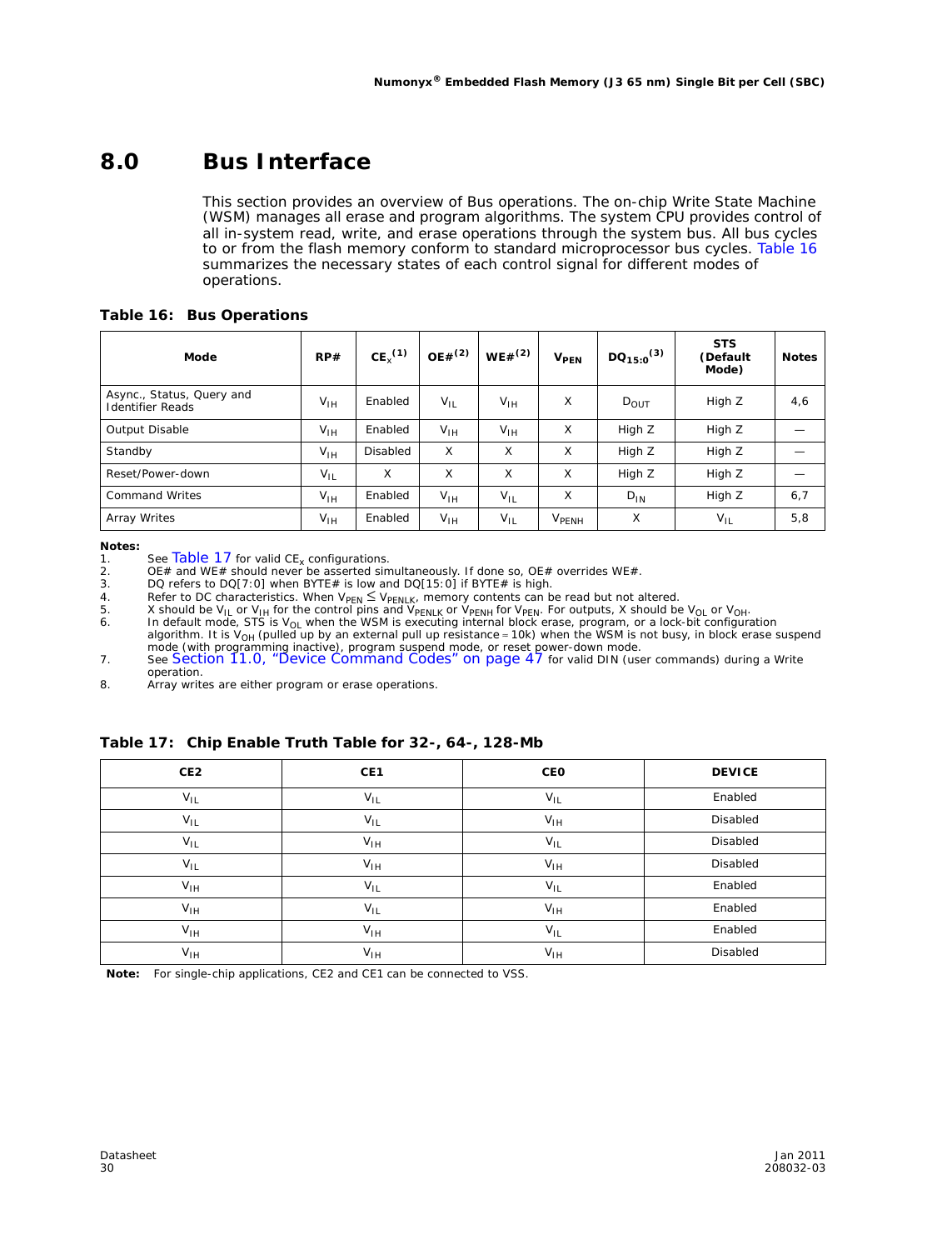### **8.0 Bus Interface**

This section provides an overview of Bus operations. The on-chip Write State Machine (WSM) manages all erase and program algorithms. The system CPU provides control of all in-system read, write, and erase operations through the system bus. All bus cycles to or from the flash memory conform to standard microprocessor bus cycles. Table 16 summarizes the necessary states of each control signal for different modes of operations.

#### **Table 16: Bus Operations**

| Mode                                                 | RP#      | CE <sub>y</sub> <sup>(1)</sup> | $OE#^{(2)}$     | $WE#^{(2)}$     | <b>V<sub>PEN</sub></b> | $DQ_{15:0}^{(3)}$ | <b>STS</b><br>(Default<br>Mode) | <b>Notes</b> |
|------------------------------------------------------|----------|--------------------------------|-----------------|-----------------|------------------------|-------------------|---------------------------------|--------------|
| Async., Status, Query and<br><b>Identifier Reads</b> | $V_{IH}$ | Enabled                        | $V_{IL}$        | $V_{\text{IH}}$ | X                      | $D_{\text{OUT}}$  | High Z                          | 4,6          |
| <b>Output Disable</b>                                | $V_{IH}$ | Enabled                        | $V_{IH}$        | $V_{\text{IH}}$ | X                      | High Z            | High Z                          |              |
| Standby                                              | $V_{IH}$ | <b>Disabled</b>                | X               | X               | X                      | High Z            | High Z                          |              |
| Reset/Power-down                                     | $V_{IL}$ | X                              | X               | X               | X                      | High Z            | High Z                          |              |
| <b>Command Writes</b>                                | $V_{IH}$ | Enabled                        | $V_{\text{IH}}$ | $V_{IL}$        | X                      | $D_{IN}$          | High Z                          | 6,7          |
| Array Writes                                         | $V_{IH}$ | Enabled                        | $V_{IH}$        | $V_{IL}$        | V <sub>PENH</sub>      | X                 | $V_{IL}$                        | 5,8          |

*Notes:*

1. See Table 17 for valid CE<sub>x</sub> configurations.<br>2. OE# and WE# should never be asserted simultaneously. If done so, OE# overrides WE#.

4. Refer to DC characteristics. When  $V_{\text{PEN}} \leq V_{\text{PENLK}}$ , memory contents can be read but not altered.

5.  $\times$  X should be V<sub>IL</sub> or V<sub>IH</sub> for the control pins and V $_{\sf PENLK}$  or V $_{\sf PENH}$  for V $_{\sf PEN}$ . For outputs, X should be V<sub>OL</sub> or V<sub>OH</sub>.

6. In default mode, STS is V<sub>OL</sub> when the WSM is executing internal block erase, program, or a lock-bit configuration algorithm. It is V<sub>OH</sub> (pulled up by an external pull up resistance ≈ 10k) when the WSM is not busy, i

operation.

8. Array writes are either program or erase operations.

#### **Table 17: Chip Enable Truth Table for 32-, 64-, 128-Mb**

| CE2             | CE1      | CEO             | <b>DEVICE</b> |
|-----------------|----------|-----------------|---------------|
| $V_{IL}$        | $V_{IL}$ | $V_{IL}$        | Enabled       |
| $V_{IL}$        | $V_{IL}$ | $V_{IH}$        | Disabled      |
| $V_{IL}$        | $V_{IH}$ | $V_{IL}$        | Disabled      |
| $V_{IL}$        | $V_{IH}$ | $V_{IH}$        | Disabled      |
| $V_{IH}$        | $V_{IL}$ | $V_{IL}$        | Enabled       |
| $V_{IH}$        | $V_{IL}$ | $V_{IH}$        | Enabled       |
| $V_{\text{IH}}$ | $V_{IH}$ | $V_{IL}$        | Enabled       |
| $V_{IH}$        | $V_{IH}$ | $V_{\text{IH}}$ | Disabled      |

*Note:* For single-chip applications, CE2 and CE1 can be connected to VSS.

<sup>3.</sup> DQ refers to DQ[7:0] when BYTE# is low and DQ[15:0] if BYTE# is high.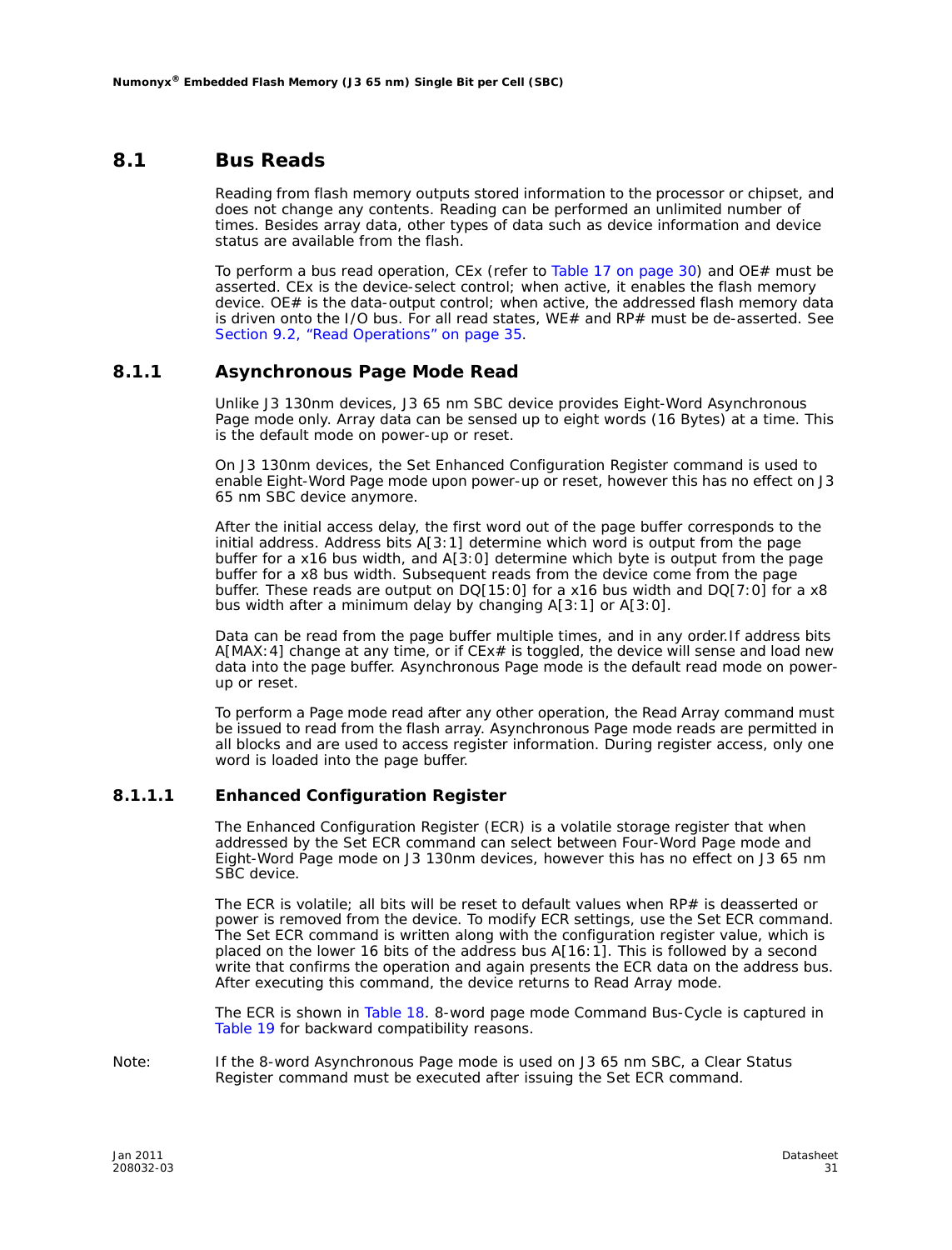#### **8.1 Bus Reads**

Reading from flash memory outputs stored information to the processor or chipset, and does not change any contents. Reading can be performed an unlimited number of times. Besides array data, other types of data such as device information and device status are available from the flash.

To perform a bus read operation, CEx (refer to Table 17 on page 30) and OE# must be asserted. CEx is the device-select control; when active, it enables the flash memory device. OE# is the data-output control; when active, the addressed flash memory data is driven onto the I/O bus. For all read states, WE# and RP# must be de-asserted. See Section 9.2, "Read Operations" on page 35.

#### **8.1.1 Asynchronous Page Mode Read**

Unlike J3 130nm devices, J3 65 nm SBC device provides Eight-Word Asynchronous Page mode only. Array data can be sensed up to eight words (16 Bytes) at a time. This is the default mode on power-up or reset.

On J3 130nm devices, the Set Enhanced Configuration Register command is used to enable Eight-Word Page mode upon power-up or reset, however this has no effect on J3 65 nm SBC device anymore.

After the initial access delay, the first word out of the page buffer corresponds to the initial address. Address bits A[3:1] determine which word is output from the page buffer for a x16 bus width, and A[3:0] determine which byte is output from the page buffer for a x8 bus width. Subsequent reads from the device come from the page buffer. These reads are output on DQ[15:0] for a x16 bus width and DQ[7:0] for a x8 bus width after a minimum delay by changing A[3:1] or A[3:0].

Data can be read from the page buffer multiple times, and in any order.If address bits A[MAX:4] change at any time, or if CEx# is toggled, the device will sense and load new data into the page buffer. Asynchronous Page mode is the default read mode on powerup or reset.

To perform a Page mode read after any other operation, the Read Array command must be issued to read from the flash array. Asynchronous Page mode reads are permitted in all blocks and are used to access register information. During register access, only one word is loaded into the page buffer.

#### **8.1.1.1 Enhanced Configuration Register**

The Enhanced Configuration Register (ECR) is a volatile storage register that when addressed by the Set ECR command can select between Four-Word Page mode and Eight-Word Page mode on J3 130nm devices, however this has no effect on J3 65 nm SBC device.

The ECR is volatile; all bits will be reset to default values when RP# is deasserted or power is removed from the device. To modify ECR settings, use the Set ECR command. The Set ECR command is written along with the configuration register value, which is placed on the lower 16 bits of the address bus A[16:1]. This is followed by a second write that confirms the operation and again presents the ECR data on the address bus. After executing this command, the device returns to Read Array mode.

The ECR is shown in Table 18. 8-word page mode Command Bus-Cycle is captured in Table 19 for backward compatibility reasons.

*Note:* If the 8-word Asynchronous Page mode is used on J3 65 nm SBC, a Clear Status Register command must be executed after issuing the Set ECR command.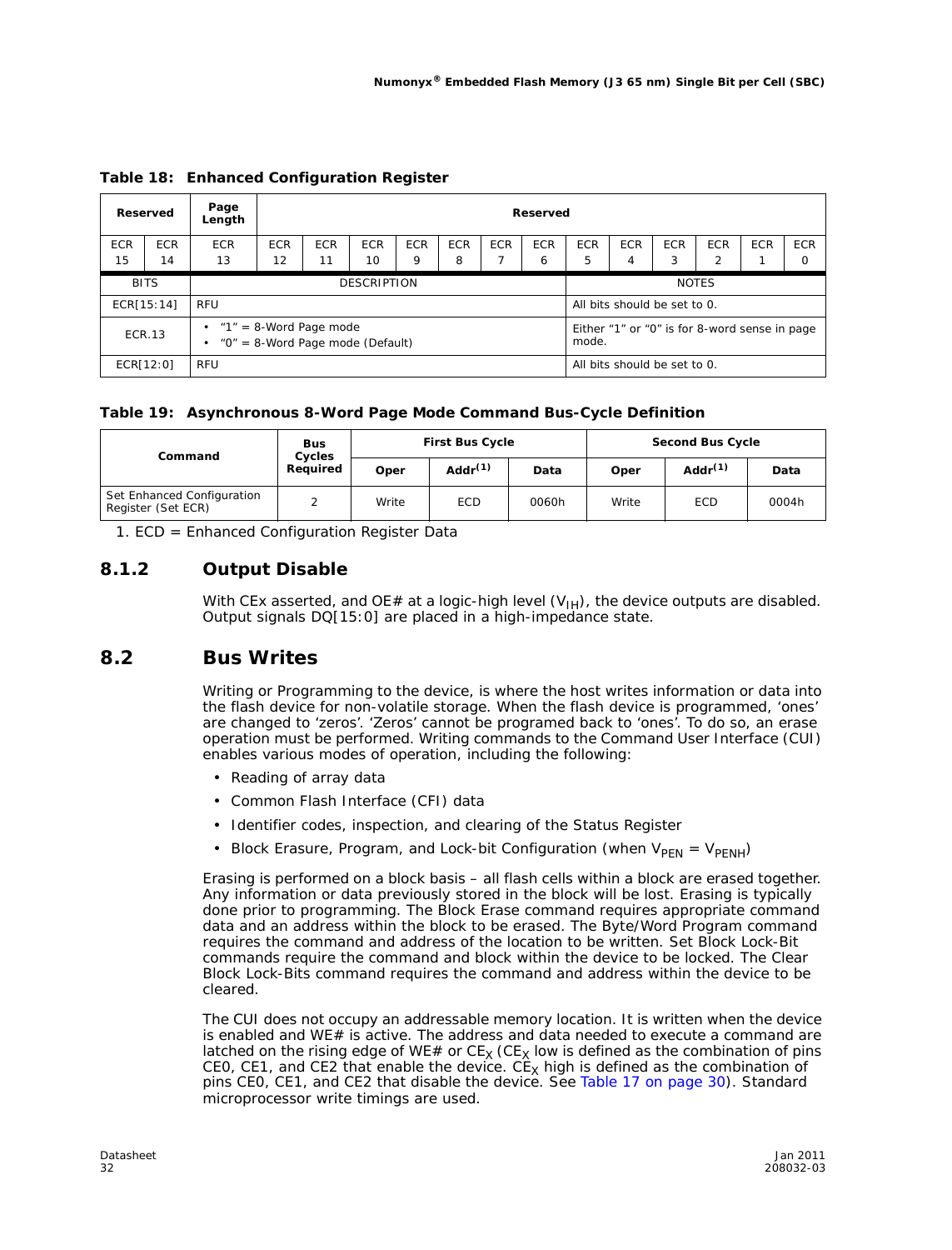|                  | Reserved         | Page<br>Length                                                     | Reserved                        |                                                                                                             |  |  |                                                        |                 |                 |                              |                 |            |                        |
|------------------|------------------|--------------------------------------------------------------------|---------------------------------|-------------------------------------------------------------------------------------------------------------|--|--|--------------------------------------------------------|-----------------|-----------------|------------------------------|-----------------|------------|------------------------|
| <b>ECR</b><br>15 | <b>ECR</b><br>14 | <b>ECR</b><br>13                                                   | <b>ECR</b><br>$12 \overline{ }$ | <b>ECR</b><br><b>ECR</b><br><b>ECR</b><br><b>ECR</b><br><b>ECR</b><br><b>ECR</b><br>10<br>9<br>11<br>8<br>6 |  |  |                                                        | <b>ECR</b><br>5 | <b>ECR</b><br>4 | <b>ECR</b><br>3              | <b>ECR</b><br>2 | <b>ECR</b> | <b>ECR</b><br>$\Omega$ |
|                  | <b>BITS</b>      |                                                                    | <b>DESCRIPTION</b>              |                                                                                                             |  |  |                                                        | <b>NOTES</b>    |                 |                              |                 |            |                        |
|                  | ECR[15:14]       | RFU                                                                |                                 |                                                                                                             |  |  |                                                        |                 |                 | All bits should be set to 0. |                 |            |                        |
|                  | <b>ECR.13</b>    | $\cdot$ "1" = 8-Word Page mode<br>"0" = 8-Word Page mode (Default) |                                 |                                                                                                             |  |  | Either "1" or "0" is for 8-word sense in page<br>mode. |                 |                 |                              |                 |            |                        |
|                  | ECR[12:0]        | <b>RFU</b>                                                         |                                 |                                                                                                             |  |  |                                                        |                 |                 | All bits should be set to 0. |                 |            |                        |

**Table 18: Enhanced Configuration Register**

#### **Table 19: Asynchronous 8-Word Page Mode Command Bus-Cycle Definition**

| Command                                          | <b>Bus</b><br>Cycles |       | <b>First Bus Cycle</b> |       |       | <b>Second Bus Cycle</b> |       |
|--------------------------------------------------|----------------------|-------|------------------------|-------|-------|-------------------------|-------|
|                                                  | Required             | Oper  | Add $r^{(1)}$          | Data  | Oper  | Addr $(1)$              | Data  |
| Set Enhanced Configuration<br>Register (Set ECR) | ⌒                    | Write | <b>ECD</b>             | 0060h | Write | <b>ECD</b>              | 0004h |

1. ECD = Enhanced Configuration Register Data

### **8.1.2 Output Disable**

With CEx asserted, and OE# at a logic-high level  $(V_{H})$ , the device outputs are disabled. Output signals DQ[15:0] are placed in a high-impedance state.

#### **8.2 Bus Writes**

Writing or Programming to the device, is where the host writes information or data into the flash device for non-volatile storage. When the flash device is programmed, 'ones' are changed to 'zeros'. 'Zeros' cannot be programed back to 'ones'. To do so, an erase operation must be performed. Writing commands to the Command User Interface (CUI) enables various modes of operation, including the following:

- Reading of array data
- Common Flash Interface (CFI) data
- Identifier codes, inspection, and clearing of the Status Register
- Block Erasure, Program, and Lock-bit Configuration (when  $V_{\text{PEN}} = V_{\text{PENH}}$ )

Erasing is performed on a block basis – all flash cells within a block are erased together. Any information or data previously stored in the block will be lost. Erasing is typically done prior to programming. The Block Erase command requires appropriate command data and an address within the block to be erased. The Byte/Word Program command requires the command and address of the location to be written. Set Block Lock-Bit commands require the command and block within the device to be locked. The Clear Block Lock-Bits command requires the command and address within the device to be cleared.

The CUI does not occupy an addressable memory location. It is written when the device is enabled and WE# is active. The address and data needed to execute a command are latched on the rising edge of WE# or  $CE_X$  (CE<sub>X</sub> low is defined as the combination of pins CE0, CE1, and CE2 that enable the device. CE<sub>X</sub> high is defined as the combination of pins CE0, CE1, and CE2 that disable the device. See Table 17 on page 30). Standard microprocessor write timings are used.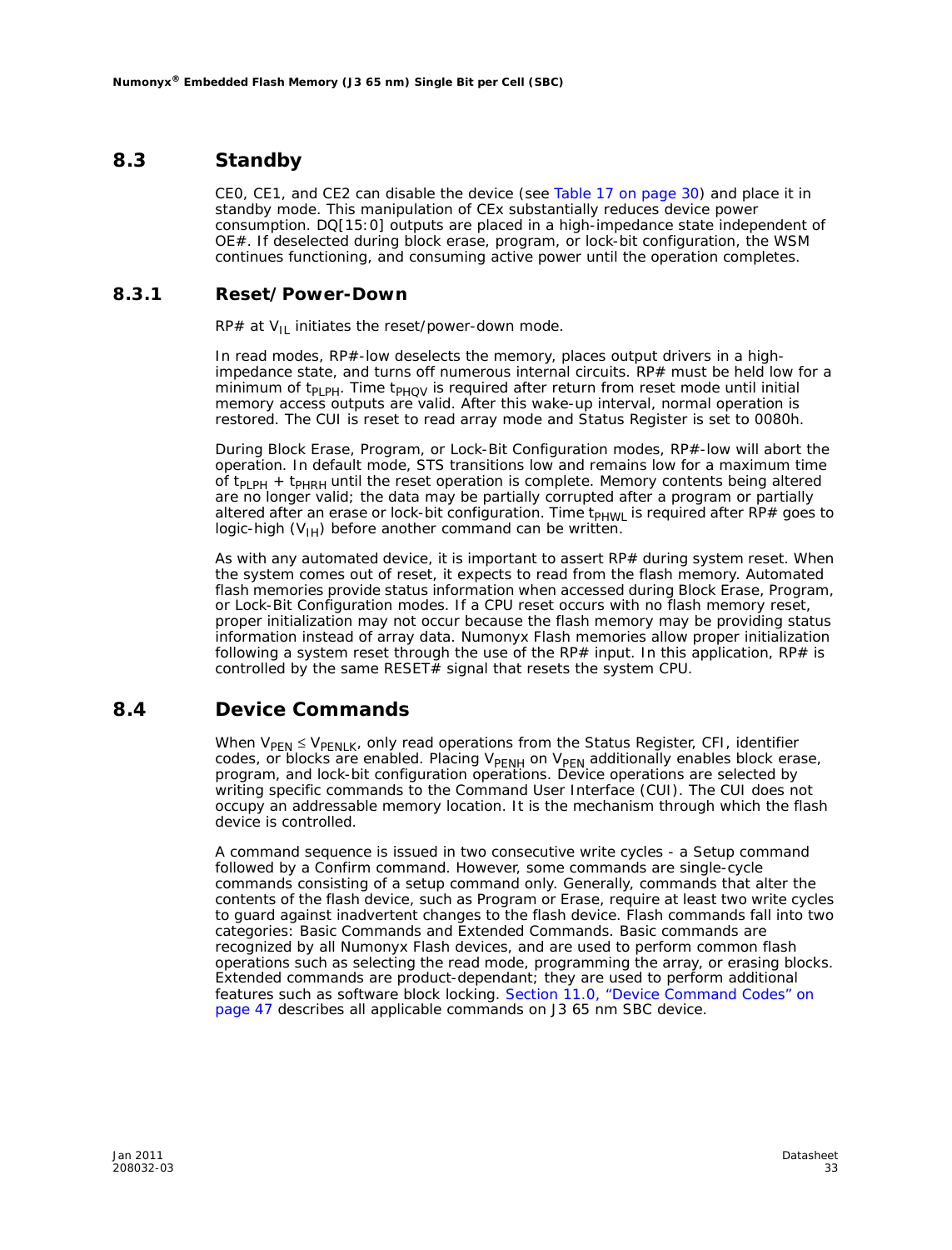### **8.3 Standby**

CE0, CE1, and CE2 can disable the device (see Table 17 on page 30) and place it in standby mode. This manipulation of CEx substantially reduces device power consumption. DQ[15:0] outputs are placed in a high-impedance state independent of OE#. If deselected during block erase, program, or lock-bit configuration, the WSM continues functioning, and consuming active power until the operation completes.

#### **8.3.1 Reset/Power-Down**

RP# at  $V_{II}$  initiates the reset/power-down mode.

In read modes, RP#-low deselects the memory, places output drivers in a highimpedance state, and turns off numerous internal circuits. RP# must be held low for a minimum of  $t_{PLPH}$ . Time  $t_{PHQV}$  is required after return from reset mode until initial memory access outputs are valid. After this wake-up interval, normal operation is restored. The CUI is reset to read array mode and Status Register is set to 0080h.

During Block Erase, Program, or Lock-Bit Configuration modes, RP#-low will abort the operation. In default mode, STS transitions low and remains low for a maximum time of  $t_{PLPH}$  +  $t_{PHRH}$  until the reset operation is complete. Memory contents being altered are no longer valid; the data may be partially corrupted after a program or partially altered after an erase or lock-bit configuration. Time  $t_{PHWL}$  is required after RP# goes to logic-high  $(V_{1H})$  before another command can be written.

As with any automated device, it is important to assert  $RP#$  during system reset. When the system comes out of reset, it expects to read from the flash memory. Automated flash memories provide status information when accessed during Block Erase, Program, or Lock-Bit Configuration modes. If a CPU reset occurs with no flash memory reset, proper initialization may not occur because the flash memory may be providing status information instead of array data. Numonyx Flash memories allow proper initialization following a system reset through the use of the RP# input. In this application, RP# is controlled by the same RESET $#$  signal that resets the system CPU.

### **8.4 Device Commands**

When  $V_{PEN} \leq V_{PENLK}$ , only read operations from the Status Register, CFI, identifier codes, or blocks are enabled. Placing  $V_{\rm PENH}$  on  $V_{\rm PEN}$  additionally enables block erase, program, and lock-bit configuration operations. Device operations are selected by writing specific commands to the Command User Interface (CUI). The CUI does not occupy an addressable memory location. It is the mechanism through which the flash device is controlled.

A command sequence is issued in two consecutive write cycles - a Setup command followed by a Confirm command. However, some commands are single-cycle commands consisting of a setup command only. Generally, commands that alter the contents of the flash device, such as Program or Erase, require at least two write cycles to guard against inadvertent changes to the flash device. Flash commands fall into two categories: Basic Commands and Extended Commands. Basic commands are recognized by all Numonyx Flash devices, and are used to perform common flash operations such as selecting the read mode, programming the array, or erasing blocks. Extended commands are product-dependant; they are used to perform additional features such as software block locking. Section 11.0, "Device Command Codes" on page 47 describes all applicable commands on J3 65 nm SBC device.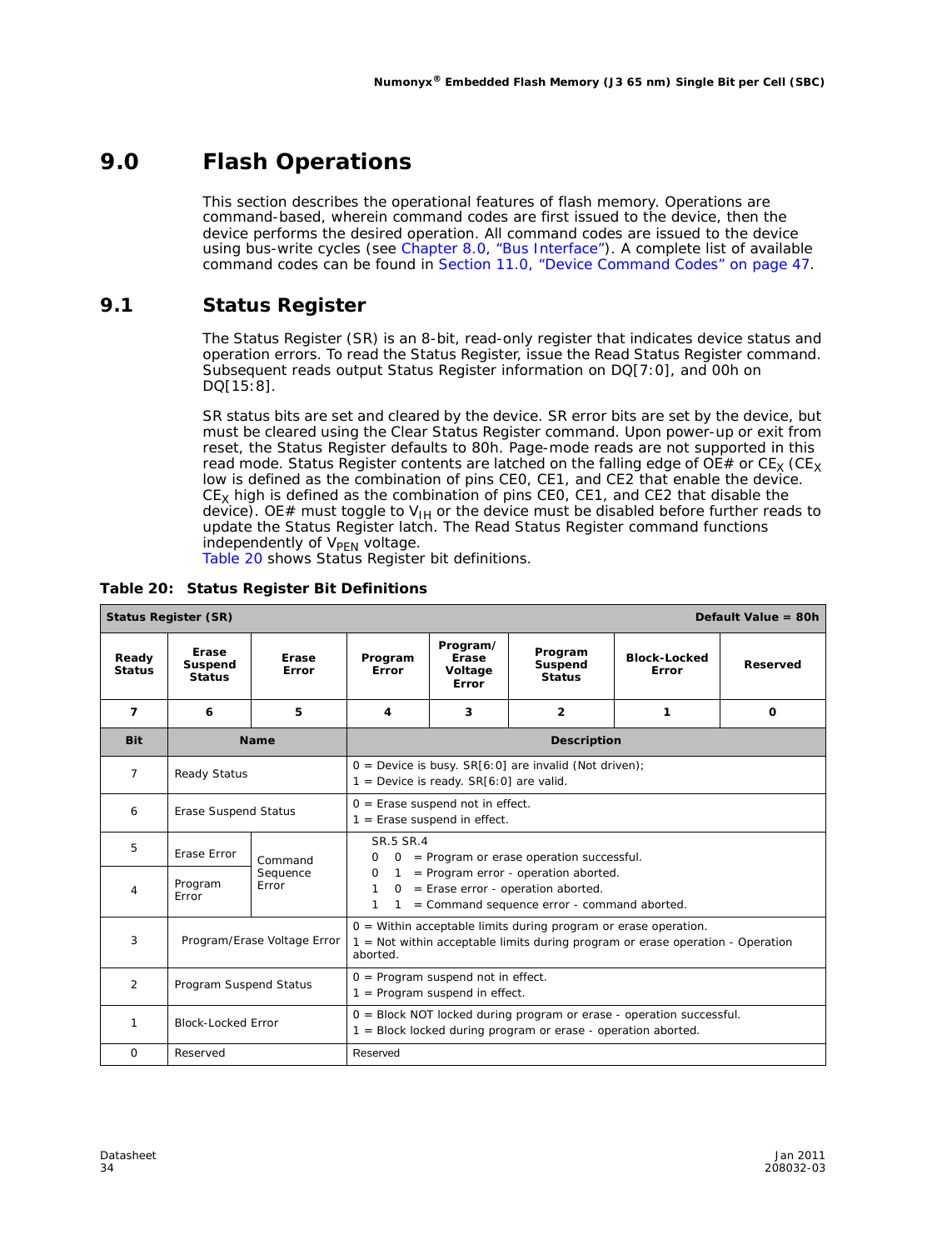# **9.0 Flash Operations**

This section describes the operational features of flash memory. Operations are command-based, wherein command codes are first issued to the device, then the device performs the desired operation. All command codes are issued to the device using bus-write cycles (see Chapter 8.0, "Bus Interface"). A complete list of available command codes can be found in Section 11.0, "Device Command Codes" on page 47.

### **9.1 Status Register**

The Status Register (SR) is an 8-bit, read-only register that indicates device status and operation errors. To read the Status Register, issue the Read Status Register command. Subsequent reads output Status Register information on DQ[7:0], and 00h on DQ[15:8].

SR *status bits* are set and cleared by the device. SR *error bits* are set by the device, but must be cleared using the Clear Status Register command. Upon power-up or exit from reset, the Status Register defaults to 80h. Page-mode reads are not supported in this read mode. Status Register contents are latched on the falling edge of  $OE#$  or  $CE_X$  (CE<sub>X</sub> low is defined as the combination of pins CE0, CE1, and CE2 that enable the device.  $CE<sub>X</sub>$  high is defined as the combination of pins CE0, CE1, and CE2 that disable the device). OE# must toggle to V<sub>IH</sub> or the device must be disabled before further reads to update the Status Register latch. The Read Status Register command functions independently of V<sub>PEN</sub> voltage.<br>Table 20 shows Status Register bit definitions.

|  |  | Table 20: Status Register Bit Definitions |
|--|--|-------------------------------------------|
|  |  |                                           |

| <b>Status Register (SR)</b> |                                   |                             |                                                                                                                                                                                                                                                       |                                                                                                                                           |                                                                   | Default Value = $80h$                                                          |   |  |  |
|-----------------------------|-----------------------------------|-----------------------------|-------------------------------------------------------------------------------------------------------------------------------------------------------------------------------------------------------------------------------------------------------|-------------------------------------------------------------------------------------------------------------------------------------------|-------------------------------------------------------------------|--------------------------------------------------------------------------------|---|--|--|
| Ready<br><b>Status</b>      | Erase<br>Suspend<br><b>Status</b> | Erase<br><b>Frror</b>       | Program/<br>Program<br>Erase<br><b>Block-Locked</b><br>Program<br><b>Suspend</b><br>Reserved<br>Error<br>Voltage<br>Error<br><b>Status</b><br>Error                                                                                                   |                                                                                                                                           |                                                                   |                                                                                |   |  |  |
| $\overline{7}$              | 6                                 | 5                           | 4                                                                                                                                                                                                                                                     | 3                                                                                                                                         | $\overline{2}$                                                    | 1                                                                              | 0 |  |  |
| <b>Bit</b>                  |                                   | <b>Name</b>                 | <b>Description</b>                                                                                                                                                                                                                                    |                                                                                                                                           |                                                                   |                                                                                |   |  |  |
| $\overline{7}$              | Ready Status                      |                             |                                                                                                                                                                                                                                                       | $1 =$ Device is ready. SR[6:0] are valid.                                                                                                 | $0 =$ Device is busy. SR[6:0] are invalid (Not driven);           |                                                                                |   |  |  |
| 6                           | Erase Suspend Status              |                             |                                                                                                                                                                                                                                                       | $0 =$ Erase suspend not in effect.<br>$1 =$ Erase suspend in effect.                                                                      |                                                                   |                                                                                |   |  |  |
| 5                           | Erase Error                       | Command                     | SR.5 SR.4<br>= Program or erase operation successful.<br>$\Omega$<br>$\Omega$<br>$=$ Program error - operation aborted.<br>$\Omega$<br>1<br>$=$ Erase error - operation aborted.<br>1<br>$\Omega$<br>1<br>= Command sequence error - command aborted. |                                                                                                                                           |                                                                   |                                                                                |   |  |  |
| $\overline{4}$              | Program<br>Error                  | Sequence<br>Error           |                                                                                                                                                                                                                                                       |                                                                                                                                           |                                                                   |                                                                                |   |  |  |
| 3                           |                                   | Program/Erase Voltage Error | aborted.                                                                                                                                                                                                                                              |                                                                                                                                           | $0 =$ Within acceptable limits during program or erase operation. | 1 = Not within acceptable limits during program or erase operation - Operation |   |  |  |
| $\overline{2}$              | Program Suspend Status            |                             | $0 = Program$ suspend not in effect.<br>$1 = Program$ suspend in effect.                                                                                                                                                                              |                                                                                                                                           |                                                                   |                                                                                |   |  |  |
| 1                           | <b>Block-Locked Error</b>         |                             |                                                                                                                                                                                                                                                       | $0 = Block NOT locked$ during program or erase - operation successful.<br>$1 = Block$ locked during program or erase - operation aborted. |                                                                   |                                                                                |   |  |  |
| $\Omega$                    | Reserved                          |                             | Reserved                                                                                                                                                                                                                                              |                                                                                                                                           |                                                                   |                                                                                |   |  |  |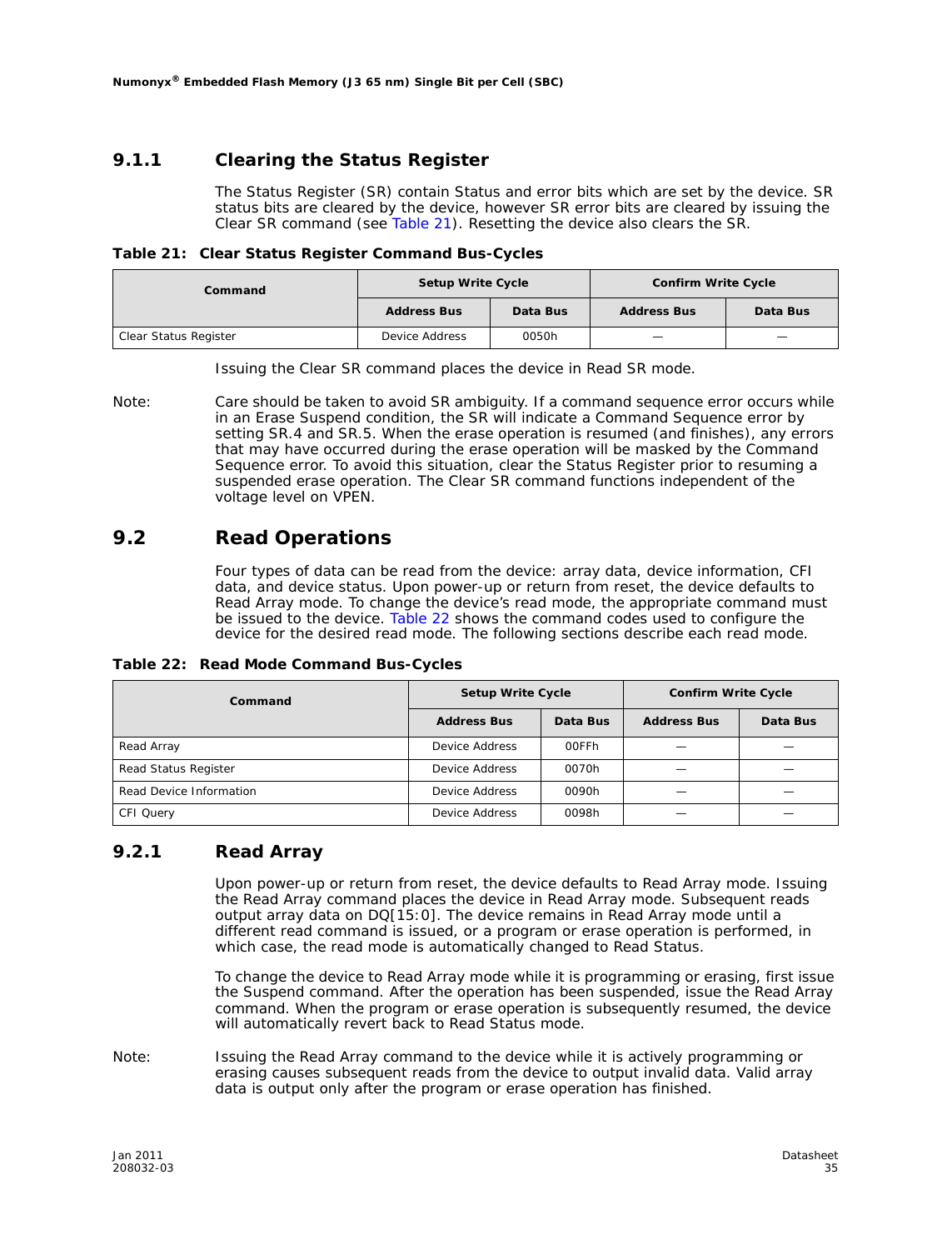#### **9.1.1 Clearing the Status Register**

The Status Register (SR) contain Status and error bits which are set by the device. SR *status bits* are cleared by the device, however SR *error bits* are cleared by issuing the Clear SR command (see Table 21). Resetting the device also clears the SR.

| Table 21: Clear Status Register Command Bus-Cycles |  |  |
|----------------------------------------------------|--|--|
|                                                    |  |  |

| Command               |                    | <b>Confirm Write Cycle</b><br><b>Setup Write Cycle</b> |                    |          |
|-----------------------|--------------------|--------------------------------------------------------|--------------------|----------|
|                       | <b>Address Bus</b> | Data Bus                                               | <b>Address Bus</b> | Data Bus |
| Clear Status Register | Device Address     | 0050h                                                  |                    |          |

Issuing the Clear SR command places the device in Read SR mode.

*Note:* Care should be taken to avoid SR ambiguity. If a command sequence error occurs while in an Erase Suspend condition, the SR will indicate a Command Sequence error by setting SR.4 and SR.5. When the erase operation is resumed (and finishes), any errors that may have occurred during the erase operation will be masked by the Command Sequence error. To avoid this situation, clear the Status Register prior to resuming a suspended erase operation. The Clear SR command functions independent of the voltage level on VPEN.

#### **9.2 Read Operations**

Four types of data can be read from the device: array data, device information, CFI data, and device status. Upon power-up or return from reset, the device defaults to Read Array mode. To change the device's read mode, the appropriate command must be issued to the device. Table 22 shows the command codes used to configure the device for the desired read mode. The following sections describe each read mode.

**Table 22: Read Mode Command Bus-Cycles**

| Command                 | <b>Setup Write Cycle</b> |          |                    | <b>Confirm Write Cycle</b> |  |
|-------------------------|--------------------------|----------|--------------------|----------------------------|--|
|                         | <b>Address Bus</b>       | Data Bus | <b>Address Bus</b> | Data Bus                   |  |
| Read Array              | Device Address           | 00FFh    |                    |                            |  |
| Read Status Register    | Device Address           | 0070h    |                    |                            |  |
| Read Device Information | Device Address           | 0090h    |                    |                            |  |
| CFI Query               | Device Address           | 0098h    |                    |                            |  |

#### **9.2.1 Read Array**

Upon power-up or return from reset, the device defaults to Read Array mode. Issuing the Read Array command places the device in Read Array mode. Subsequent reads output array data on DQ[15:0]. The device remains in Read Array mode until a different read command is issued, or a program or erase operation is performed, in which case, the read mode is automatically changed to Read Status.

To change the device to Read Array mode while it is programming or erasing, first issue the Suspend command. After the operation has been suspended, issue the Read Array command. When the program or erase operation is subsequently resumed, the device will automatically revert back to Read Status mode.

*Note:* Issuing the Read Array command to the device while it is actively programming or erasing causes subsequent reads from the device to output invalid data. Valid array data is output only after the program or erase operation has finished.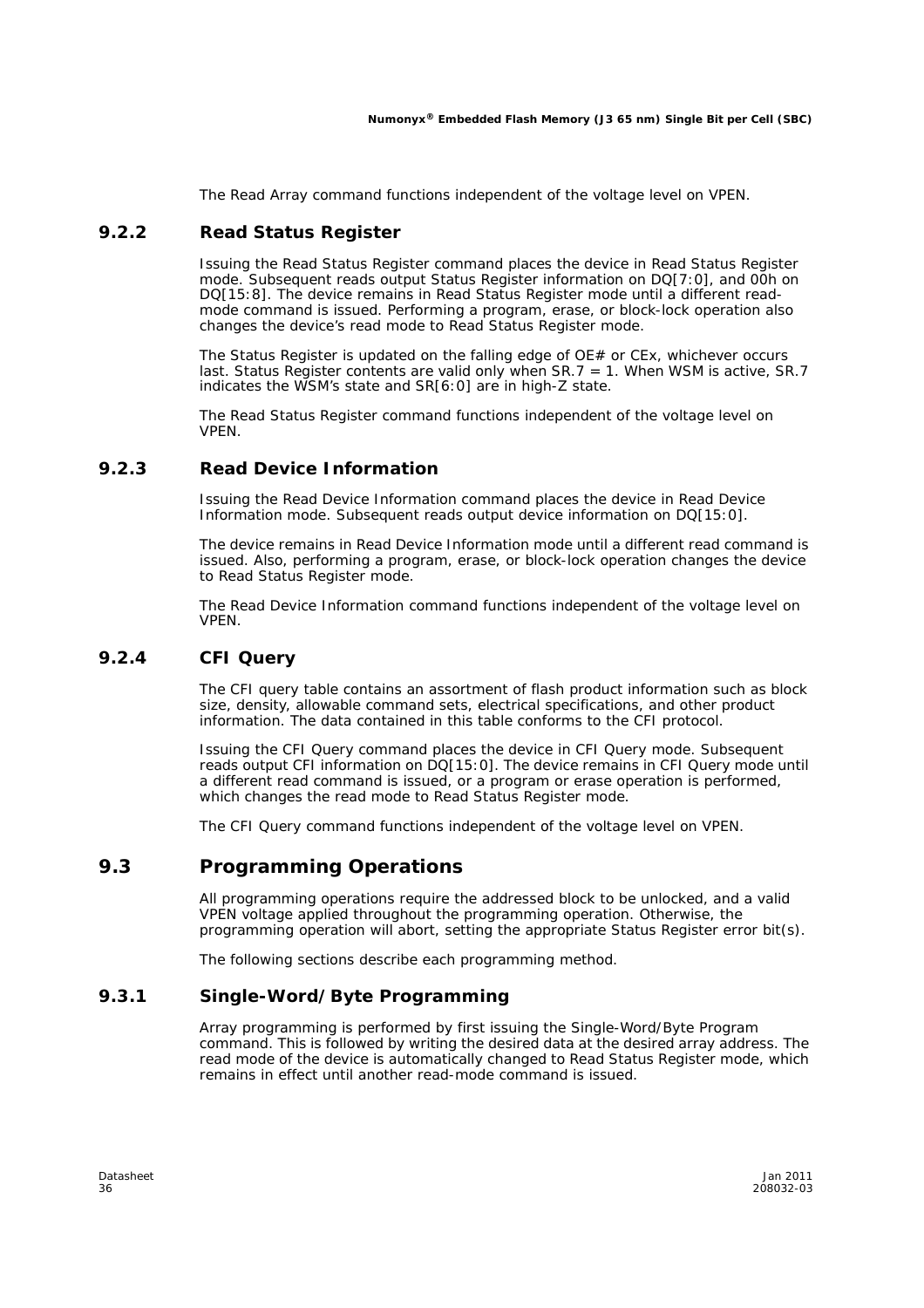The Read Array command functions independent of the voltage level on VPEN.

#### **9.2.2 Read Status Register**

Issuing the Read Status Register command places the device in Read Status Register mode. Subsequent reads output Status Register information on DQ[7:0], and 00h on DQ[15:8]. The device remains in Read Status Register mode until a different readmode command is issued. Performing a program, erase, or block-lock operation also changes the device's read mode to Read Status Register mode.

The Status Register is updated on the falling edge of  $OE#$  or  $CEx$ , whichever occurs last. Status Register contents are valid only when  $SR.7 = 1$ . When WSM is active, SR.7 indicates the WSM's state and SR[6:0] are in high-Z state.

The Read Status Register command functions independent of the voltage level on VPEN.

#### **9.2.3 Read Device Information**

Issuing the Read Device Information command places the device in Read Device Information mode. Subsequent reads output device information on DQ[15:0].

The device remains in Read Device Information mode until a different read command is issued. Also, performing a program, erase, or block-lock operation changes the device to Read Status Register mode.

The Read Device Information command functions independent of the voltage level on VPEN.

#### **9.2.4 CFI Query**

The CFI query table contains an assortment of flash product information such as block size, density, allowable command sets, electrical specifications, and other product information. The data contained in this table conforms to the CFI protocol.

Issuing the CFI Query command places the device in CFI Query mode. Subsequent reads output CFI information on DQ[15:0]. The device remains in CFI Query mode until a different read command is issued, or a program or erase operation is performed, which changes the read mode to Read Status Register mode.

The CFI Query command functions independent of the voltage level on VPEN.

### **9.3 Programming Operations**

All programming operations require the addressed block to be unlocked, and a valid VPEN voltage applied throughout the programming operation. Otherwise, the programming operation will abort, setting the appropriate Status Register error bit(s).

The following sections describe each programming method.

#### **9.3.1 Single-Word/Byte Programming**

Array programming is performed by first issuing the Single-Word/Byte Program command. This is followed by writing the desired data at the desired array address. The read mode of the device is automatically changed to Read Status Register mode, which remains in effect until another read-mode command is issued.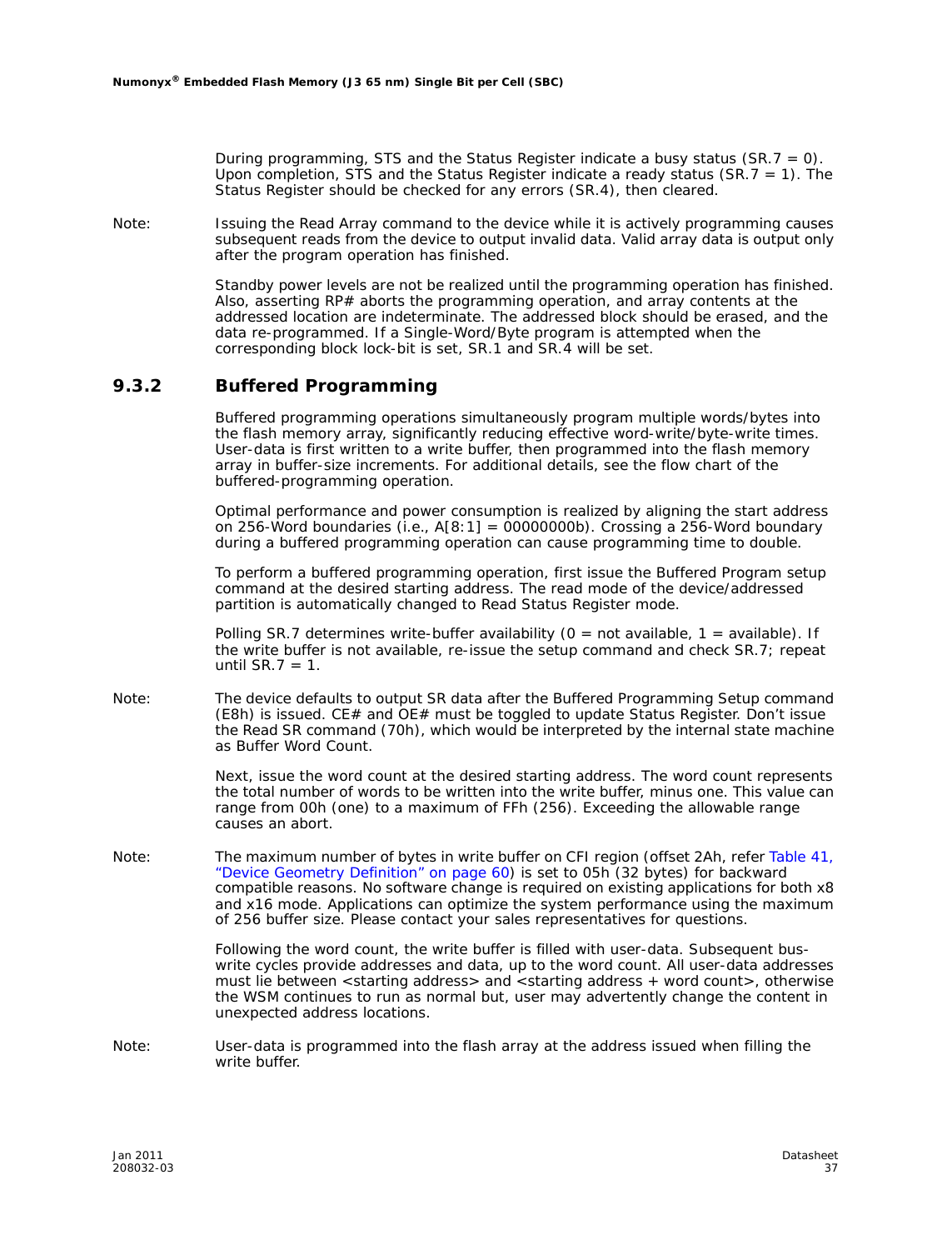During programming, STS and the Status Register indicate a busy status (SR.7 = 0). Upon completion, STS and the Status Register indicate a ready status (SR.7 = 1). The Status Register should be checked for any errors (SR.4), then cleared.

*Note:* Issuing the Read Array command to the device while it is actively programming causes subsequent reads from the device to output invalid data. Valid array data is output only after the program operation has finished.

> Standby power levels are not be realized until the programming operation has finished. Also, asserting RP# aborts the programming operation, and array contents at the addressed location are indeterminate. The addressed block should be erased, and the data re-programmed. If a Single-Word/Byte program is attempted when the corresponding block lock-bit is set, SR.1 and SR.4 will be set.

#### **9.3.2 Buffered Programming**

Buffered programming operations simultaneously program multiple words/bytes into the flash memory array, significantly reducing effective word-write/byte-write times. User-data is first written to a write buffer, then programmed into the flash memory array in buffer-size increments. For additional details, see the flow chart of the buffered-programming operation.

Optimal performance and power consumption is realized by aligning the start address on 256-Word boundaries (i.e.,  $A[8:1] = 00000000b$ ). Crossing a 256-Word boundary during a buffered programming operation can cause programming time to double.

To perform a buffered programming operation, first issue the Buffered Program setup command at the desired starting address. The read mode of the device/addressed partition is automatically changed to Read Status Register mode.

Polling SR.7 determines write-buffer availability ( $0 = \text{not available}$ ,  $1 = \text{available}$ ). If the write buffer is not available, re-issue the setup command and check SR.7; repeat until  $SR.7 = 1$ .

*Note:* The device defaults to output SR data after the Buffered Programming Setup command (E8h) is issued. CE# and OE# must be toggled to update Status Register. Don't issue the Read SR command (70h), which would be interpreted by the internal state machine as Buffer Word Count.

> Next, issue the word count at the desired starting address. The word count represents the total number of words to be written into the write buffer, minus one. This value can range from 00h (one) to a maximum of FFh (256). Exceeding the allowable range causes an abort.

*Note:* The maximum number of bytes in write buffer on CFI region (offset 2Ah, refer Table 41, "Device Geometry Definition" on page 60) is set to 05h (32 bytes) for backward compatible reasons. No software change is required on existing applications for both x8 and x16 mode. Applications can optimize the system performance using the maximum of 256 buffer size. Please contact your sales representatives for questions.

> Following the word count, the write buffer is filled with user-data. Subsequent buswrite cycles provide addresses and data, up to the word count. All user-data addresses must lie between <starting address> and <starting address + word count>, otherwise the WSM continues to run as normal but, user may advertently change the content in unexpected address locations.

*Note:* User-data is programmed into the flash array at the address issued when filling the write buffer.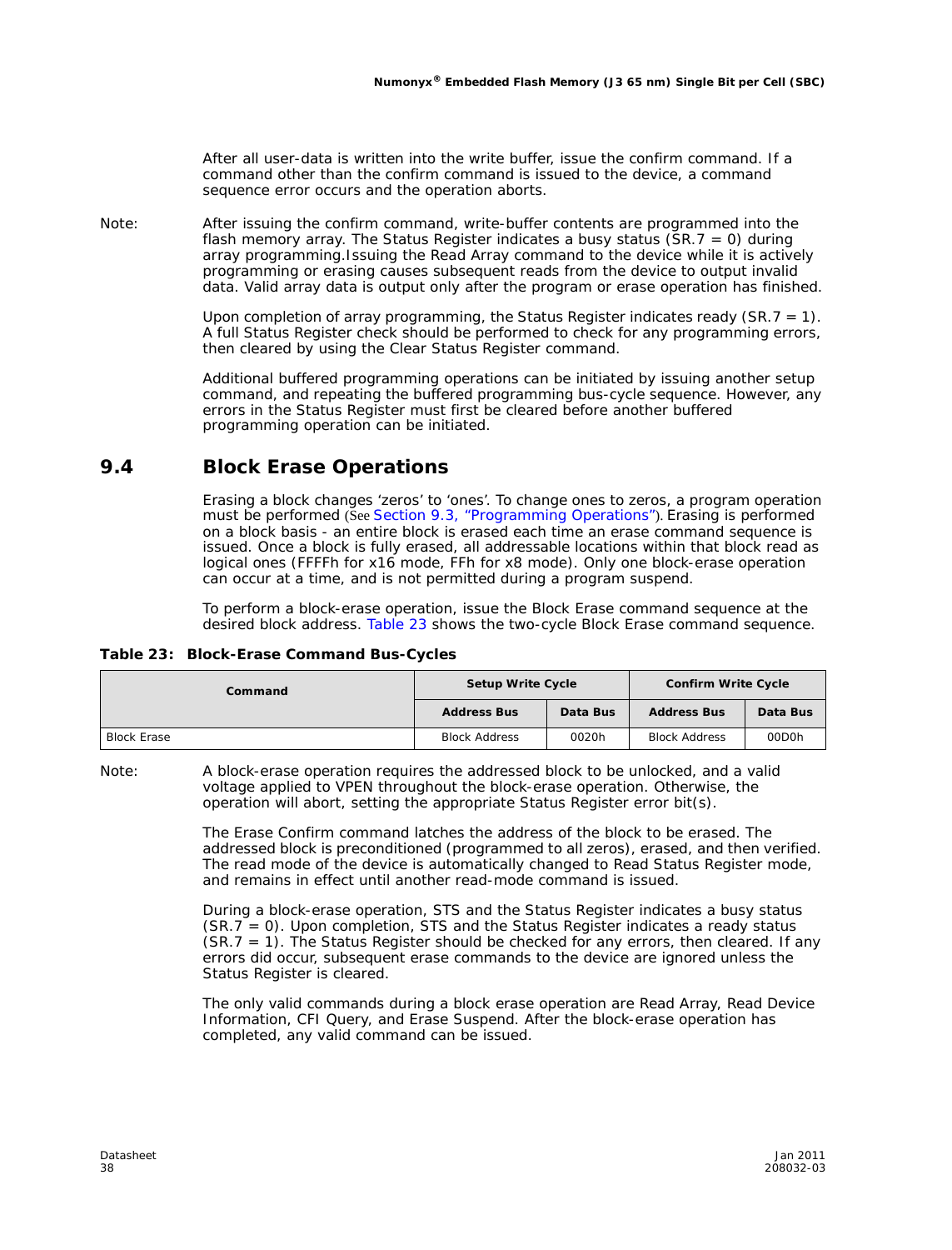After all user-data is written into the write buffer, issue the confirm command. If a command other than the confirm command is issued to the device, a command sequence error occurs and the operation aborts.

*Note:* After issuing the confirm command, write-buffer contents are programmed into the flash memory array. The Status Register indicates a busy status  $(SR.7 = 0)$  during array programming.Issuing the Read Array command to the device while it is actively programming or erasing causes subsequent reads from the device to output invalid data. Valid array data is output only after the program or erase operation has finished.

> Upon completion of array programming, the Status Register indicates ready  $(SR.7 = 1)$ . A full Status Register check should be performed to check for any programming errors, then cleared by using the Clear Status Register command.

> Additional buffered programming operations can be initiated by issuing another setup command, and repeating the buffered programming bus-cycle sequence. However, any errors in the Status Register must first be cleared before another buffered programming operation can be initiated.

### **9.4 Block Erase Operations**

Erasing a block changes 'zeros' to 'ones'. To change ones to zeros, a program operation must be performed (See Section 9.3, "Programming Operations"). Erasing is performed on a block basis - an entire block is erased each time an erase command sequence is issued. Once a block is fully erased, all addressable locations within that block read as logical ones (FFFFh for x16 mode, FFh for x8 mode). Only one block-erase operation can occur at a time, and *is not* permitted during a program suspend.

To perform a block-erase operation, issue the Block Erase command sequence at the desired block address. Table 23 shows the two-cycle Block Erase command sequence.

|  | Table 23: Block-Erase Command Bus-Cycles |  |  |
|--|------------------------------------------|--|--|
|--|------------------------------------------|--|--|

| Command            | <b>Setup Write Cycle</b> |          | <b>Confirm Write Cycle</b> |          |  |
|--------------------|--------------------------|----------|----------------------------|----------|--|
|                    | <b>Address Bus</b>       | Data Bus | <b>Address Bus</b>         | Data Bus |  |
| <b>Block Erase</b> | <b>Block Address</b>     | 0020h    | <b>Block Address</b>       | 00D0h    |  |

*Note:* A block-erase operation requires the addressed block to be unlocked, and a valid voltage applied to VPEN throughout the block-erase operation. Otherwise, the operation will abort, setting the appropriate Status Register error bit(s).

> The Erase Confirm command latches the address of the block to be erased. The addressed block is preconditioned (programmed to all zeros), erased, and then verified. The read mode of the device is automatically changed to Read Status Register mode, and remains in effect until another read-mode command is issued.

> During a block-erase operation, STS and the Status Register indicates a busy status (SR.7 = 0). Upon completion, STS and the Status Register indicates a ready status  $(SR.7 = 1)$ . The Status Register should be checked for any errors, then cleared. If any errors did occur, subsequent erase commands to the device are ignored unless the Status Register is cleared.

> The only valid commands during a block erase operation are Read Array, Read Device Information, CFI Query, and Erase Suspend. After the block-erase operation has completed, any valid command can be issued.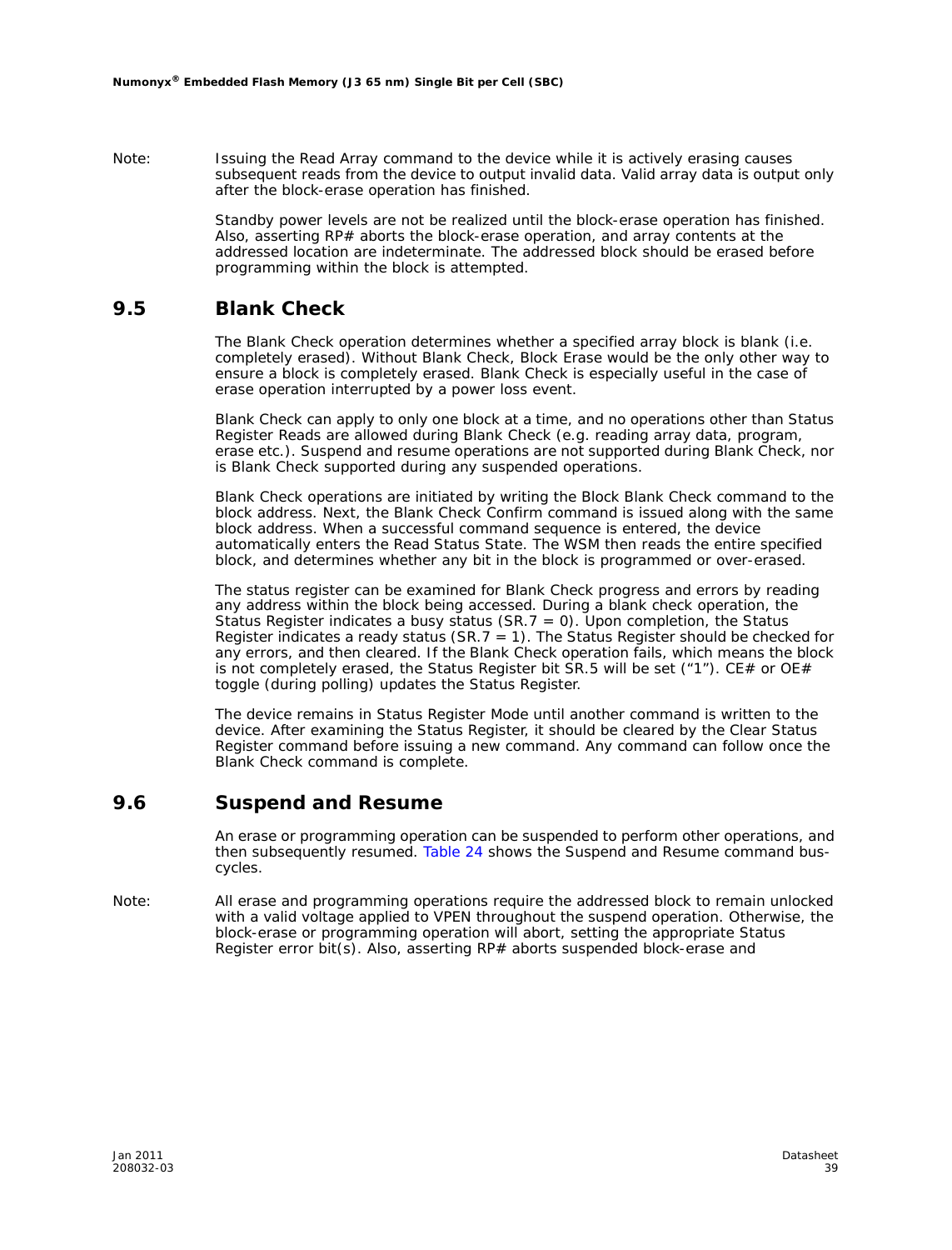*Note:* Issuing the Read Array command to the device while it is actively erasing causes subsequent reads from the device to output invalid data. Valid array data is output only after the block-erase operation has finished.

> Standby power levels are not be realized until the block-erase operation has finished. Also, asserting RP# aborts the block-erase operation, and array contents at the addressed location are indeterminate. The addressed block should be erased before programming within the block is attempted.

#### **9.5 Blank Check**

The Blank Check operation determines whether a specified array block is blank (i.e. completely erased). Without Blank Check, Block Erase would be the only other way to ensure a block is completely erased. Blank Check is especially useful in the case of erase operation interrupted by a power loss event.

Blank Check can apply to only one block at a time, and no operations other than Status Register Reads are allowed during Blank Check (e.g. reading array data, program, erase etc.). Suspend and resume operations are not supported during Blank Check, nor is Blank Check supported during any suspended operations.

Blank Check operations are initiated by writing the Block Blank Check command to the block address. Next, the Blank Check Confirm command is issued along with the same block address. When a successful command sequence is entered, the device automatically enters the Read Status State. The WSM then reads the entire specified block, and determines whether any bit in the block is programmed or over-erased.

The status register can be examined for Blank Check progress and errors by reading any address within the block being accessed. During a blank check operation, the Status Register indicates a busy status (SR.7 = 0). Upon completion, the Status Register indicates a ready status ( $SR.7 = 1$ ). The Status Register should be checked for any errors, and then cleared. If the Blank Check operation fails, which means the block is not completely erased, the Status Register bit SR.5 will be set  $("1")$ . CE# or OE# toggle (during polling) updates the Status Register.

The device remains in Status Register Mode until another command is written to the device. After examining the Status Register, it should be cleared by the Clear Status Register command before issuing a new command. Any command can follow once the Blank Check command is complete.

#### **9.6 Suspend and Resume**

An erase or programming operation can be suspended to perform other operations, and then subsequently resumed. Table 24 shows the Suspend and Resume command buscycles.

*Note:* All erase and programming operations require the addressed block to remain unlocked with a valid voltage applied to VPEN throughout the suspend operation. Otherwise, the block-erase or programming operation will abort, setting the appropriate Status Register error bit(s). Also, asserting RP# aborts suspended block-erase and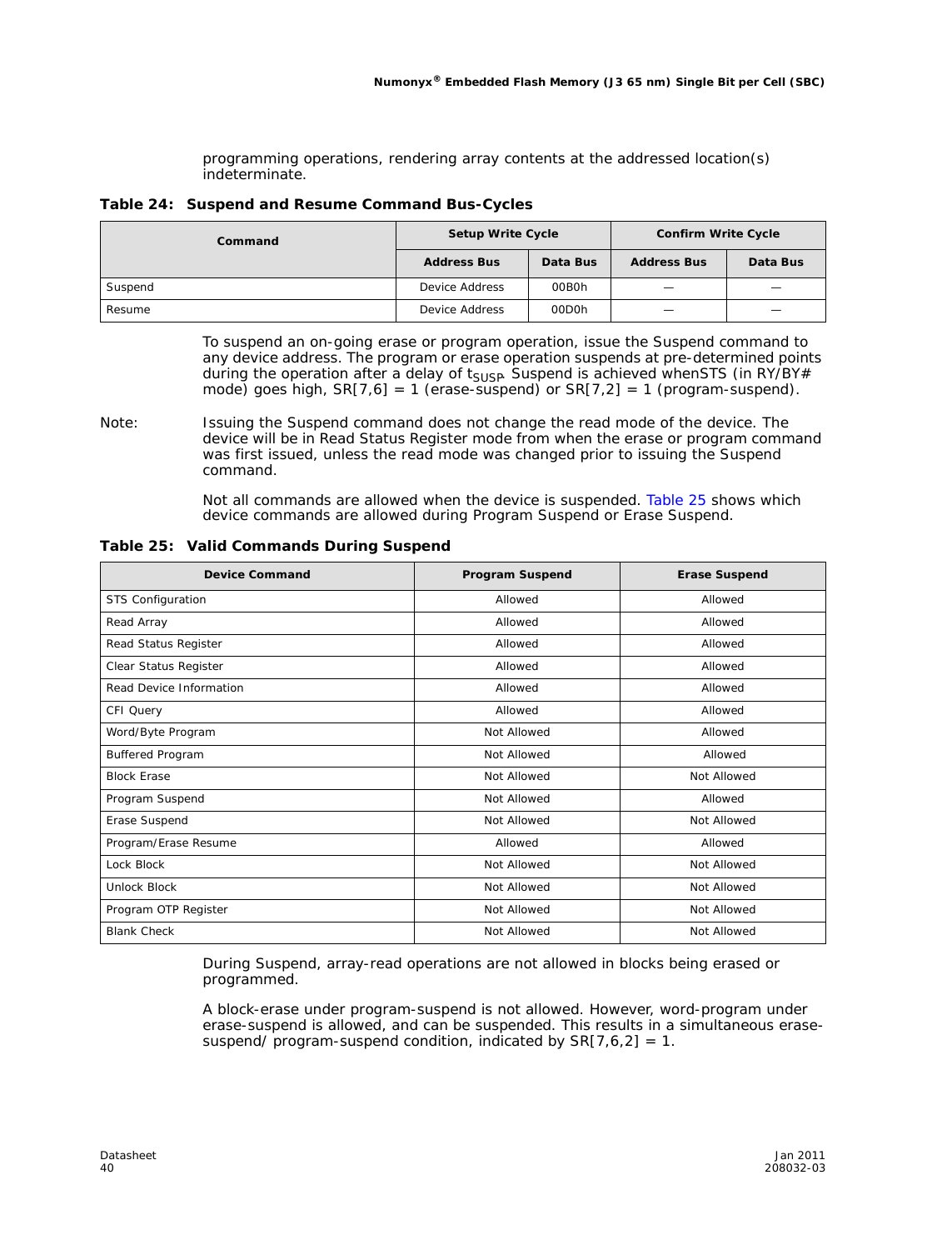programming operations, rendering array contents at the addressed location(s) indeterminate.

|  |  | Table 24: Suspend and Resume Command Bus-Cycles |  |
|--|--|-------------------------------------------------|--|
|--|--|-------------------------------------------------|--|

| Command | <b>Setup Write Cycle</b> |                    | <b>Confirm Write Cycle</b>      |          |  |
|---------|--------------------------|--------------------|---------------------------------|----------|--|
|         | <b>Address Bus</b>       | Data Bus           | <b>Address Bus</b>              | Data Bus |  |
| Suspend | Device Address           | 00B0h              | $\hspace{0.1mm}-\hspace{0.1mm}$ |          |  |
| Resume  | Device Address           | 00D <sub>O</sub> h |                                 |          |  |

To suspend an on-going erase or program operation, issue the Suspend command to any device address. The program or erase operation suspends at pre-determined points during the operation after a delay of  $t_{\text{SUBP}}$  Suspend is achieved whenSTS (in RY/BY# mode) goes high,  $SR[7,6] = 1$  (erase-suspend) or  $SR[7,2] = 1$  (program-suspend).

Not all commands are allowed when the device is suspended. Table 25 shows which device commands are allowed during Program Suspend or Erase Suspend.

| <b>Device Command</b>   | <b>Program Suspend</b> | <b>Erase Suspend</b> |
|-------------------------|------------------------|----------------------|
| STS Configuration       | Allowed                | Allowed              |
| Read Array              | Allowed                | Allowed              |
| Read Status Register    | Allowed                | Allowed              |
| Clear Status Register   | Allowed                | Allowed              |
| Read Device Information | Allowed                | Allowed              |
| CFI Query               | Allowed                | Allowed              |
| Word/Byte Program       | Not Allowed            | Allowed              |
| Buffered Program        | Not Allowed            | Allowed              |
| <b>Block Erase</b>      | Not Allowed            | Not Allowed          |
| Program Suspend         | Not Allowed            | Allowed              |
| Erase Suspend           | Not Allowed            | Not Allowed          |
| Program/Erase Resume    | Allowed                | Allowed              |
| Lock Block              | Not Allowed            | Not Allowed          |
| Unlock Block            | Not Allowed            | Not Allowed          |
| Program OTP Register    | Not Allowed            | Not Allowed          |
| <b>Blank Check</b>      | Not Allowed            | Not Allowed          |

**Table 25: Valid Commands During Suspend** 

During Suspend, array-read operations are not allowed in blocks being erased or programmed.

A block-erase under program-suspend is not allowed. However, word-program under erase-suspend is allowed, and can be suspended. This results in a simultaneous erasesuspend/ program-suspend condition, indicated by  $SR[7,6,2] = 1$ .

*Note:* Issuing the Suspend command does not change the read mode of the device. The device will be in Read Status Register mode from when the erase or program command was first issued, unless the read mode was changed prior to issuing the Suspend command.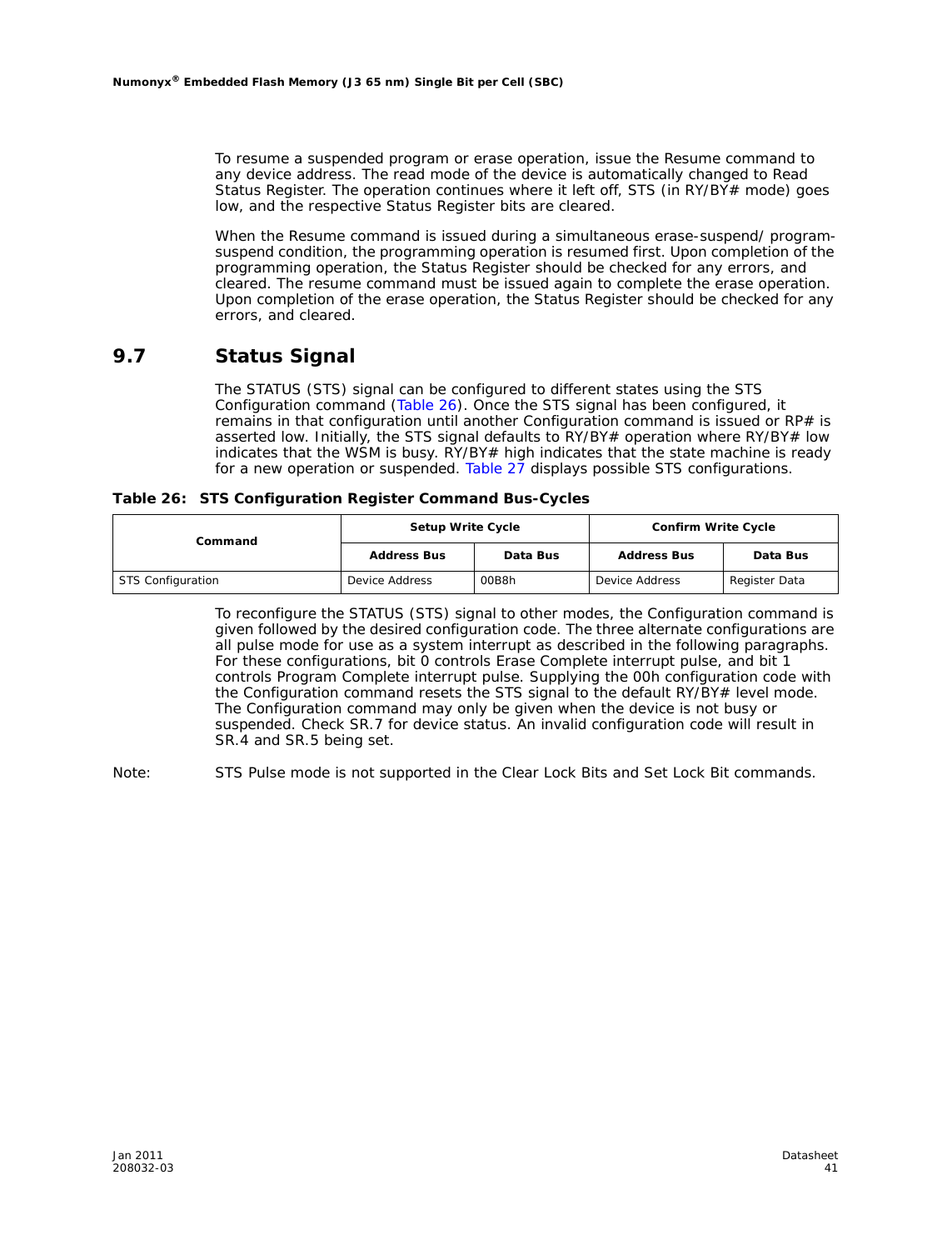To resume a suspended program or erase operation, issue the Resume command to any device address. The read mode of the device is automatically changed to Read Status Register. The operation continues where it left off, STS (in RY/BY $\neq$  mode) goes low, and the respective Status Register bits are cleared.

When the Resume command is issued during a simultaneous erase-suspend/ programsuspend condition, the programming operation is resumed first. Upon completion of the programming operation, the Status Register should be checked for any errors, and cleared. The resume command must be issued again to complete the erase operation. Upon completion of the erase operation, the Status Register should be checked for any errors, and cleared.

#### **9.7 Status Signal**

The STATUS (STS) signal can be configured to different states using the STS Configuration command (Table 26). Once the STS signal has been configured, it remains in that configuration until another Configuration command is issued or RP# is asserted low. Initially, the STS signal defaults to RY/BY# operation where RY/BY# low indicates that the WSM is busy. RY/BY# high indicates that the state machine is ready for a new operation or suspended. Table 27 displays possible STS configurations.

**Table 26: STS Configuration Register Command Bus-Cycles**

| Command           | <b>Setup Write Cycle</b> |                                | <b>Confirm Write Cycle</b>      |          |  |
|-------------------|--------------------------|--------------------------------|---------------------------------|----------|--|
|                   | <b>Address Bus</b>       | Data Bus<br><b>Address Bus</b> |                                 | Data Bus |  |
| STS Configuration | Device Address           | 00B8h                          | Device Address<br>Register Data |          |  |

To reconfigure the STATUS (STS) signal to other modes, the Configuration command is given followed by the desired configuration code. The three alternate configurations are all pulse mode for use as a system interrupt as described in the following paragraphs. For these configurations, bit 0 controls Erase Complete interrupt pulse, and bit 1 controls Program Complete interrupt pulse. Supplying the 00h configuration code with the Configuration command resets the STS signal to the default RY/BY# level mode. The Configuration command may only be given when the device is not busy or suspended. Check SR.7 for device status. An invalid configuration code will result in SR.4 and SR.5 being set.

*Note:* STS Pulse mode is not supported in the Clear Lock Bits and Set Lock Bit commands.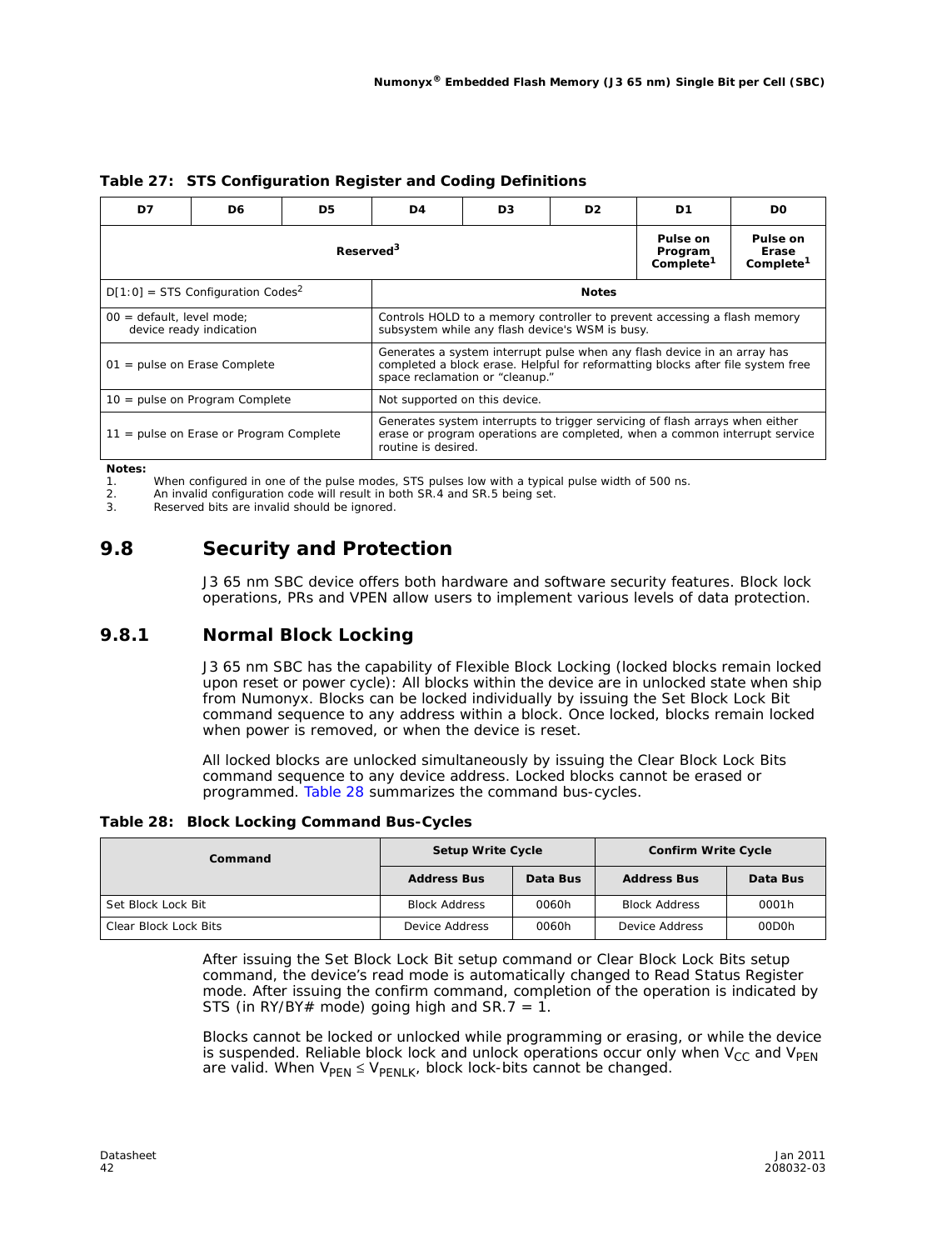| D7                                                                                                                                                                                                                               | D6                                              | D5                    | D4                                                                                                                                                                                | D <sub>3</sub> | D2. | D1 | D <sub>0</sub> |  |
|----------------------------------------------------------------------------------------------------------------------------------------------------------------------------------------------------------------------------------|-------------------------------------------------|-----------------------|-----------------------------------------------------------------------------------------------------------------------------------------------------------------------------------|----------------|-----|----|----------------|--|
|                                                                                                                                                                                                                                  |                                                 | Reserved <sup>3</sup> | Pulse on<br>Pulse on<br>Program<br>Erase<br>Complete <sup>1</sup><br>Complete <sup>1</sup>                                                                                        |                |     |    |                |  |
|                                                                                                                                                                                                                                  | $D[1:0]$ = STS Configuration Codes <sup>2</sup> |                       | <b>Notes</b>                                                                                                                                                                      |                |     |    |                |  |
| $00 =$ default, level mode;<br>device ready indication                                                                                                                                                                           |                                                 |                       | Controls HOLD to a memory controller to prevent accessing a flash memory<br>subsystem while any flash device's WSM is busy.                                                       |                |     |    |                |  |
| Generates a system interrupt pulse when any flash device in an array has<br>completed a block erase. Helpful for reformatting blocks after file system free<br>$01$ = pulse on Erase Complete<br>space reclamation or "cleanup." |                                                 |                       |                                                                                                                                                                                   |                |     |    |                |  |
| 10 = pulse on Program Complete                                                                                                                                                                                                   |                                                 |                       | Not supported on this device.                                                                                                                                                     |                |     |    |                |  |
|                                                                                                                                                                                                                                  | 11 = pulse on Erase or Program Complete         |                       | Generates system interrupts to trigger servicing of flash arrays when either<br>erase or program operations are completed, when a common interrupt service<br>routine is desired. |                |     |    |                |  |

#### **Table 27: STS Configuration Register and Coding Definitions**

*Notes:*

1. When configured in one of the pulse modes, STS pulses low with a typical pulse width of 500 ns.

2. An invalid configuration code will result in both SR.4 and SR.5 being set.

3. Reserved bits are invalid should be ignored.

### **9.8 Security and Protection**

J3 65 nm SBC device offers both hardware and software security features. Block lock operations, PRs and VPEN allow users to implement various levels of data protection.

#### **9.8.1 Normal Block Locking**

J3 65 nm SBC has the capability of Flexible Block Locking (locked blocks remain locked upon reset or power cycle): All blocks within the device are in unlocked state when ship from Numonyx. Blocks can be locked individually by issuing the Set Block Lock Bit command sequence to any address within a block. Once locked, blocks remain locked when power is removed, or when the device is reset.

All locked blocks are unlocked simultaneously by issuing the Clear Block Lock Bits command sequence to any device address. Locked blocks cannot be erased or programmed. Table 28 summarizes the command bus-cycles.

#### **Table 28: Block Locking Command Bus-Cycles**

| Command               | <b>Setup Write Cycle</b> |          | <b>Confirm Write Cycle</b> |          |  |
|-----------------------|--------------------------|----------|----------------------------|----------|--|
|                       | <b>Address Bus</b>       | Data Bus | <b>Address Bus</b>         | Data Bus |  |
| Set Block Lock Bit    | <b>Block Address</b>     | 0060h    | <b>Block Address</b>       | 0001h    |  |
| Clear Block Lock Bits | Device Address           | 0060h    | Device Address             | 00D0h    |  |

After issuing the Set Block Lock Bit setup command or Clear Block Lock Bits setup command, the device's read mode is automatically changed to Read Status Register mode. After issuing the confirm command, completion of the operation is indicated by STS (in RY/BY# mode) going high and SR.7 = 1.

Blocks cannot be locked or unlocked while programming or erasing, or while the device is suspended. Reliable block lock and unlock operations occur only when  $V_{CC}$  and  $V_{PEN}$ are valid. When  $V_{\text{PEN}} \leq V_{\text{PENLK}}$ , block lock-bits cannot be changed.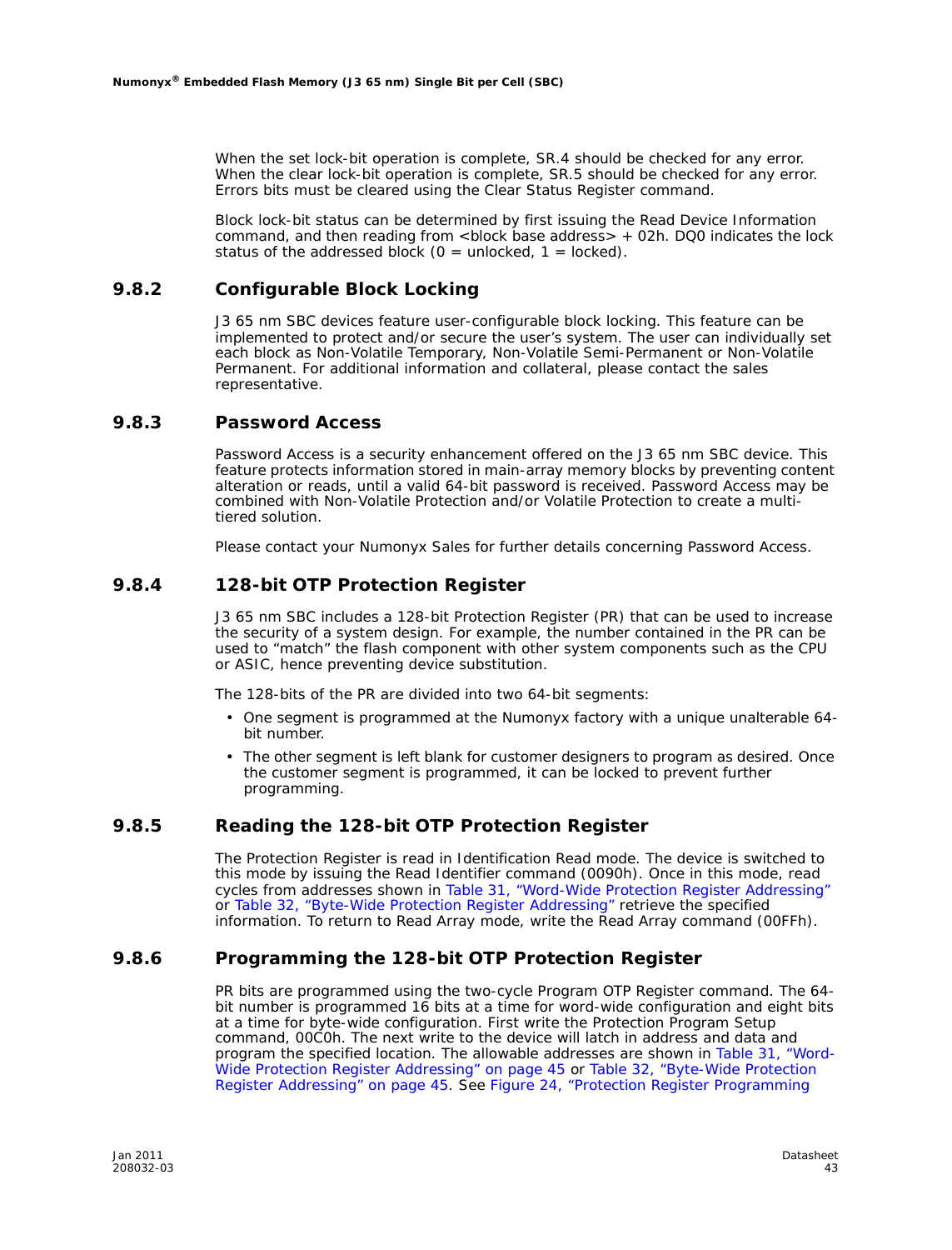When the set lock-bit operation is complete, SR.4 should be checked for any error. When the clear lock-bit operation is complete, SR.5 should be checked for any error. Errors bits must be cleared using the Clear Status Register command.

Block lock-bit status can be determined by first issuing the Read Device Information command, and then reading from  $\lt$ block base address $> +02h$ . DQ0 indicates the lock status of the addressed block ( $0 =$  unlocked,  $1 =$  locked).

#### **9.8.2 Configurable Block Locking**

J3 65 nm SBC devices feature user-configurable block locking. This feature can be implemented to protect and/or secure the user's system. The user can individually set each block as Non-Volatile Temporary, Non-Volatile Semi-Permanent or Non-Volatile Permanent. For additional information and collateral, please contact the sales representative.

#### **9.8.3 Password Access**

Password Access is a security enhancement offered on the J3 65 nm SBC device. This feature protects information stored in main-array memory blocks by preventing content alteration or reads, until a valid 64-bit password is received. Password Access may be combined with Non-Volatile Protection and/or Volatile Protection to create a multitiered solution.

Please contact your Numonyx Sales for further details concerning Password Access.

#### **9.8.4 128-bit OTP Protection Register**

J3 65 nm SBC includes a 128-bit Protection Register (PR) that can be used to increase the security of a system design. For example, the number contained in the PR can be used to "match" the flash component with other system components such as the CPU or ASIC, hence preventing device substitution.

The 128-bits of the PR are divided into two 64-bit segments:

- One segment is programmed at the Numonyx factory with a unique unalterable 64 bit number.
- The other segment is left blank for customer designers to program as desired. Once the customer segment is programmed, it can be locked to prevent further programming.

#### **9.8.5 Reading the 128-bit OTP Protection Register**

The Protection Register is read in Identification Read mode. The device is switched to this mode by issuing the Read Identifier command (0090h). Once in this mode, read cycles from addresses shown in Table 31, "Word-Wide Protection Register Addressing" or Table 32, "Byte-Wide Protection Register Addressing" retrieve the specified information. To return to Read Array mode, write the Read Array command (00FFh).

#### **9.8.6 Programming the 128-bit OTP Protection Register**

PR bits are programmed using the two-cycle Program OTP Register command. The 64 bit number is programmed 16 bits at a time for word-wide configuration and eight bits at a time for byte-wide configuration. First write the Protection Program Setup command, 00C0h. The next write to the device will latch in address and data and program the specified location. The allowable addresses are shown in Table 31, "Word-Wide Protection Register Addressing" on page 45 or Table 32, "Byte-Wide Protection Register Addressing" on page 45. See Figure 24, "Protection Register Programming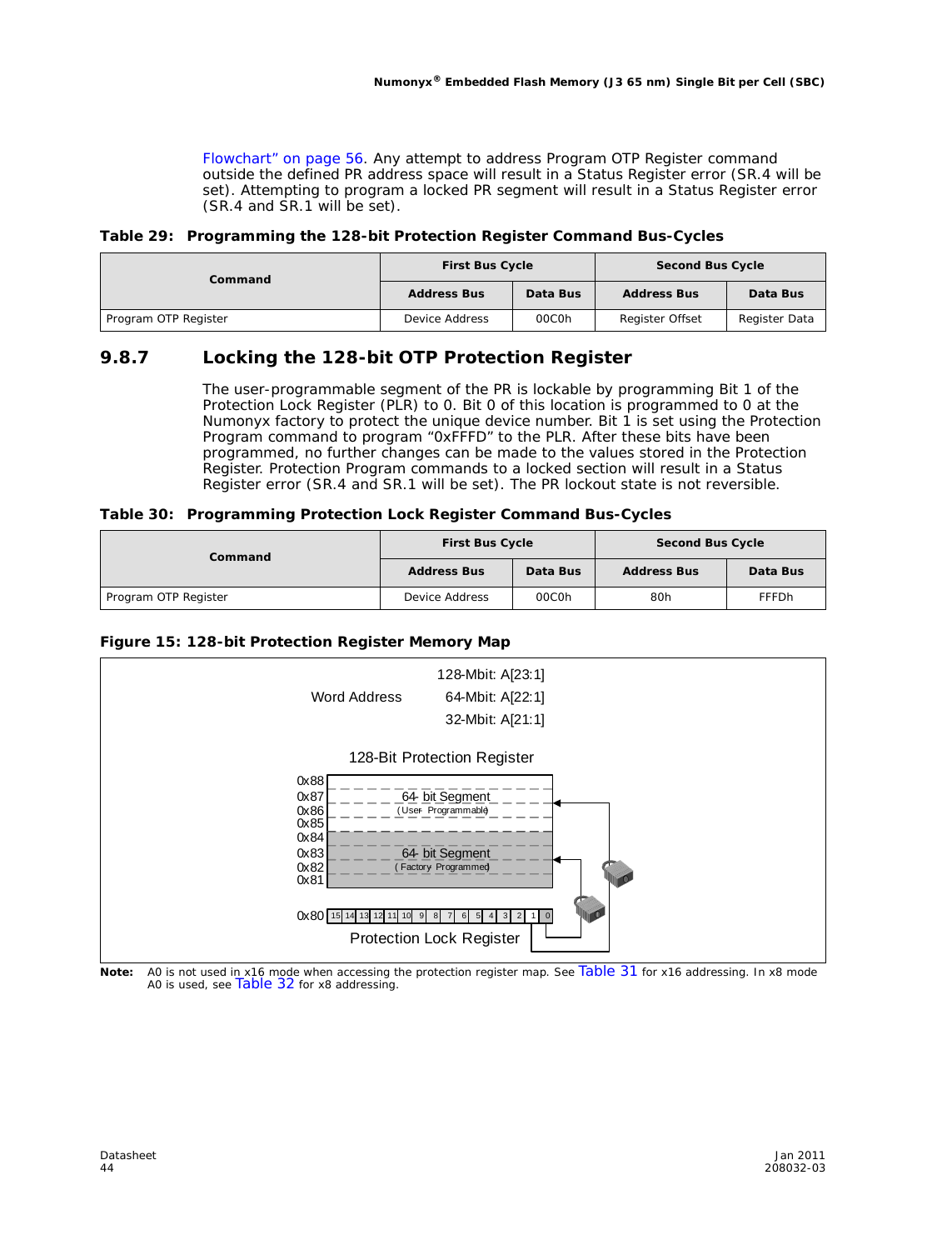Flowchart" on page 56. Any attempt to address Program OTP Register command outside the defined PR address space will result in a Status Register error (SR.4 will be set). Attempting to program a locked PR segment will result in a Status Register error (SR.4 and SR.1 will be set).

#### **Table 29: Programming the 128-bit Protection Register Command Bus-Cycles**

| Command              | <b>First Bus Cycle</b> |          | <b>Second Bus Cycle</b> |               |  |
|----------------------|------------------------|----------|-------------------------|---------------|--|
|                      | <b>Address Bus</b>     | Data Bus | <b>Address Bus</b>      | Data Bus      |  |
| Program OTP Register | Device Address         | 00C0h    | <b>Register Offset</b>  | Register Data |  |

#### **9.8.7 Locking the 128-bit OTP Protection Register**

The user-programmable segment of the PR is lockable by programming Bit 1 of the Protection Lock Register (PLR) to 0. Bit 0 of this location is programmed to 0 at the Numonyx factory to protect the unique device number. Bit 1 is set using the Protection Program command to program "0xFFFD" to the PLR. After these bits have been programmed, no further changes can be made to the values stored in the Protection Register. Protection Program commands to a locked section will result in a Status Register error (SR.4 and SR.1 will be set). The PR lockout state is not reversible.

#### **Table 30: Programming Protection Lock Register Command Bus-Cycles**

| Command              | <b>First Bus Cycle</b> |          | <b>Second Bus Cycle</b> |              |  |
|----------------------|------------------------|----------|-------------------------|--------------|--|
|                      | <b>Address Bus</b>     | Data Bus | <b>Address Bus</b>      | Data Bus     |  |
| Program OTP Register | Device Address         | 00C0h    | 80h                     | <b>FFFDh</b> |  |

#### **Figure 15: 128-bit Protection Register Memory Map**



Note: A0 is not used in x16 mode when accessing the protection register map. See Table 31 for x16 addressing. In x8 mode<br>A0 is used, see Table 32 for x8 addressing.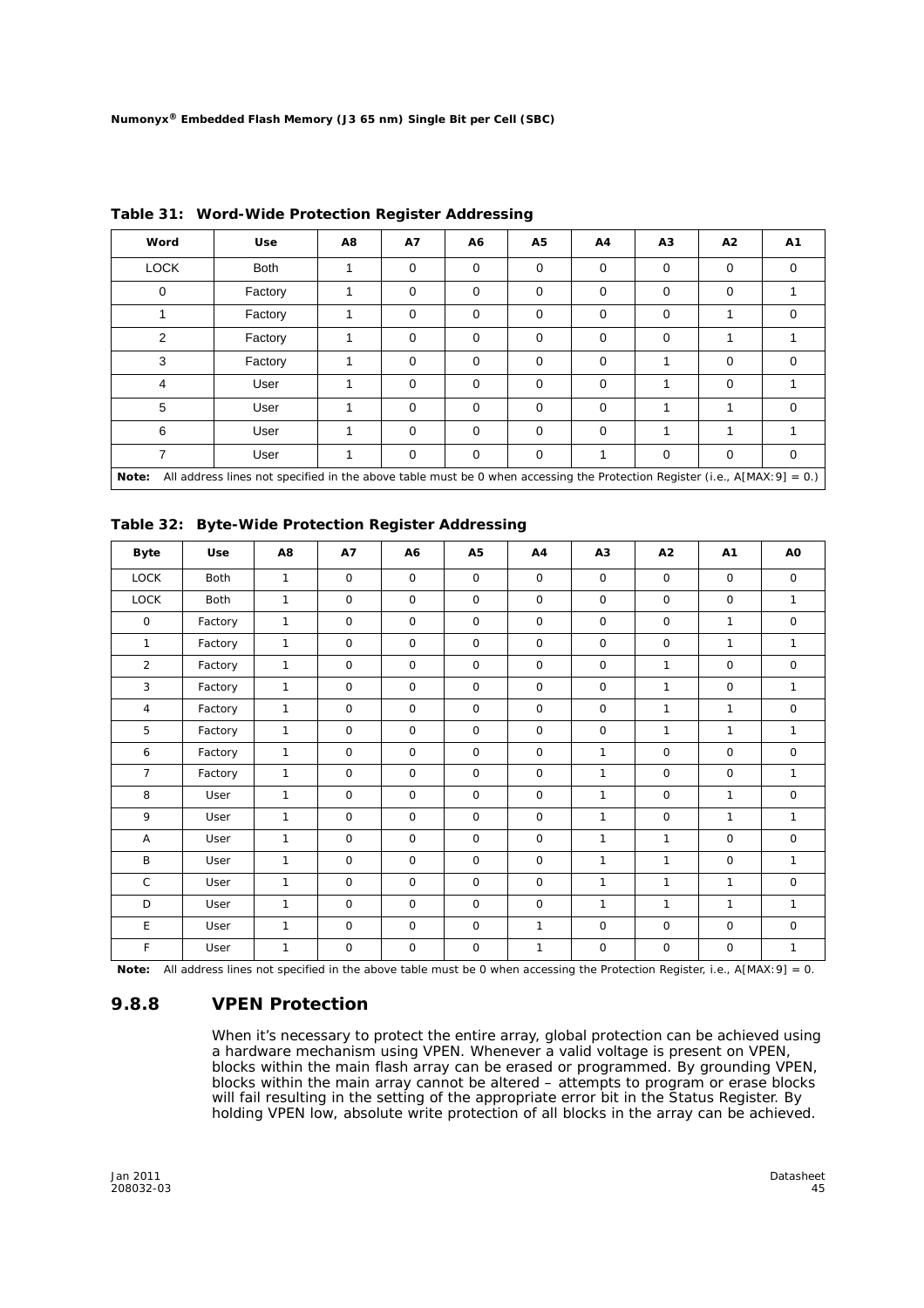| Word           | <b>Use</b>                                                                                                                   | A8 | <b>A7</b>   | A6          | <b>A5</b> | A4          | A3 | A <sub>2</sub>          | A1          |
|----------------|------------------------------------------------------------------------------------------------------------------------------|----|-------------|-------------|-----------|-------------|----|-------------------------|-------------|
| <b>LOCK</b>    | <b>Both</b>                                                                                                                  | 1  | 0           | $\mathbf 0$ | $\Omega$  | $\mathbf 0$ | 0  | $\Omega$                | 0           |
| 0              | Factory                                                                                                                      | 1  | 0           | $\mathbf 0$ | $\Omega$  | $\mathbf 0$ | 0  | $\Omega$                |             |
|                | Factory                                                                                                                      |    | $\mathbf 0$ | $\mathbf 0$ | 0         | 0           | 0  |                         | 0           |
| $\mathfrak{p}$ | Factory                                                                                                                      | 1  | $\mathbf 0$ | $\mathbf 0$ | $\Omega$  | $\mathbf 0$ | 0  |                         |             |
| 3              | Factory                                                                                                                      |    | 0           | 0           | 0         | 0           |    | 0                       | $\mathbf 0$ |
| 4              | User                                                                                                                         | 1  | 0           | $\mathbf 0$ | $\Omega$  | $\mathbf 0$ | 1  | $\Omega$                |             |
| 5              | User                                                                                                                         | 1  | $\mathbf 0$ | $\mathbf 0$ | $\Omega$  | $\mathbf 0$ | 1  | $\overline{\mathbf{A}}$ | $\mathbf 0$ |
| 6              | User                                                                                                                         | 1  | $\mathbf 0$ | $\mathbf 0$ | 0         | $\mathbf 0$ | 1  |                         |             |
| $\overline{ }$ | User                                                                                                                         | 1  | $\mathbf 0$ | $\mathbf 0$ | $\Omega$  | 1           | 0  | $\Omega$                | $\mathbf 0$ |
| Note:          | All address lines not specified in the above table must be 0 when accessing the Protection Register (i.e., $A[MAX:9] = 0$ .) |    |             |             |           |             |    |                         |             |

**Table 31: Word-Wide Protection Register Addressing**

| Table 32: Byte-Wide Protection Register Addressing |  |
|----------------------------------------------------|--|
|                                                    |  |

| <b>Byte</b>    | <b>Use</b>  | A8           | <b>A7</b>    | A6           | A5           | A4           | A3           | A2           | A <sub>1</sub> | A0           |
|----------------|-------------|--------------|--------------|--------------|--------------|--------------|--------------|--------------|----------------|--------------|
| <b>LOCK</b>    | <b>Both</b> | $\mathbf{1}$ | $\Omega$     | $\mathbf 0$  | $\mathbf 0$  | $\Omega$     | $\mathbf 0$  | $\mathsf{O}$ | $\Omega$       | $\mathbf 0$  |
| <b>LOCK</b>    | <b>Both</b> | $\mathbf{1}$ | $\circ$      | $\mathsf{O}$ | $\mathsf{O}$ | $\circ$      | $\mathbf 0$  | $\mathsf{O}$ | $\mathsf{O}$   | $\mathbf{1}$ |
| $\mathsf{O}$   | Factory     | $\mathbf{1}$ | $\mathbf 0$  | $\mathbf 0$  | $\mathbf 0$  | $\mathbf 0$  | $\mathbf 0$  | $\mathbf 0$  | $\mathbf{1}$   | $\mathsf{O}$ |
| $\mathbf{1}$   | Factory     | $\mathbf{1}$ | $\mathbf 0$  | $\mathbf 0$  | $\mathbf 0$  | $\mathbf 0$  | $\mathbf 0$  | $\mathsf{O}$ | $\mathbf{1}$   | $\mathbf{1}$ |
| $\overline{2}$ | Factory     | $\mathbf{1}$ | $\Omega$     | $\mathbf 0$  | $\mathbf 0$  | $\Omega$     | $\mathbf 0$  | $\mathbf{1}$ | $\Omega$       | $\mathsf{O}$ |
| 3              | Factory     | $\mathbf{1}$ | $\mathbf 0$  | $\mathbf 0$  | $\mathbf 0$  | $\mathbf 0$  | $\mathbf 0$  | $\mathbf{1}$ | $\mathbf 0$    | $\mathbf{1}$ |
| $\overline{4}$ | Factory     | $\mathbf{1}$ | $\mathbf 0$  | $\mathbf 0$  | $\mathbf 0$  | $\mathbf 0$  | $\mathbf 0$  | $\mathbf{1}$ | $\mathbf{1}$   | $\mathbf 0$  |
| 5              | Factory     | $\mathbf{1}$ | $\mathbf 0$  | $\mathbf 0$  | $\mathbf 0$  | $\mathbf 0$  | $\mathbf 0$  | $\mathbf{1}$ | $\mathbf{1}$   | $\mathbf{1}$ |
| 6              | Factory     | $\mathbf{1}$ | $\mathsf{O}$ | $\mathbf 0$  | $\mathbf 0$  | $\mathbf 0$  | $\mathbf{1}$ | $\mathsf{O}$ | $\mathbf 0$    | $\mathbf 0$  |
| $\overline{7}$ | Factory     | $\mathbf{1}$ | $\mathbf 0$  | $\mathbf 0$  | $\mathbf 0$  | $\mathbf 0$  | $\mathbf{1}$ | $\mathsf{O}$ | $\mathbf 0$    | $\mathbf{1}$ |
| 8              | User        | $\mathbf{1}$ | $\mathbf 0$  | $\mathbf 0$  | $\mathbf 0$  | $\mathbf 0$  | $\mathbf{1}$ | $\mathbf 0$  | $\mathbf{1}$   | $\mathbf 0$  |
| 9              | User        | 1            | $\mathbf 0$  | $\mathbf 0$  | $\mathbf 0$  | $\mathbf 0$  | $\mathbf{1}$ | 0            | $\mathbf{1}$   | $\mathbf{1}$ |
| Α              | User        | $\mathbf{1}$ | $\mathbf 0$  | $\mathbf 0$  | $\mathbf 0$  | $\mathbf 0$  | $\mathbf{1}$ | 1            | $\mathbf 0$    | $\mathbf 0$  |
| B              | <b>User</b> | $\mathbf{1}$ | $\mathbf 0$  | $\mathbf 0$  | $\mathbf 0$  | $\mathbf 0$  | $\mathbf{1}$ | 1            | $\mathbf 0$    | $\mathbf{1}$ |
| $\mathsf{C}$   | User        | $\mathbf{1}$ | $\mathbf 0$  | $\mathbf 0$  | $\mathbf 0$  | $\mathbf 0$  | $\mathbf{1}$ | 1            | $\mathbf{1}$   | $\mathsf{O}$ |
| D              | User        | $\mathbf{1}$ | $\mathbf 0$  | $\Omega$     | $\mathbf 0$  | $\mathbf 0$  | $\mathbf{1}$ | 1            | $\mathbf{1}$   | $\mathbf{1}$ |
| E              | User        | $\mathbf{1}$ | $\mathbf 0$  | $\circ$      | $\mathsf O$  | $\mathbf{1}$ | $\circ$      | $\mathsf{O}$ | $\circ$        | $\mathsf{O}$ |
| F              | User        | $\mathbf{1}$ | $\mathbf 0$  | $\mathbf 0$  | $\mathsf O$  | 1            | $\mathsf O$  | $\mathbf 0$  | $\mathbf 0$    | $\mathbf{1}$ |

*Note:* All address lines not specified in the above table must be 0 when accessing the Protection Register, i.e., A[MAX:9] = 0.

#### **9.8.8 VPEN Protection**

When it's necessary to protect the entire array, global protection can be achieved using a hardware mechanism using VPEN. Whenever a valid voltage is present on VPEN, blocks within the main flash array can be erased or programmed. By grounding VPEN, blocks within the main array cannot be altered – attempts to program or erase blocks will fail resulting in the setting of the appropriate error bit in the Status Register. By holding VPEN low, absolute write protection of all blocks in the array can be achieved.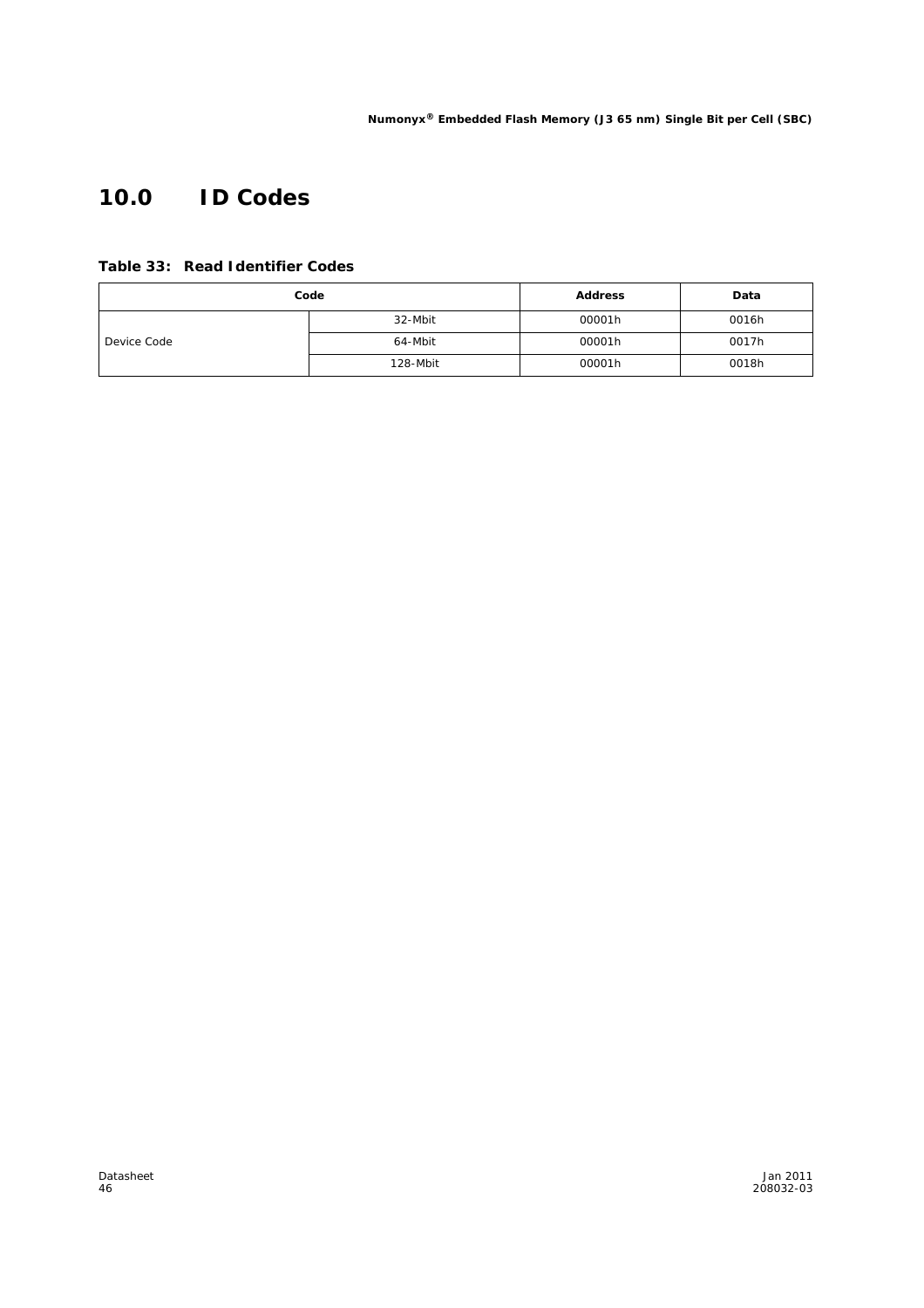# **10.0 ID Codes**

**Table 33: Read Identifier Codes**

| Code        |          | <b>Address</b> | Data  |
|-------------|----------|----------------|-------|
|             | 32-Mbit  | 00001h         | 0016h |
| Device Code | 64-Mbit  | 00001h         | 0017h |
|             | 128-Mbit | 00001h         | 0018h |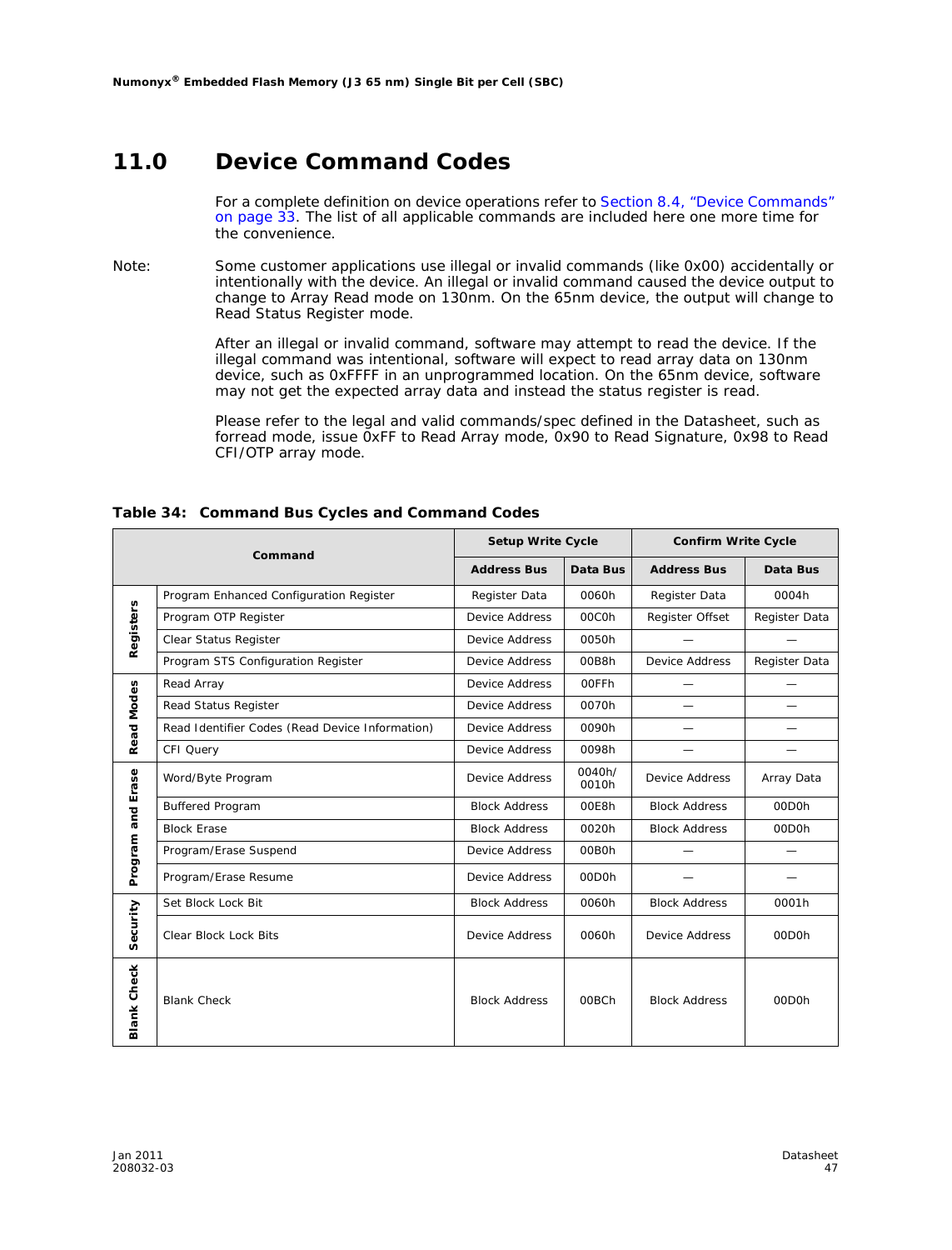### **11.0 Device Command Codes**

For a complete definition on device operations refer to Section 8.4, "Device Commands" on page 33. The list of all applicable commands are included here one more time for the convenience.

*Note:* Some customer applications use illegal or invalid commands (like 0x00) accidentally or intentionally with the device. An illegal or invalid command caused the device output to change to Array Read mode on 130nm. On the 65nm device, the output will change to Read Status Register mode.

> After an illegal or invalid command, software may attempt to read the device. If the illegal command was intentional, software will expect to read array data on 130nm device, such as 0xFFFF in an unprogrammed location. On the 65nm device, software may not get the expected array data and instead the status register is read.

Please refer to the legal and valid commands/spec defined in the Datasheet, such as forread mode, issue 0xFF to Read Array mode, 0x90 to Read Signature, 0x98 to Read CFI/OTP array mode.

|                    | Command                                         | <b>Setup Write Cycle</b> |                                          | <b>Confirm Write Cycle</b> |                    |  |
|--------------------|-------------------------------------------------|--------------------------|------------------------------------------|----------------------------|--------------------|--|
|                    |                                                 | <b>Address Bus</b>       | Data Bus                                 | <b>Address Bus</b>         | Data Bus           |  |
|                    | Program Enhanced Configuration Register         | Register Data            | 0060h                                    | Register Data              | 0004h              |  |
|                    | Program OTP Register                            | Device Address           | 00C0h                                    | Register Offset            | Register Data      |  |
| Registers          | Clear Status Register                           | Device Address           | 0050h                                    |                            |                    |  |
|                    | Program STS Configuration Register              | Device Address           | 00B8h                                    | <b>Device Address</b>      | Register Data      |  |
|                    | Read Array                                      | Device Address           | 00FFh                                    |                            |                    |  |
|                    | Read Status Register                            | Device Address           | 0070h                                    |                            |                    |  |
| <b>Read Modes</b>  | Read Identifier Codes (Read Device Information) | Device Address           | 0090h                                    |                            |                    |  |
|                    | CFI Query                                       | Device Address           | 0098h                                    |                            |                    |  |
| Erase              | Word/Byte Program                               | <b>Device Address</b>    | 0040h/<br><b>Device Address</b><br>0010h |                            | Array Data         |  |
| and                | <b>Buffered Program</b>                         | <b>Block Address</b>     | 00E8h                                    | <b>Block Address</b>       | 00D <sub>O</sub> h |  |
|                    | <b>Block Erase</b>                              | <b>Block Address</b>     | 0020h                                    | <b>Block Address</b>       | 00D <sub>O</sub> h |  |
| Program            | Program/Erase Suspend                           | Device Address           | 00B0h                                    |                            |                    |  |
|                    | Program/Erase Resume                            | <b>Device Address</b>    | 00D <sub>O</sub> h                       |                            |                    |  |
|                    | Set Block Lock Bit                              | <b>Block Address</b>     | 0060h                                    | <b>Block Address</b>       | 0001h              |  |
| Security           | Clear Block Lock Bits                           | Device Address           | 0060h                                    | Device Address             | 00D <sub>O</sub> h |  |
| <b>Blank Check</b> | <b>Blank Check</b>                              | <b>Block Address</b>     | 00BCh                                    | <b>Block Address</b>       | 00D <sub>Oh</sub>  |  |

#### **Table 34: Command Bus Cycles and Command Codes**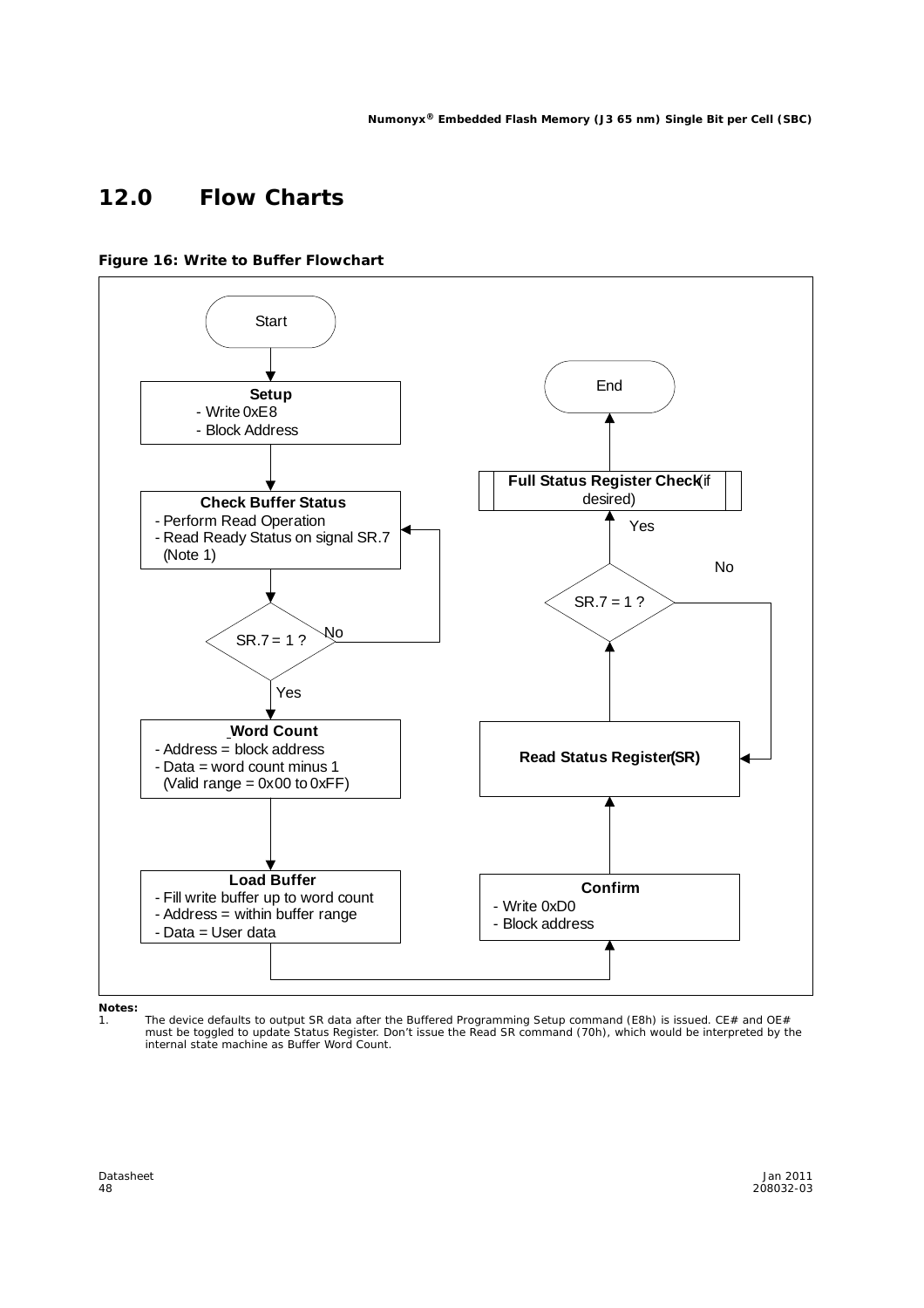### **12.0 Flow Charts**



**Figure 16: Write to Buffer Flowchart**

*Notes:*

1. The device defaults to output SR data after the Buffered Programming Setup command (E8h) is issued. CE# and OE# must be toggled to update Status Register. Don't issue the Read SR command (70h), which would be interpreted by the internal state machine as Buffer Word Count.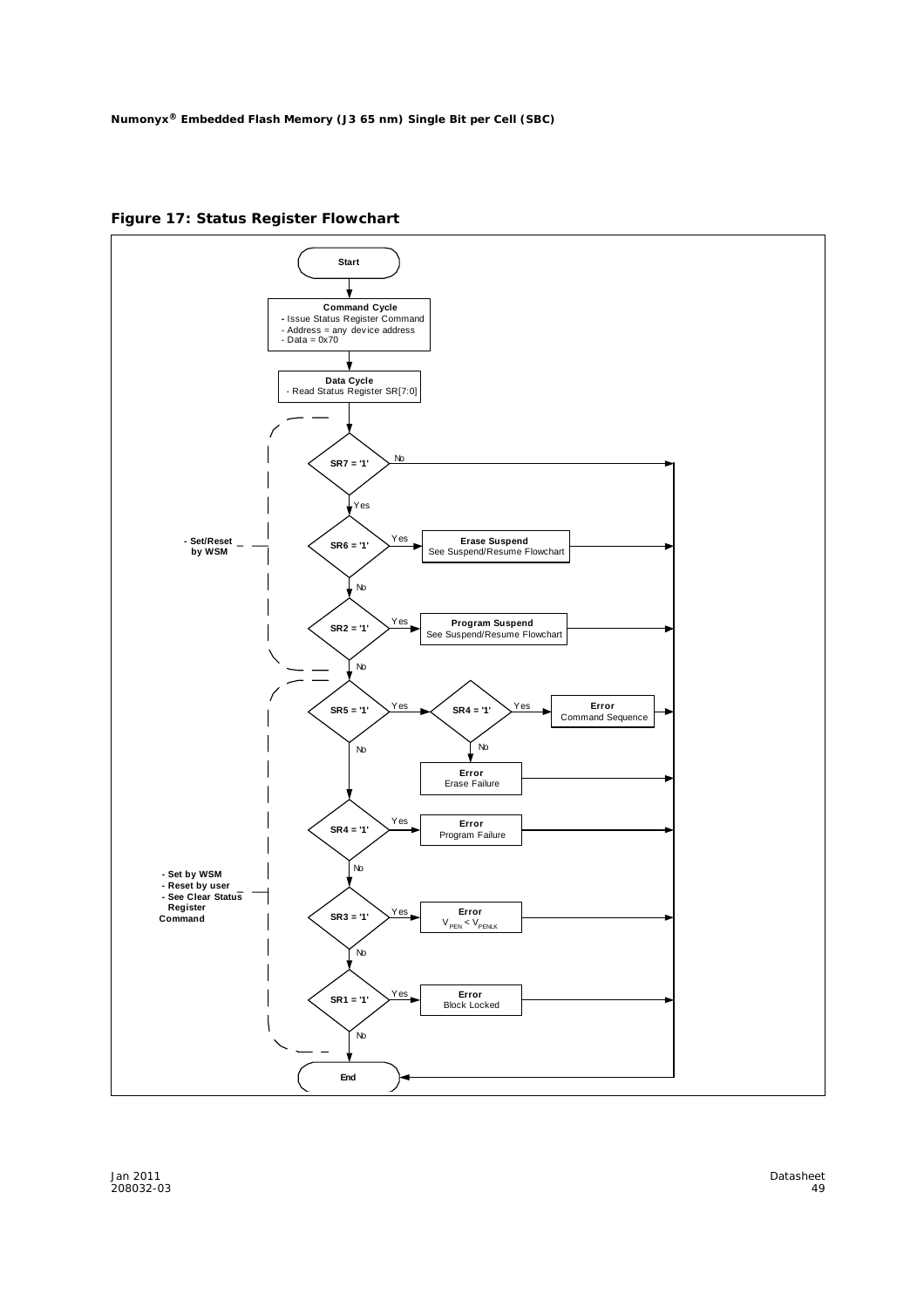**Figure 17: Status Register Flowchart**

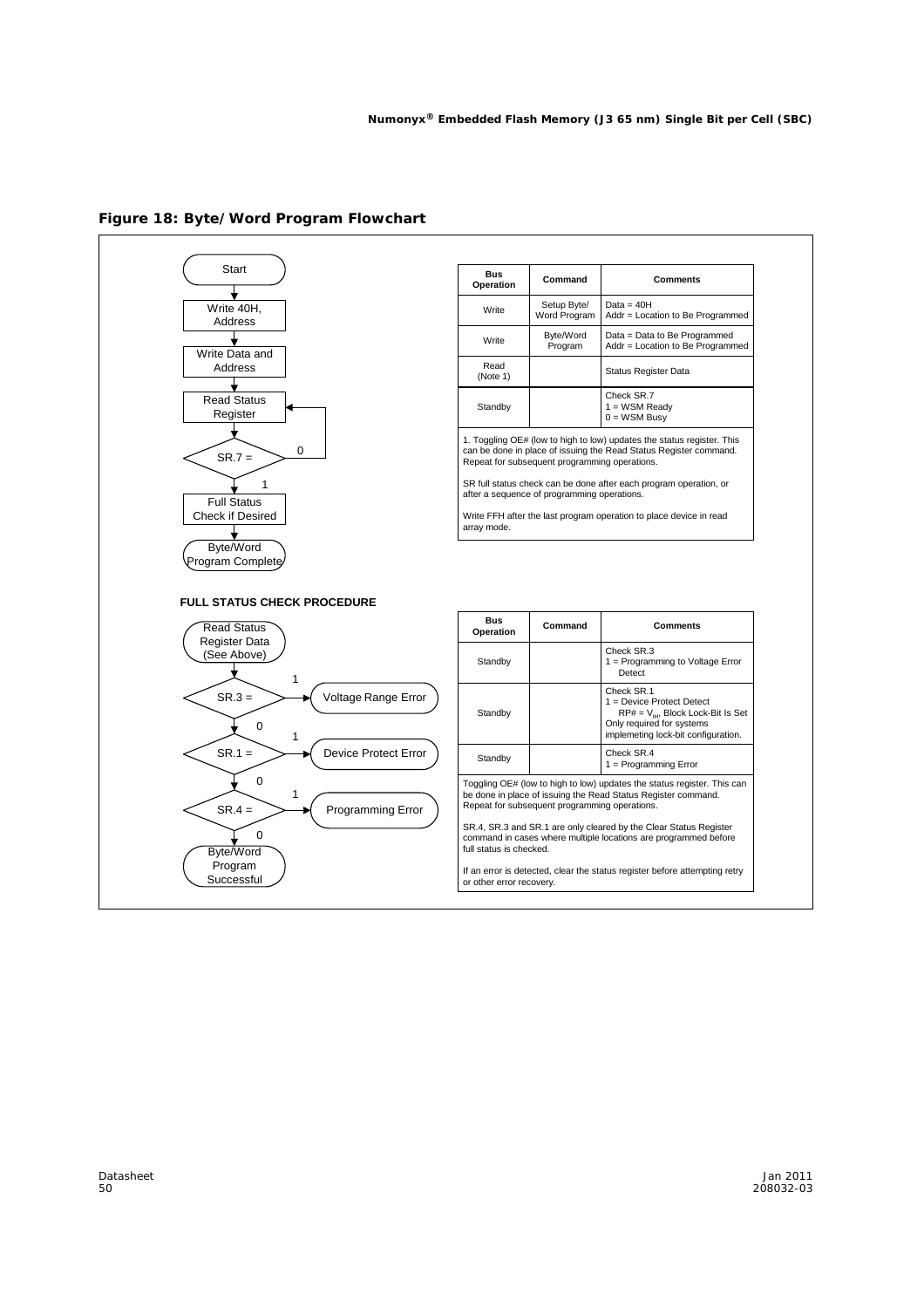

#### **Figure 18: Byte/Word Program Flowchart**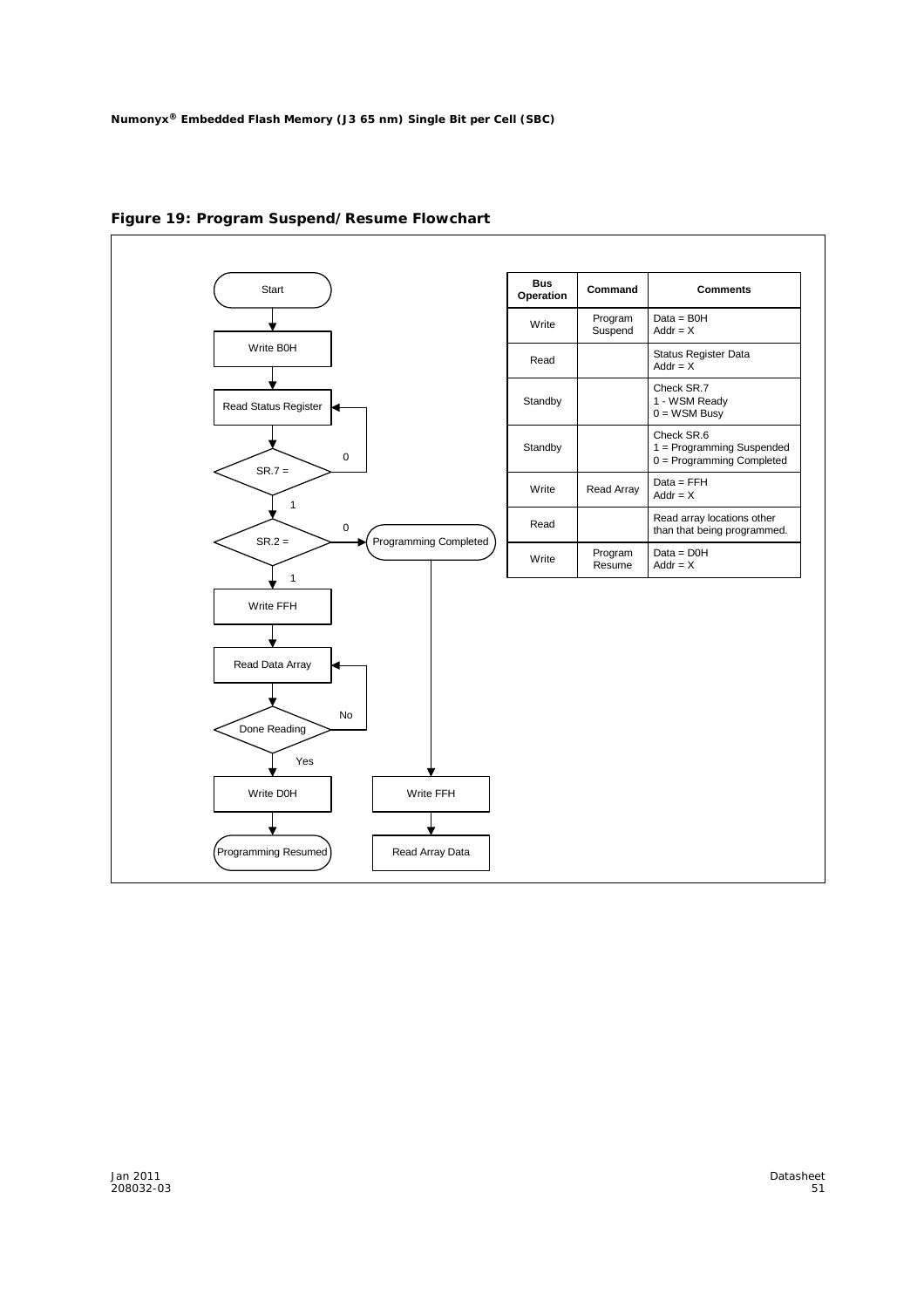

**Figure 19: Program Suspend/Resume Flowchart**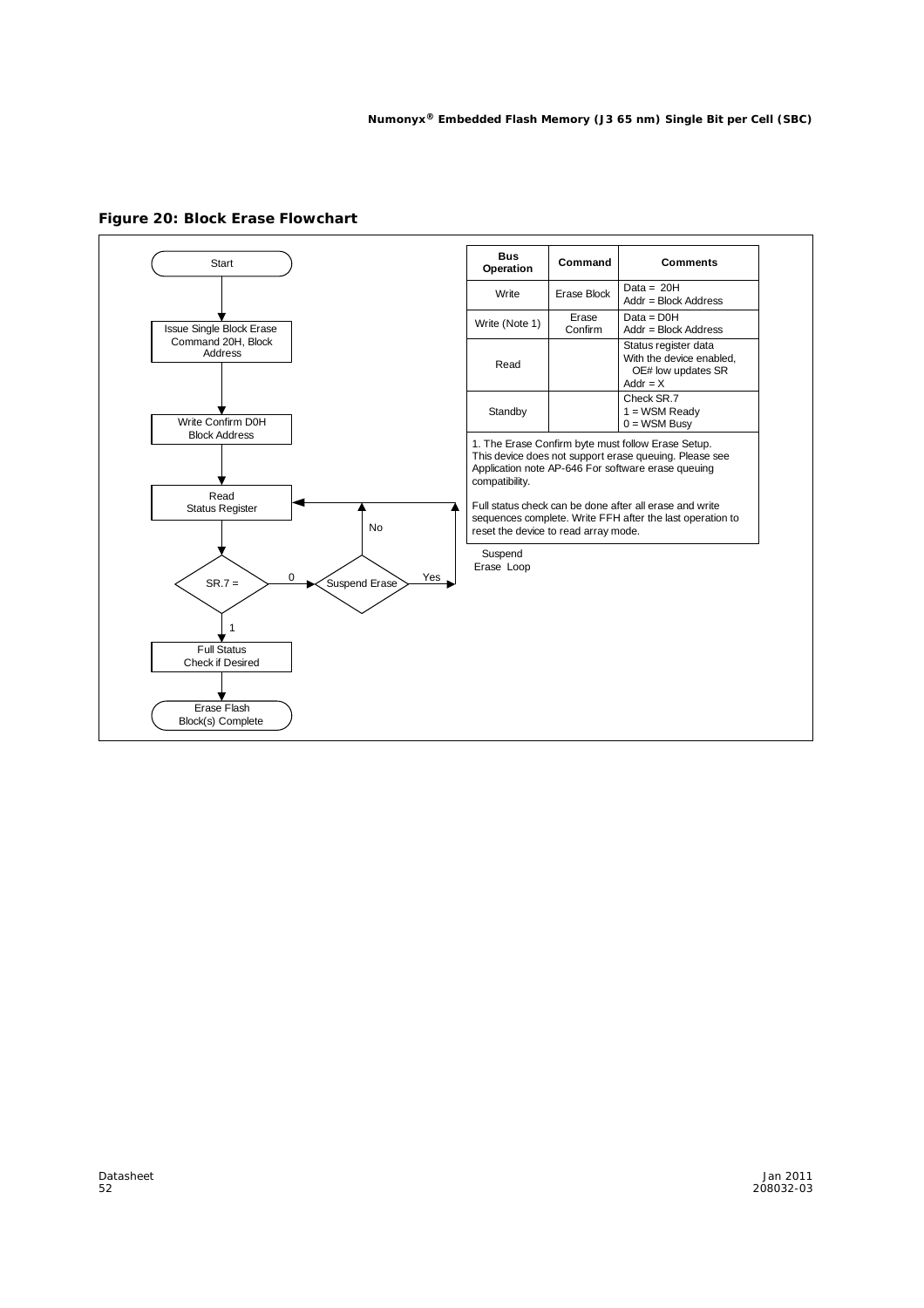

**Figure 20: Block Erase Flowchart**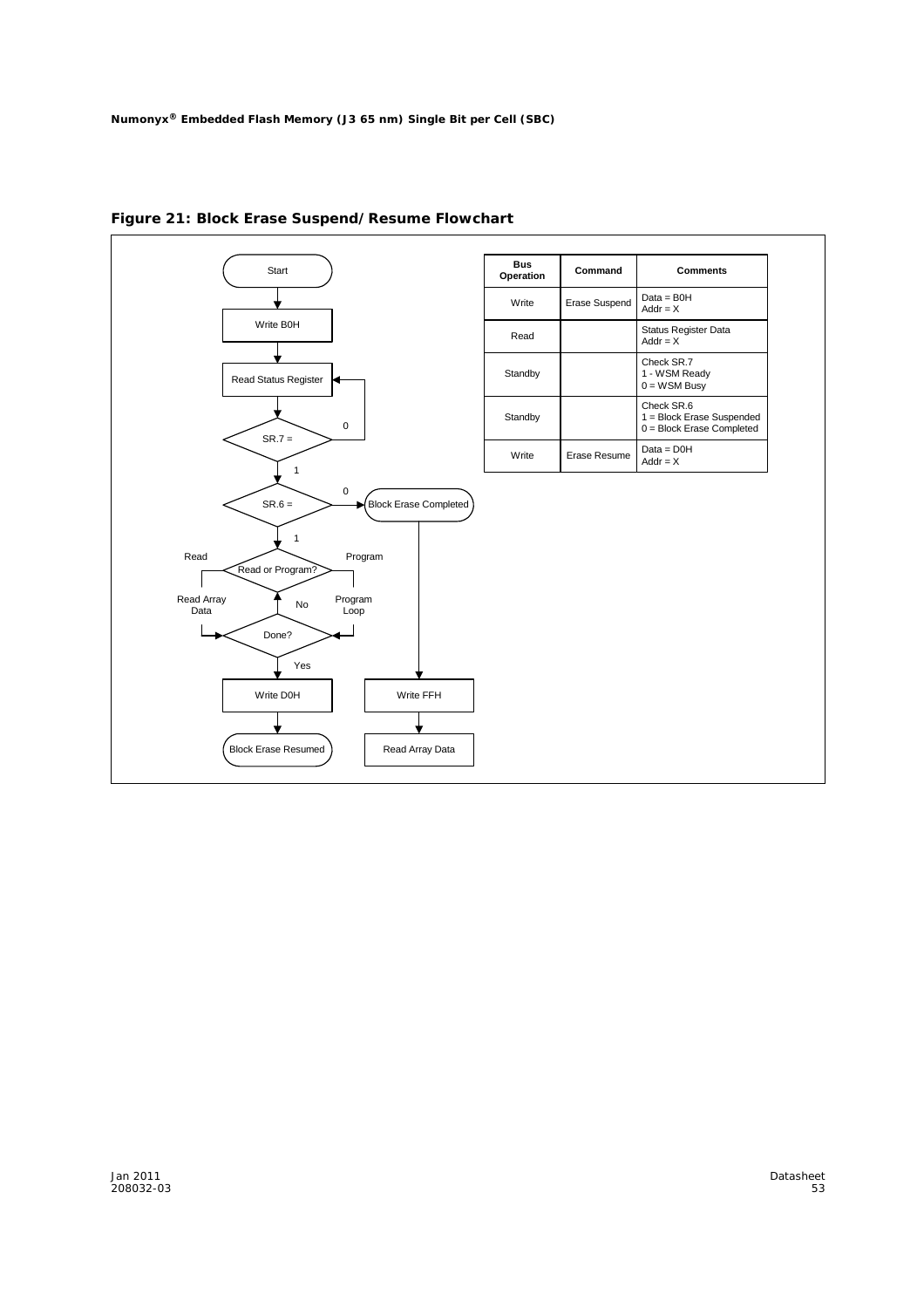

**Figure 21: Block Erase Suspend/Resume Flowchart**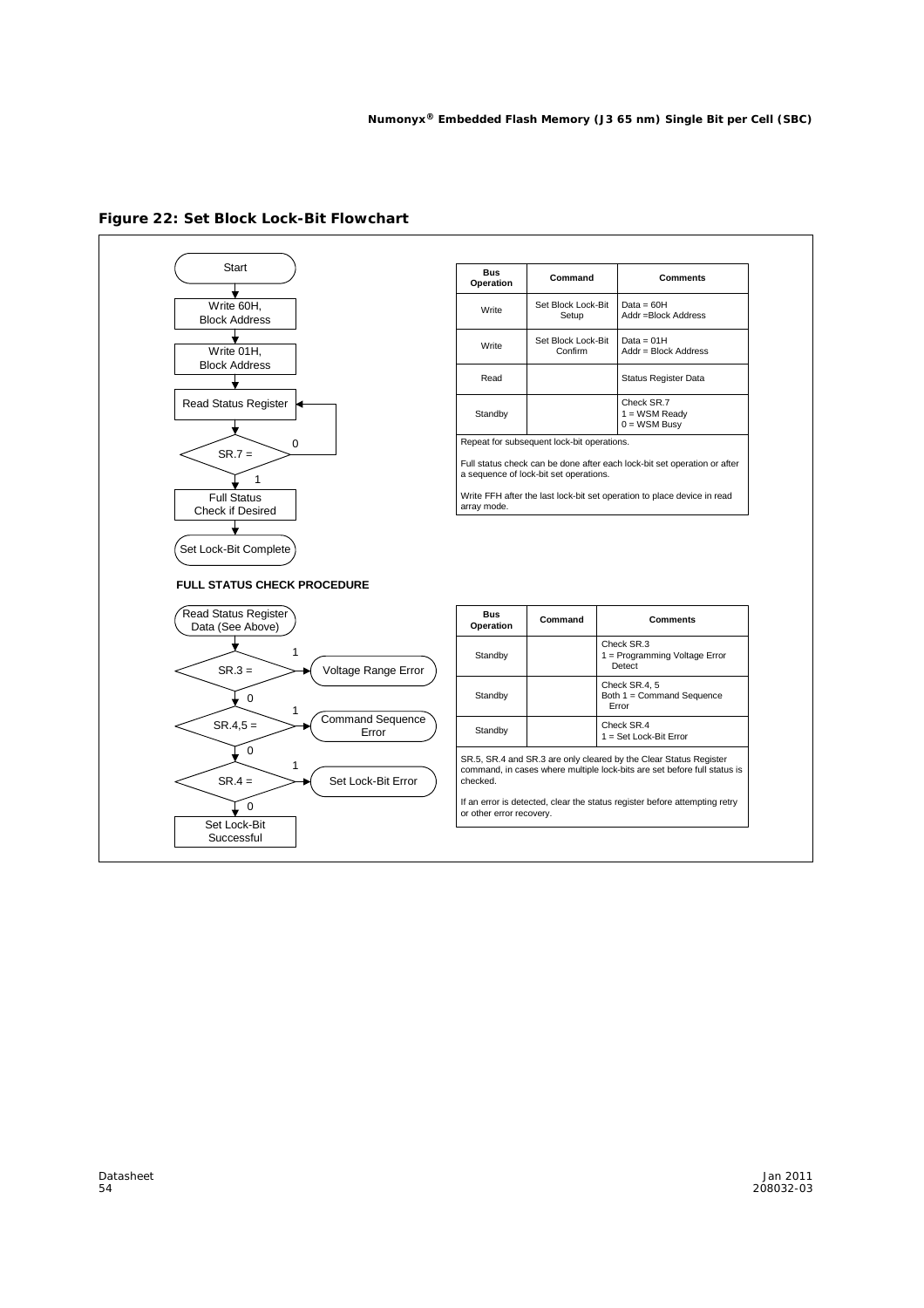

#### **Figure 22: Set Block Lock-Bit Flowchart**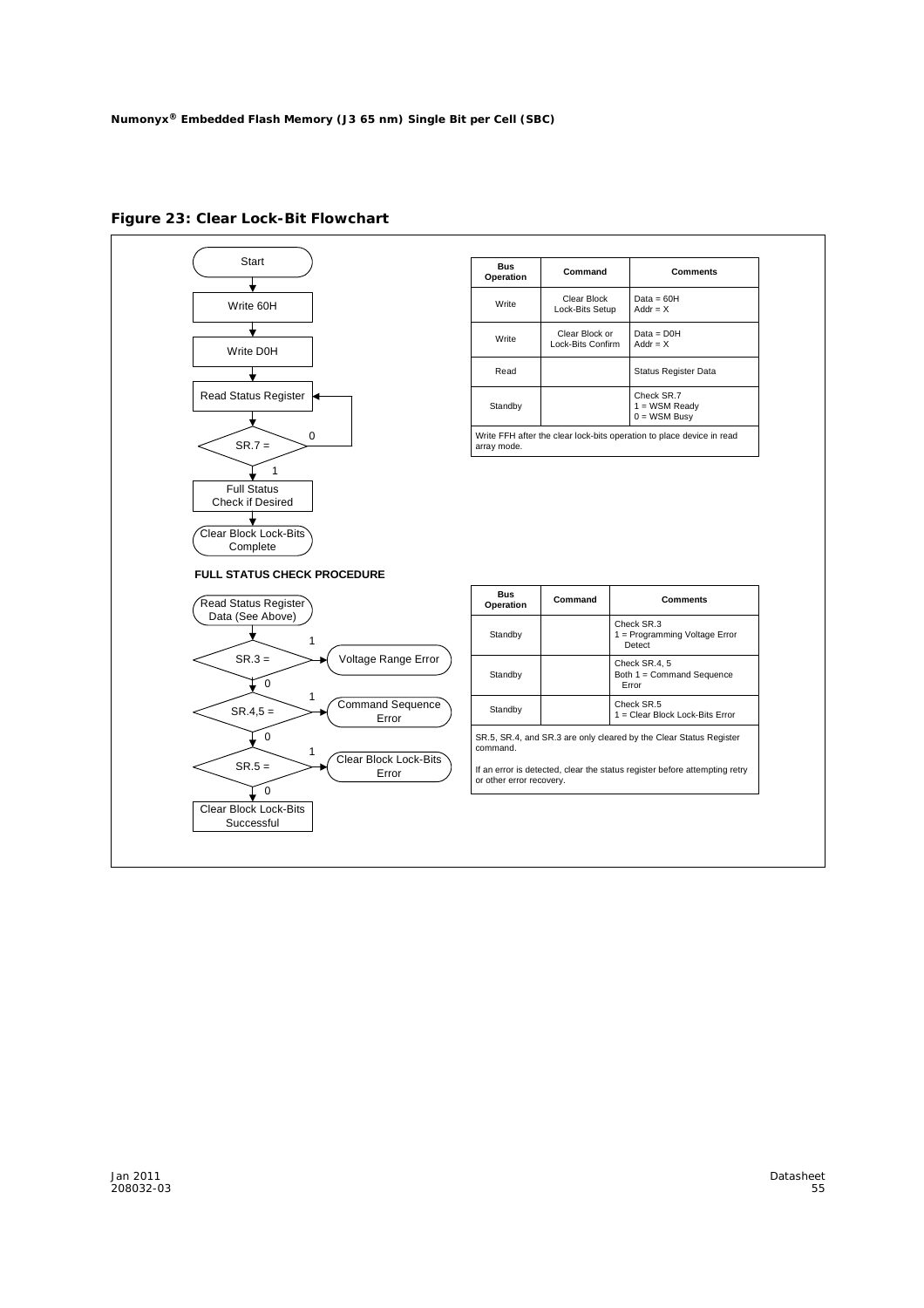

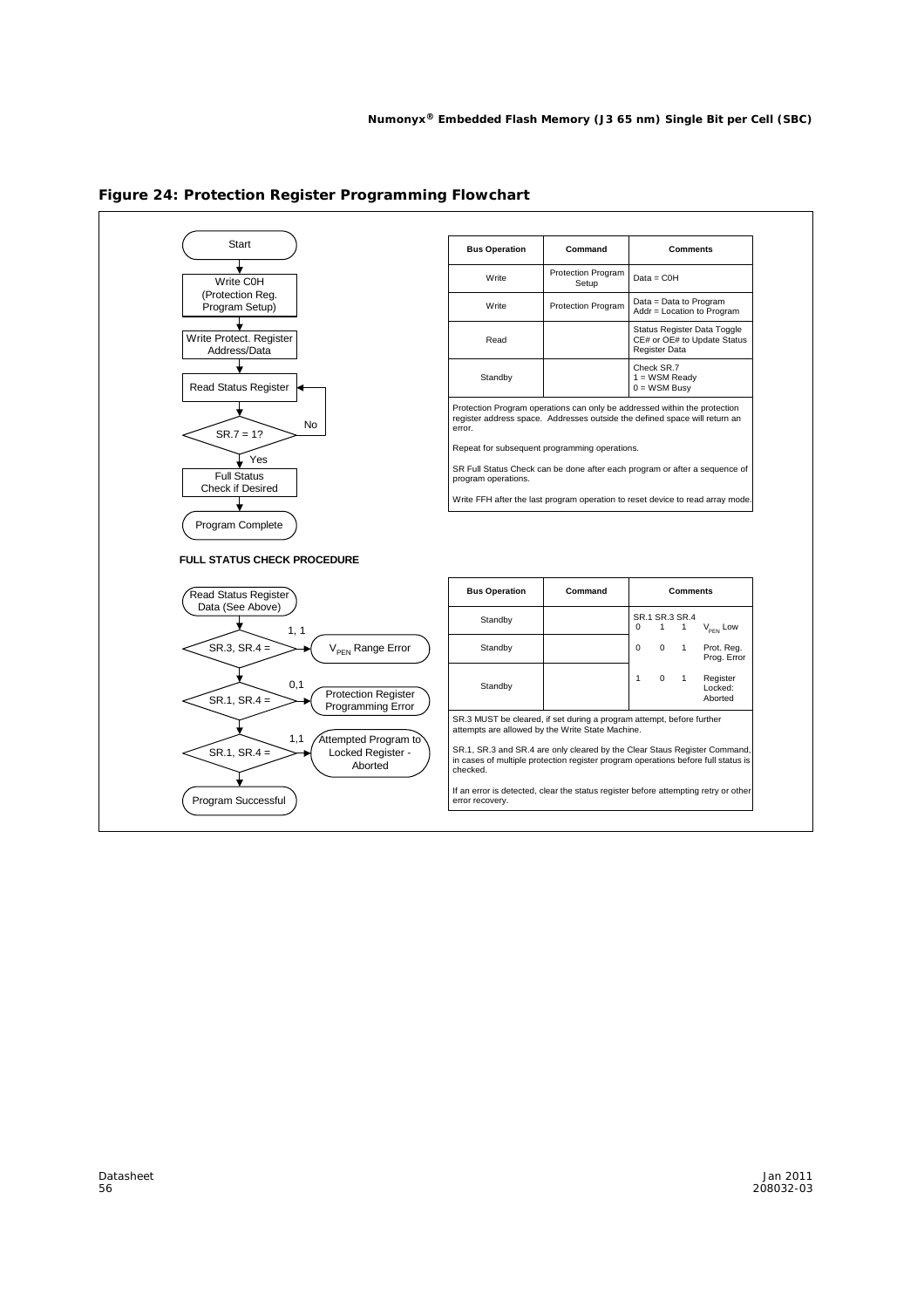

**Figure 24: Protection Register Programming Flowchart**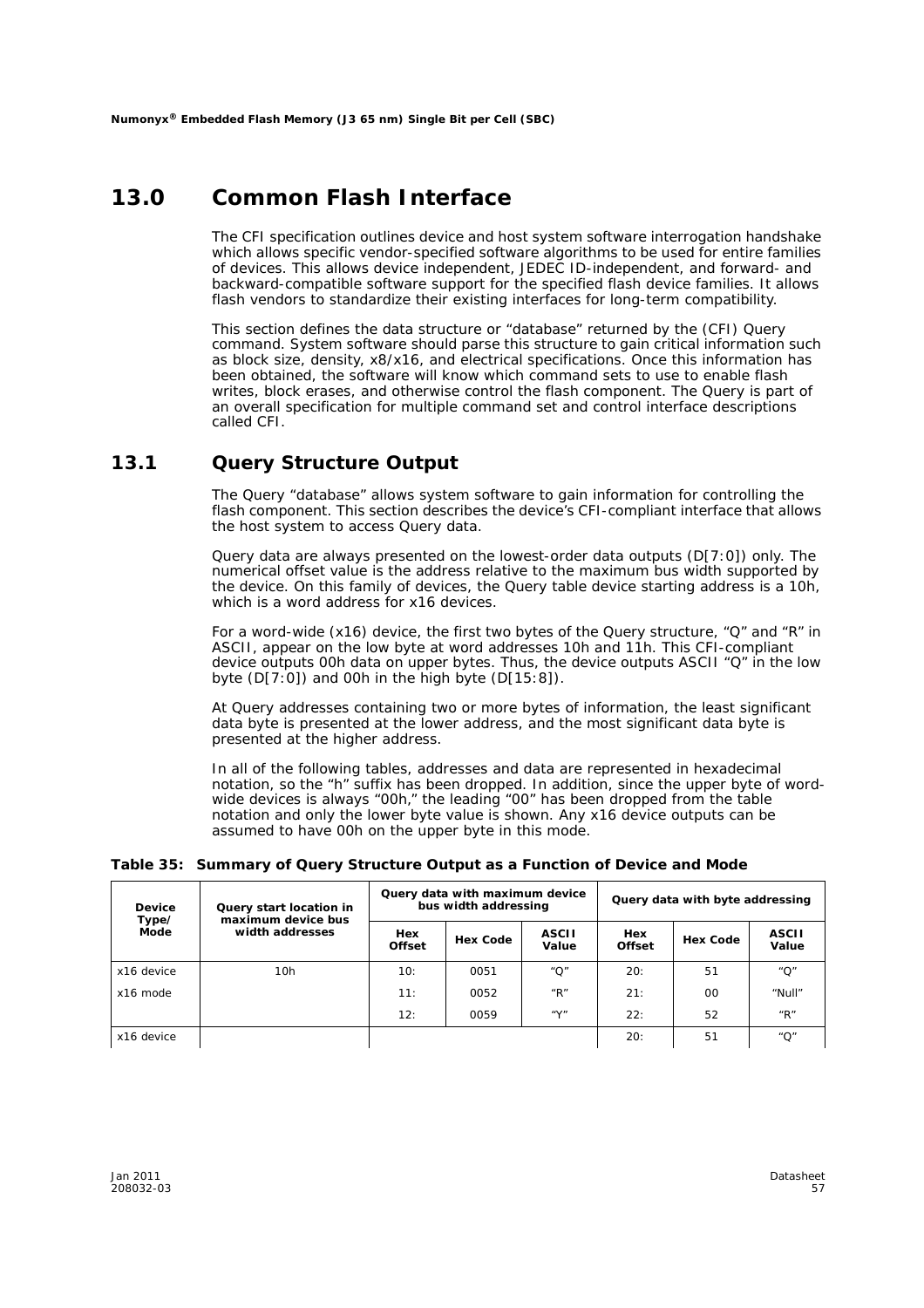### **13.0 Common Flash Interface**

The CFI specification outlines device and host system software interrogation handshake which allows specific vendor-specified software algorithms to be used for entire families of devices. This allows device independent, JEDEC ID-independent, and forward- and backward-compatible software support for the specified flash device families. It allows flash vendors to standardize their existing interfaces for long-term compatibility.

This section defines the data structure or "database" returned by the (CFI) Query command. System software should parse this structure to gain critical information such as block size, density, x8/x16, and electrical specifications. Once this information has been obtained, the software will know which command sets to use to enable flash writes, block erases, and otherwise control the flash component. The Query is part of an overall specification for multiple command set and control interface descriptions called CFI.

#### **13.1 Query Structure Output**

The Query "database" allows system software to gain information for controlling the flash component. This section describes the device's CFI-compliant interface that allows the host system to access Query data.

Query data are always presented on the lowest-order data outputs (D[7:0]) only. The numerical offset value is the address relative to the maximum bus width supported by the device. On this family of devices, the Query table device starting address is a 10h, which is a word address for x16 devices.

For a word-wide (x16) device, the first two bytes of the Query structure, "Q" and "R" in ASCII, appear on the low byte at word addresses 10h and 11h. This CFI-compliant device outputs 00h data on upper bytes. Thus, the device outputs ASCII "Q" in the low byte (D[7:0]) and 00h in the high byte (D[15:8]).

At Query addresses containing two or more bytes of information, the least significant data byte is presented at the lower address, and the most significant data byte is presented at the higher address.

In all of the following tables, addresses and data are represented in hexadecimal notation, so the "h" suffix has been dropped. In addition, since the upper byte of wordwide devices is always "00h," the leading "00" has been dropped from the table notation and only the lower byte value is shown. Any x16 device outputs can be assumed to have 00h on the upper byte in this mode.

#### **Table 35: Summary of Query Structure Output as a Function of Device and Mode**

| Device<br>Type/ | Query start location in<br>maximum device bus | Query data with maximum device<br>bus width addressing |                 |                                       | Query data with byte addressing |                 |                       |  |
|-----------------|-----------------------------------------------|--------------------------------------------------------|-----------------|---------------------------------------|---------------------------------|-----------------|-----------------------|--|
| Mode            | width addresses                               | Hex<br><b>Offset</b>                                   | <b>Hex Code</b> | <b>ASCII</b><br>Value                 | Hex<br><b>Offset</b>            | <b>Hex Code</b> | <b>ASCII</b><br>Value |  |
| x16 device      | 10h                                           | 10:                                                    | 0051            | " $O$ "                               | 20:                             | 51              | $^{\prime\prime}$ O"  |  |
| x16 mode        |                                               | 11:                                                    | 0052            | " $R$ "                               | 21:                             | 00              | "Null"                |  |
|                 |                                               | 12:                                                    | 0059            | $^{\prime\prime}$ V $^{\prime\prime}$ | 22:                             | 52              | " $R$ "               |  |
| x16 device      |                                               |                                                        |                 |                                       | 20:                             | 51              | " $O$ "               |  |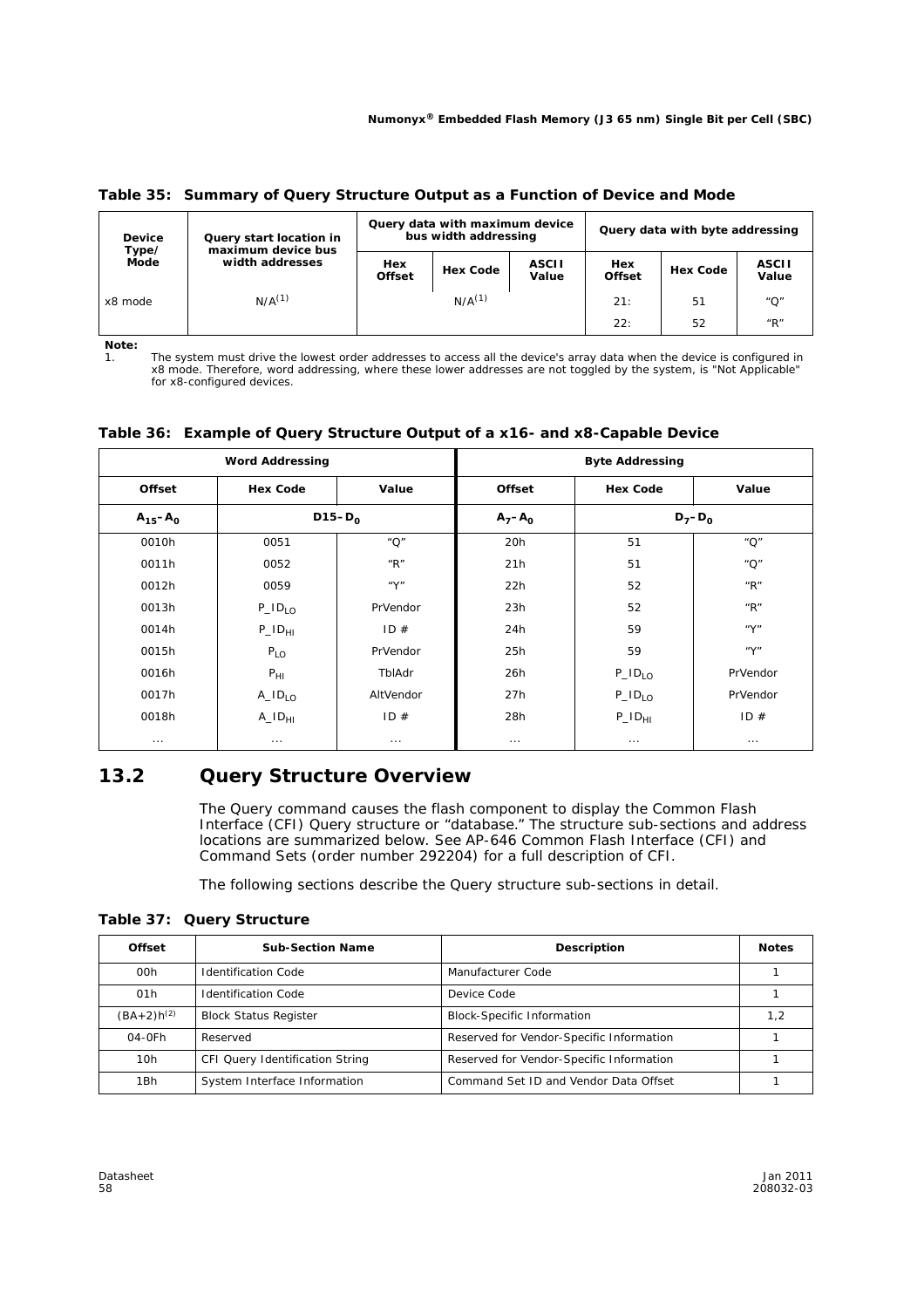**Table 35: Summary of Query Structure Output as a Function of Device and Mode**

| <b>Device</b><br>Type/<br>Mode | Query start location in<br>maximum device bus | Query data with maximum device<br>bus width addressing |                 |                       | Query data with byte addressing |                 |                       |  |
|--------------------------------|-----------------------------------------------|--------------------------------------------------------|-----------------|-----------------------|---------------------------------|-----------------|-----------------------|--|
|                                | width addresses                               | Hex<br><b>Offset</b>                                   | <b>Hex Code</b> | <b>ASCII</b><br>Value | Hex<br><b>Offset</b>            | <b>Hex Code</b> | <b>ASCII</b><br>Value |  |
| x8 mode                        | $N/A^{(1)}$                                   |                                                        | $N/A^{(1)}$     |                       | 21:                             | 51              | $^{\prime\prime}$ O"  |  |
|                                |                                               |                                                        |                 |                       | 22:                             | 52              | " $R$ "               |  |

*Note:*

1. The system must drive the lowest order addresses to access all the device's array data when the device is configured in x8 mode. Therefore, word addressing, where these lower addresses are not toggled by the system, is "Not Applicable" for x8-configured devices.

|  |  |  |  | Table 36: Example of Query Structure Output of a x16- and x8-Capable Device |
|--|--|--|--|-----------------------------------------------------------------------------|
|--|--|--|--|-----------------------------------------------------------------------------|

|                | <b>Word Addressing</b>          |                                       |               | <b>Byte Addressing</b>          |                                       |
|----------------|---------------------------------|---------------------------------------|---------------|---------------------------------|---------------------------------------|
| <b>Offset</b>  | <b>Hex Code</b>                 | Value                                 | <b>Offset</b> | <b>Hex Code</b>                 | Value                                 |
| $A_{15} - A_0$ |                                 | $D15-D_0$                             | $A_7 - A_0$   |                                 | $D_7 - D_0$                           |
| 0010h          | 0051                            | "O"                                   | 20h           | 51                              | $^{\prime\prime}$ O"                  |
| 0011h          | 0052                            | $^{\prime\prime}$ R $^{\prime\prime}$ | 21h           | 51                              | $^{\prime\prime}$ O"                  |
| 0012h          | 0059                            | ''Y''                                 | 22h           | 52                              | $^{\prime\prime}$ R $^{\prime\prime}$ |
| 0013h          | $P_{I0}$                        | PrVendor                              | 23h           | 52                              | $^{\prime\prime}$ R $^{\prime\prime}$ |
| 0014h          | $P$ <sub>-ID<sub>HI</sub></sub> | ID#                                   | 24h           | 59                              | ''Y''                                 |
| 0015h          | $P_{LO}$                        | PrVendor                              | 25h           | 59                              | ''Y''                                 |
| 0016h          | $P_{HI}$                        | TblAdr                                | 26h           | $P_{I0}$                        | PrVendor                              |
| 0017h          | $A$ <sub>-ID<sub>IO</sub></sub> | AltVendor                             | 27h           | $P_{I0}$                        | PrVendor                              |
| 0018h          | $A$ <sub>-ID<sub>HI</sub></sub> | ID#                                   | 28h           | $P$ <sub>-ID<sub>HI</sub></sub> | ID#                                   |
| $\cdots$       | $\cdots$                        | $\cdots$                              | $\cdots$      | $\cdots$                        | $\cdots$                              |

### **13.2 Query Structure Overview**

The Query command causes the flash component to display the Common Flash Interface (CFI) Query structure or "database." The structure sub-sections and address locations are summarized below. See *AP-646 Common Flash Interface (CFI) and Command Sets* (order number 292204) for a full description of CFI.

The following sections describe the Query structure sub-sections in detail.

**Table 37: Query Structure**

| <b>Offset</b>   | <b>Sub-Section Name</b>         | <b>Description</b>                       | <b>Notes</b> |
|-----------------|---------------------------------|------------------------------------------|--------------|
| 00h             | <b>Identification Code</b>      | Manufacturer Code                        |              |
| 01h             | <b>Identification Code</b>      | Device Code                              |              |
| $(BA+2)h^{(2)}$ | <b>Block Status Register</b>    | <b>Block-Specific Information</b>        | 1.2          |
| $04-0Fh$        | Reserved                        | Reserved for Vendor-Specific Information |              |
| 10h             | CFI Query Identification String | Reserved for Vendor-Specific Information |              |
| 1Bh             | System Interface Information    | Command Set ID and Vendor Data Offset    |              |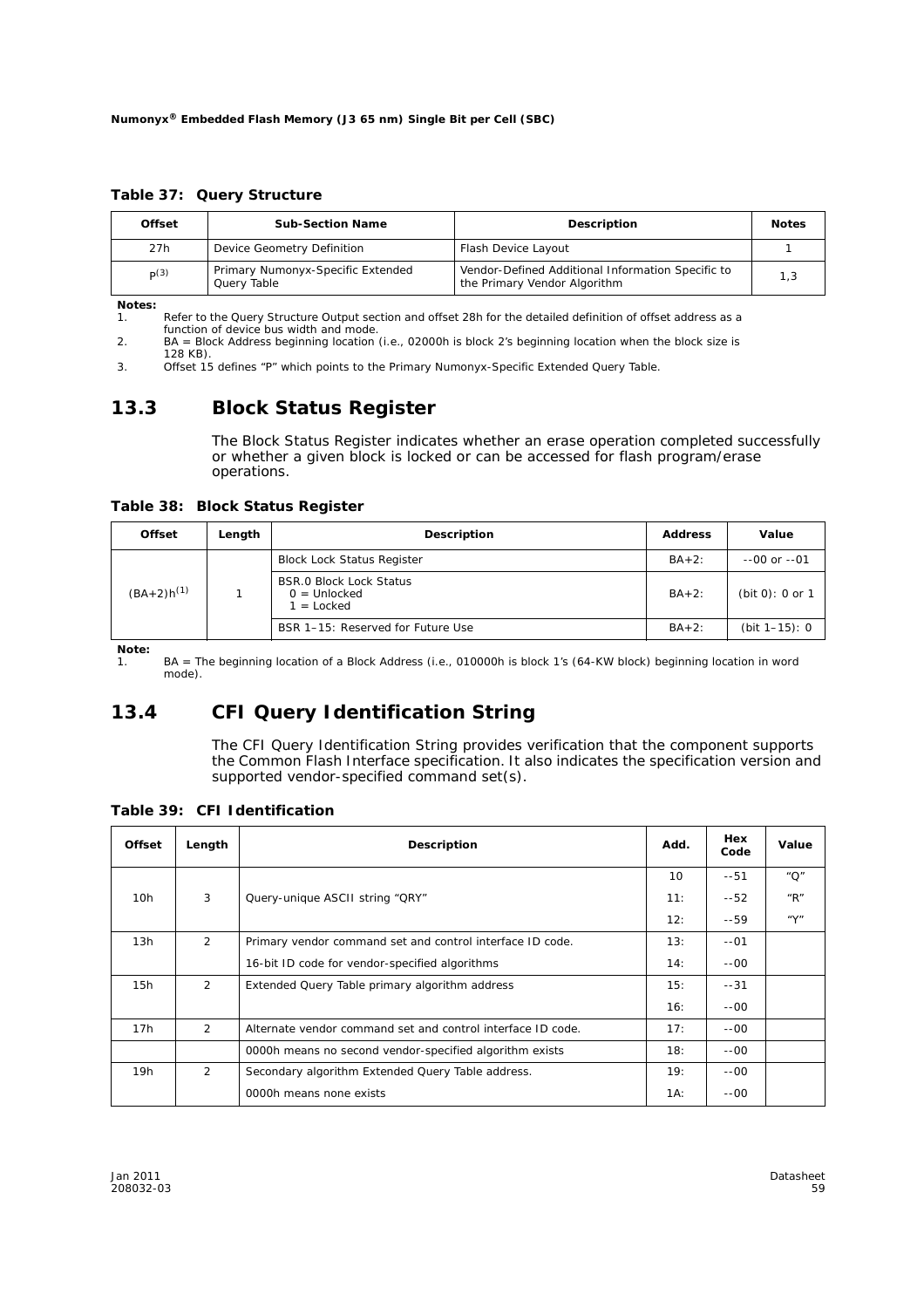**Table 37: Query Structure**

| <b>Offset</b> | <b>Sub-Section Name</b>                          | <b>Description</b>                                                                | <b>Notes</b> |
|---------------|--------------------------------------------------|-----------------------------------------------------------------------------------|--------------|
| 27h           | Device Geometry Definition                       | Flash Device Layout                                                               |              |
| p(3)          | Primary Numonyx-Specific Extended<br>Query Table | Vendor-Defined Additional Information Specific to<br>the Primary Vendor Algorithm | 1.3          |

*Notes:*

Refer to the Query Structure Output section and offset 28h for the detailed definition of offset address as a function of device bus width and mode.

2. BA = Block Address beginning location (i.e., 02000h is block 2's beginning location when the block size is 128 KB).

3. Offset 15 defines "P" which points to the *Primary Numonyx-Specific Extended Query* Table.

### **13.3 Block Status Register**

The Block Status Register indicates whether an erase operation completed successfully or whether a given block is locked or can be accessed for flash program/erase operations.

**Table 38: Block Status Register**

| <b>Offset</b>   | Length | <b>Description</b>                                               | <b>Address</b> | Value              |
|-----------------|--------|------------------------------------------------------------------|----------------|--------------------|
|                 |        | <b>Block Lock Status Register</b>                                | $BA + 2$ :     | $-00$ or $-01$     |
| $(BA+2)h^{(1)}$ |        | <b>BSR.0 Block Lock Status</b><br>$0 =$ Unlocked<br>$1 =$ Locked | $BA+2$ :       | (bit 0): 0 or 1    |
|                 |        | BSR 1-15: Reserved for Future Use                                | $BA+2$ :       | (bit $1 - 15$ ): 0 |

*Note:*

1. BA = The beginning location of a Block Address (i.e., 010000h is block 1's (64-KW block) beginning location in word mode).

### **13.4 CFI Query Identification String**

The CFI Query Identification String provides verification that the component supports the Common Flash Interface specification. It also indicates the specification version and supported vendor-specified command set(s).

**Table 39: CFI Identification**

| <b>Offset</b> | Length         | <b>Description</b>                                          | Add.            | Hex<br>Code | Value                                 |
|---------------|----------------|-------------------------------------------------------------|-----------------|-------------|---------------------------------------|
|               |                |                                                             | 10 <sup>1</sup> | $-51$       | $^{\prime\prime}$ O"                  |
| 10h           | 3              | Query-unique ASCII string "QRY"                             | 11:             | $-52$       | $^{\prime\prime}$ R $^{\prime\prime}$ |
|               |                |                                                             | 12:             | $-59$       | $^u\mathsf{Y}^n$                      |
| 13h           | $\overline{2}$ | Primary vendor command set and control interface ID code.   | 13:             | $-01$       |                                       |
|               |                | 16-bit ID code for vendor-specified algorithms              | 14:             | $-00 -$     |                                       |
| 15h           | $\overline{2}$ | Extended Query Table primary algorithm address              | 15:             | $-31$       |                                       |
|               |                |                                                             | 16:             | $-00 -$     |                                       |
| 17h           | $\overline{2}$ | Alternate vendor command set and control interface ID code. | 17:             | $-00 -$     |                                       |
|               |                | 0000h means no second vendor-specified algorithm exists     | 18:             | $-00 -$     |                                       |
| 19h           | $\overline{2}$ | Secondary algorithm Extended Query Table address.           | 19:             | $-00-$      |                                       |
|               |                | 0000h means none exists                                     | $1A$ :          | $-00-$      |                                       |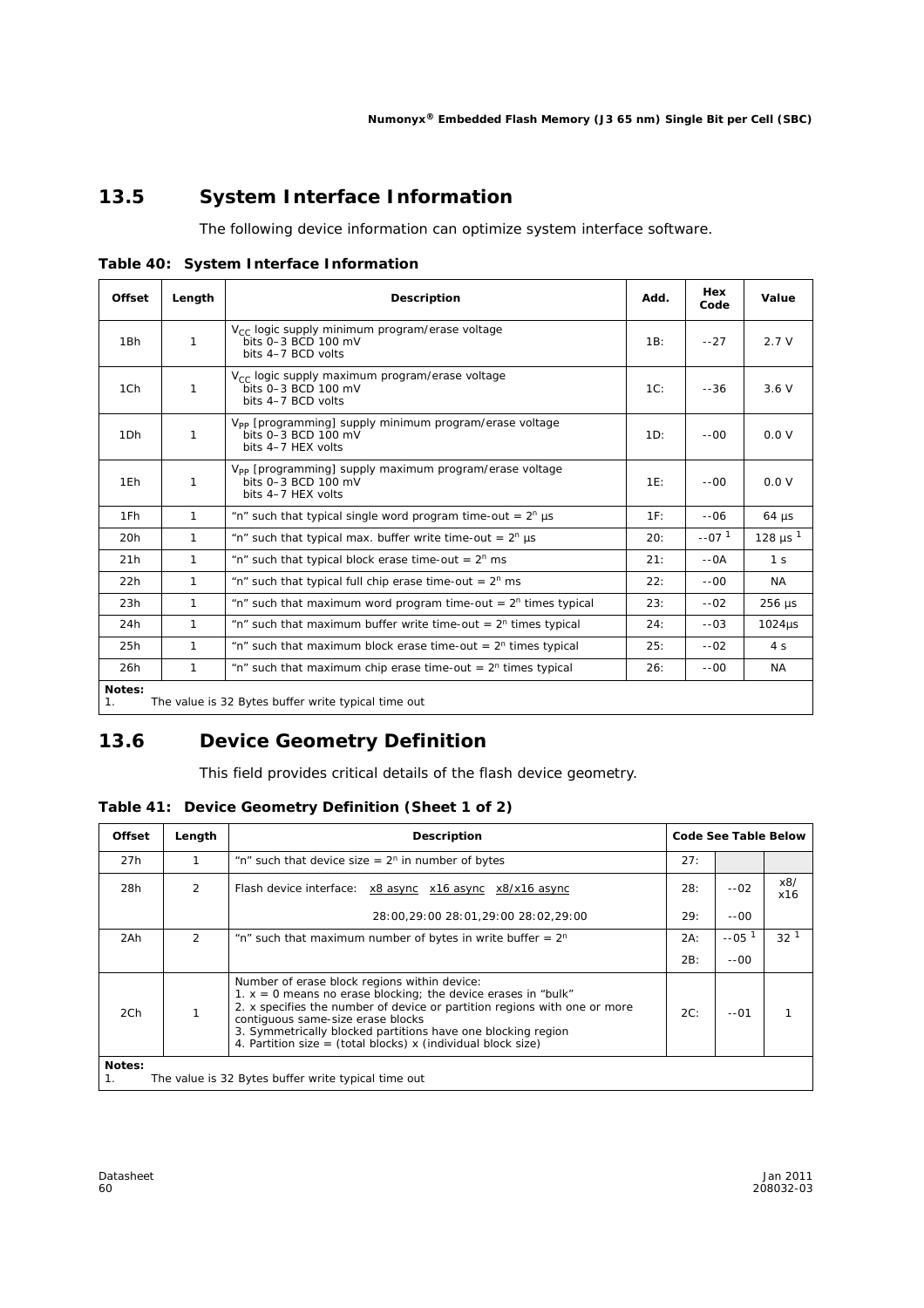### **13.5 System Interface Information**

The following device information can optimize system interface software.

**Table 40: System Interface Information**

| <b>Offset</b>   | Length                                              | <b>Description</b>                                                                                              | Add.   | Hex<br>Code | Value               |  |  |  |
|-----------------|-----------------------------------------------------|-----------------------------------------------------------------------------------------------------------------|--------|-------------|---------------------|--|--|--|
| 1Bh             | 1                                                   | $V_{\text{CC}}$ logic supply minimum program/erase voltage<br>bits 0-3 BCD 100 mV<br>bits 4-7 BCD volts         | 1B:    | $-27$       | 2.7V                |  |  |  |
| 1Ch             | 1                                                   | V <sub>CC</sub> logic supply maximum program/erase voltage<br>bits 0-3 BCD 100 mV<br>bits 4-7 BCD volts         | 1C:    | $-36$       | 3.6V                |  |  |  |
| 1 <sub>Dh</sub> | 1                                                   | V <sub>pp</sub> [programming] supply minimum program/erase voltage<br>bits 0-3 BCD 100 mV<br>bits 4-7 HEX volts | 1D:    | $-00 -$     | 0.0 V               |  |  |  |
| 1Eh             | 1                                                   | V <sub>PP</sub> [programming] supply maximum program/erase voltage<br>bits 0-3 BCD 100 mV<br>bits 4-7 HEX volts | $1E$ : | $-00 -$     | 0.0 V               |  |  |  |
| 1Fh             | 1                                                   | "n" such that typical single word program time-out = $2^n$ µs                                                   | 1F:    | $-06$       | $64 \mu s$          |  |  |  |
| 20h             | $\mathbf{1}$                                        | "n" such that typical max. buffer write time-out = $2^n$ µs                                                     | 20:    | $-071$      | 128 µs <sup>1</sup> |  |  |  |
| 21h             | $\mathbf{1}$                                        | "n" such that typical block erase time-out = $2^n$ ms                                                           | 21:    | $-0A$       | 1 <sub>s</sub>      |  |  |  |
| 22h             | 1                                                   | "n" such that typical full chip erase time-out = $2^n$ ms                                                       | 22:    | $-00 -$     | NA.                 |  |  |  |
| 23h             | 1                                                   | "n" such that maximum word program time-out = $2n$ times typical                                                | 23:    | $-.02$      | $256 \mu s$         |  |  |  |
| 24h             | 1                                                   | "n" such that maximum buffer write time-out = $2n$ times typical                                                | 24:    | $-.03$      | $1024\mu s$         |  |  |  |
| 25h             | $\mathbf{1}$                                        | "n" such that maximum block erase time-out = $2n$ times typical                                                 | 25:    | $-.02$      | 4 <sub>s</sub>      |  |  |  |
| 26h             | 1                                                   | "n" such that maximum chip erase time-out = $2n$ times typical                                                  | 26:    | $-00-$      | NA.                 |  |  |  |
| Notes:<br>1.    | The value is 32 Bytes buffer write typical time out |                                                                                                                 |        |             |                     |  |  |  |

### **13.6 Device Geometry Definition**

This field provides critical details of the flash device geometry.

| <b>Offset</b>                                                       | Length         | Description                                                                                                                                                                                                                                                                                                                                                                       | Code See Table Below |         |                 |
|---------------------------------------------------------------------|----------------|-----------------------------------------------------------------------------------------------------------------------------------------------------------------------------------------------------------------------------------------------------------------------------------------------------------------------------------------------------------------------------------|----------------------|---------|-----------------|
| 27h                                                                 |                | "n" such that device size = $2^n$ in number of bytes                                                                                                                                                                                                                                                                                                                              | 27:                  |         |                 |
| 28h                                                                 | $\overline{2}$ | Flash device interface: x8 async x16 async x8/x16 async                                                                                                                                                                                                                                                                                                                           | 28:                  | $-.02$  | x8/<br>x16      |
|                                                                     |                | 28:00,29:00 28:01,29:00 28:02,29:00                                                                                                                                                                                                                                                                                                                                               | 29:                  | $-00 -$ |                 |
| 2Ah                                                                 | 2              | "n" such that maximum number of bytes in write buffer $= 2^n$                                                                                                                                                                                                                                                                                                                     | 2A:                  | $-.051$ | 32 <sup>1</sup> |
|                                                                     |                |                                                                                                                                                                                                                                                                                                                                                                                   | 2B:                  | $-00 -$ |                 |
| 2Ch                                                                 |                | Number of erase block regions within device:<br>1. $x = 0$ means no erase blocking; the device erases in "bulk"<br>2. x specifies the number of device or partition regions with one or more<br>2C:<br>$-01$<br>contiguous same-size erase blocks<br>3. Symmetrically blocked partitions have one blocking region<br>4. Partition size = (total blocks) x (individual block size) |                      |         |                 |
| Notes:<br>The value is 32 Bytes buffer write typical time out<br>1. |                |                                                                                                                                                                                                                                                                                                                                                                                   |                      |         |                 |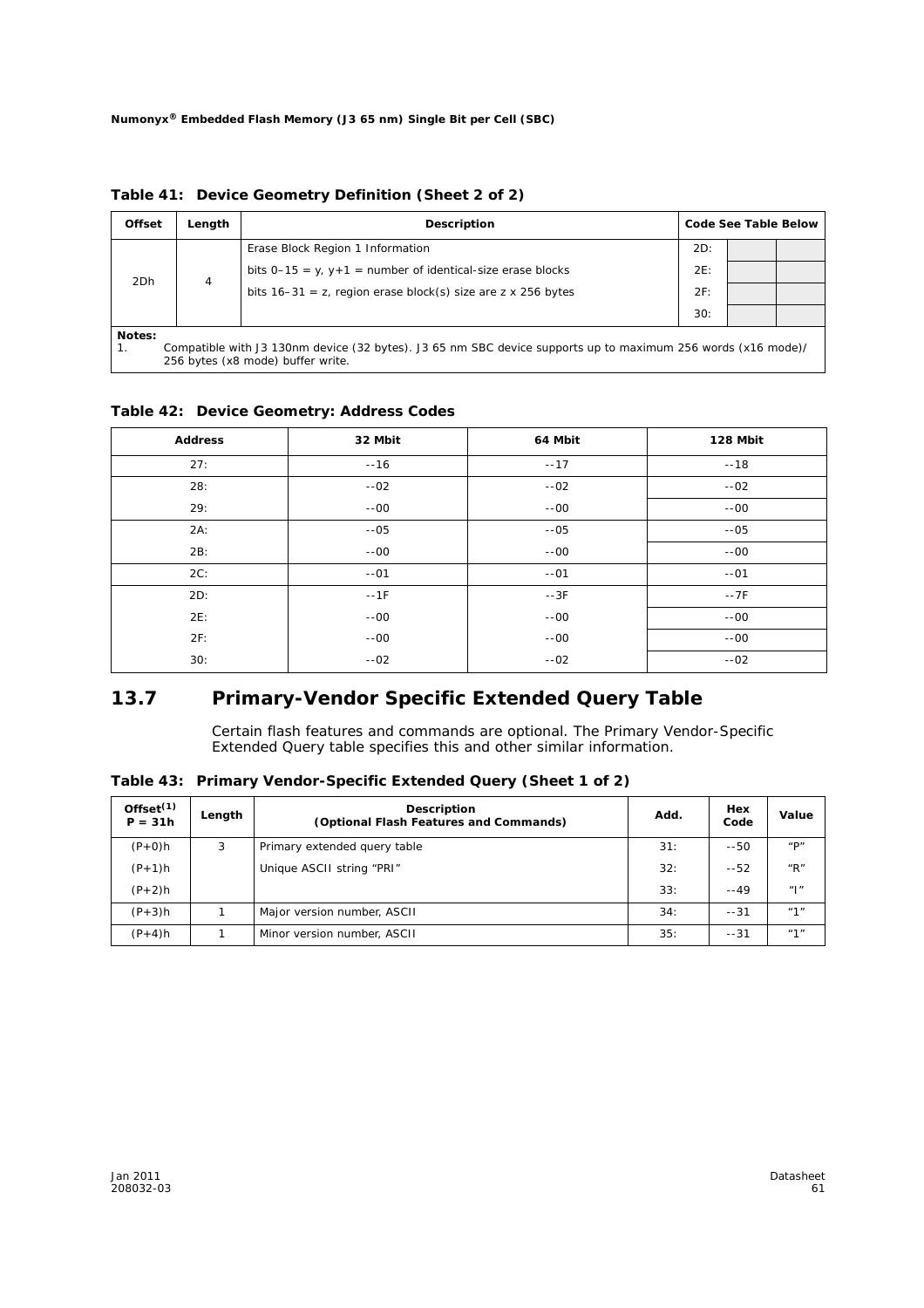| <b>Offset</b>                                                                                                                                                     | Length | <b>Description</b>                                              |     | Code See Table Below |  |
|-------------------------------------------------------------------------------------------------------------------------------------------------------------------|--------|-----------------------------------------------------------------|-----|----------------------|--|
|                                                                                                                                                                   |        | Erase Block Region 1 Information                                | 2D: |                      |  |
| 2Dh                                                                                                                                                               | 4      | bits $0-15 = y$ , $y+1$ = number of identical-size erase blocks | 2E: |                      |  |
|                                                                                                                                                                   |        | bits $16-31 = z$ , region erase block(s) size are z x 256 bytes | 2F: |                      |  |
|                                                                                                                                                                   |        |                                                                 | 30: |                      |  |
| Notes:<br>Compatible with J3 130nm device (32 bytes). J3 65 nm SBC device supports up to maximum 256 words (x16 mode)/<br>1.<br>256 bytes (x8 mode) buffer write. |        |                                                                 |     |                      |  |

**Table 41: Device Geometry Definition (Sheet 2 of 2)**

#### **Table 42: Device Geometry: Address Codes**

| <b>Address</b> | 32 Mbit | 64 Mbit | 128 Mbit |
|----------------|---------|---------|----------|
| 27:            | $-16$   | $-17$   | $-18$    |
| 28:            | $-02$   | $-02$   | $-02$    |
| 29:            | $-00 -$ | $-00 -$ | $-00 -$  |
| 2A:            | $-05$   | $-05$   | $-05$    |
| 2B:            | $-00 -$ | $-00$   | $-00 -$  |
| 2C:            | $-01$   | $-01$   | $-01$    |
| 2D:            | $-1F$   | $-3F$   | $-7F$    |
| 2E:            | $-00 -$ | $-00$   | $-00 -$  |
| 2F:            | $-00 -$ | $-00$   | $-00 -$  |
| 30:            | $-02$   | $-02$   | $-02$    |

### **13.7 Primary-Vendor Specific Extended Query Table**

Certain flash features and commands are optional. The *Primary Vendor-Specific Extended Query* table specifies this and other similar information.

**Table 43: Primary Vendor-Specific Extended Query (Sheet 1 of 2)**

| Offset <sup>(1)</sup><br>$P = 31h$ | Length | <b>Description</b><br>(Optional Flash Features and Commands) | Add. | Hex<br>Code | Value                                                    |
|------------------------------------|--------|--------------------------------------------------------------|------|-------------|----------------------------------------------------------|
| $(P+0)h$                           | 3      | Primary extended query table                                 | 31:  | $-50$       | $^{\prime\prime}$ D <sup><math>\prime\prime</math></sup> |
| $(P+1)h$                           |        | Unique ASCII string "PRI"                                    | 32:  | $-52$       | $^{\prime\prime}$ R $^{\prime\prime}$                    |
| $(P+2)h$                           |        |                                                              | 33:  | $-49$       | $"$  "                                                   |
| $(P+3)h$                           |        | Major version number, ASCII                                  | 34:  | $-31$       | "1"                                                      |
| $(P+4)h$                           |        | Minor version number, ASCII                                  | 35:  | $-31$       | "1"                                                      |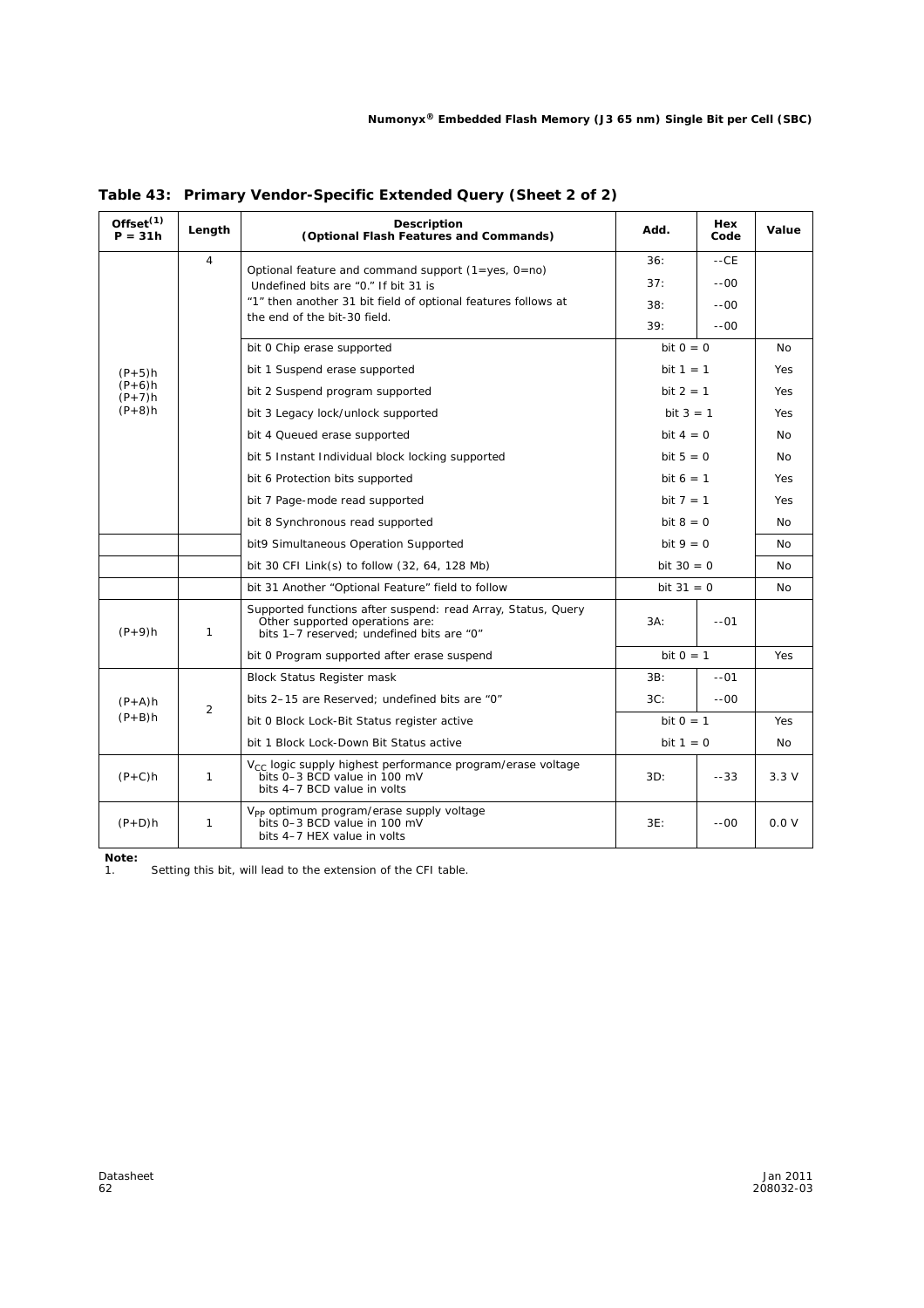| Offset $(1)$<br>$P = 31h$ | Length         | <b>Description</b><br>(Optional Flash Features and Commands)                                                                                 | Add.         | Hex<br>Code | Value          |
|---------------------------|----------------|----------------------------------------------------------------------------------------------------------------------------------------------|--------------|-------------|----------------|
|                           | $\overline{4}$ | Optional feature and command support (1=yes, 0=no)                                                                                           | 36:          | $-CE$       |                |
|                           |                | Undefined bits are "0." If bit 31 is                                                                                                         | 37:          | $-00 -$     |                |
|                           |                | "1" then another 31 bit field of optional features follows at                                                                                | 38:          | $-00 -$     |                |
|                           |                | the end of the bit-30 field.                                                                                                                 | 39:          | $-00 -$     |                |
|                           |                | bit 0 Chip erase supported                                                                                                                   | bit $0 = 0$  |             | N <sub>0</sub> |
| $(P+5)h$                  |                | bit 1 Suspend erase supported                                                                                                                | bit $1 = 1$  |             | <b>Yes</b>     |
| $(P+6)h$<br>$(P+7)h$      |                | bit 2 Suspend program supported                                                                                                              | $bit 2 = 1$  |             | Yes            |
| $(P+8)h$                  |                | bit 3 Legacy lock/unlock supported                                                                                                           | bit $3 = 1$  |             | Yes            |
|                           |                | bit 4 Queued erase supported                                                                                                                 | bit $4 = 0$  |             | N <sub>0</sub> |
|                           |                | bit 5 Instant Individual block locking supported                                                                                             | bit $5 = 0$  |             | <b>No</b>      |
|                           |                | bit 6 Protection bits supported                                                                                                              | bit $6 = 1$  |             | Yes            |
|                           |                | bit 7 Page-mode read supported                                                                                                               | bit $7 = 1$  |             | Yes            |
|                           |                | bit 8 Synchronous read supported                                                                                                             | bit $8 = 0$  |             | No.            |
|                           |                | bit9 Simultaneous Operation Supported                                                                                                        | bit $9 = 0$  |             | <b>No</b>      |
|                           |                | bit 30 CFI Link(s) to follow (32, 64, 128 Mb)                                                                                                | bit $30 = 0$ |             | N <sub>0</sub> |
|                           |                | bit 31 Another "Optional Feature" field to follow                                                                                            | bit $31 = 0$ |             | No             |
| $(P + 9)h$                | 1              | Supported functions after suspend: read Array, Status, Query<br>Other supported operations are:<br>bits 1-7 reserved: undefined bits are "0" | $3A$ :       | $-01$       |                |
|                           |                | bit 0 Program supported after erase suspend                                                                                                  | bit $0 = 1$  |             | Yes            |
|                           |                | <b>Block Status Register mask</b>                                                                                                            | 3B:          | $-01$       |                |
| $(P+A)h$                  |                | bits 2-15 are Reserved; undefined bits are "0"                                                                                               | 3C:          | $-00 -$     |                |
| $(P+B)h$                  | 2              | bit 0 Block Lock-Bit Status register active                                                                                                  | bit $0 = 1$  |             | Yes            |
|                           |                | bit 1 Block Lock-Down Bit Status active                                                                                                      | bit $1 = 0$  |             | No             |
| $(P+C)h$                  | $\mathbf{1}$   | V <sub>CC</sub> logic supply highest performance program/erase voltage<br>bits 0-3 BCD value in 100 mV<br>bits 4-7 BCD value in volts        | 3D:          | $-33$       | 3.3V           |
| $(P+D)h$                  | $\mathbf{1}$   | V <sub>pp</sub> optimum program/erase supply voltage<br>bits 0-3 BCD value in 100 mV<br>bits 4-7 HEX value in volts                          | 3E:          | $-00$       | 0.0 V          |

**Table 43: Primary Vendor-Specific Extended Query (Sheet 2 of 2)**

*Note:*

1. Setting this bit, will lead to the extension of the CFI table.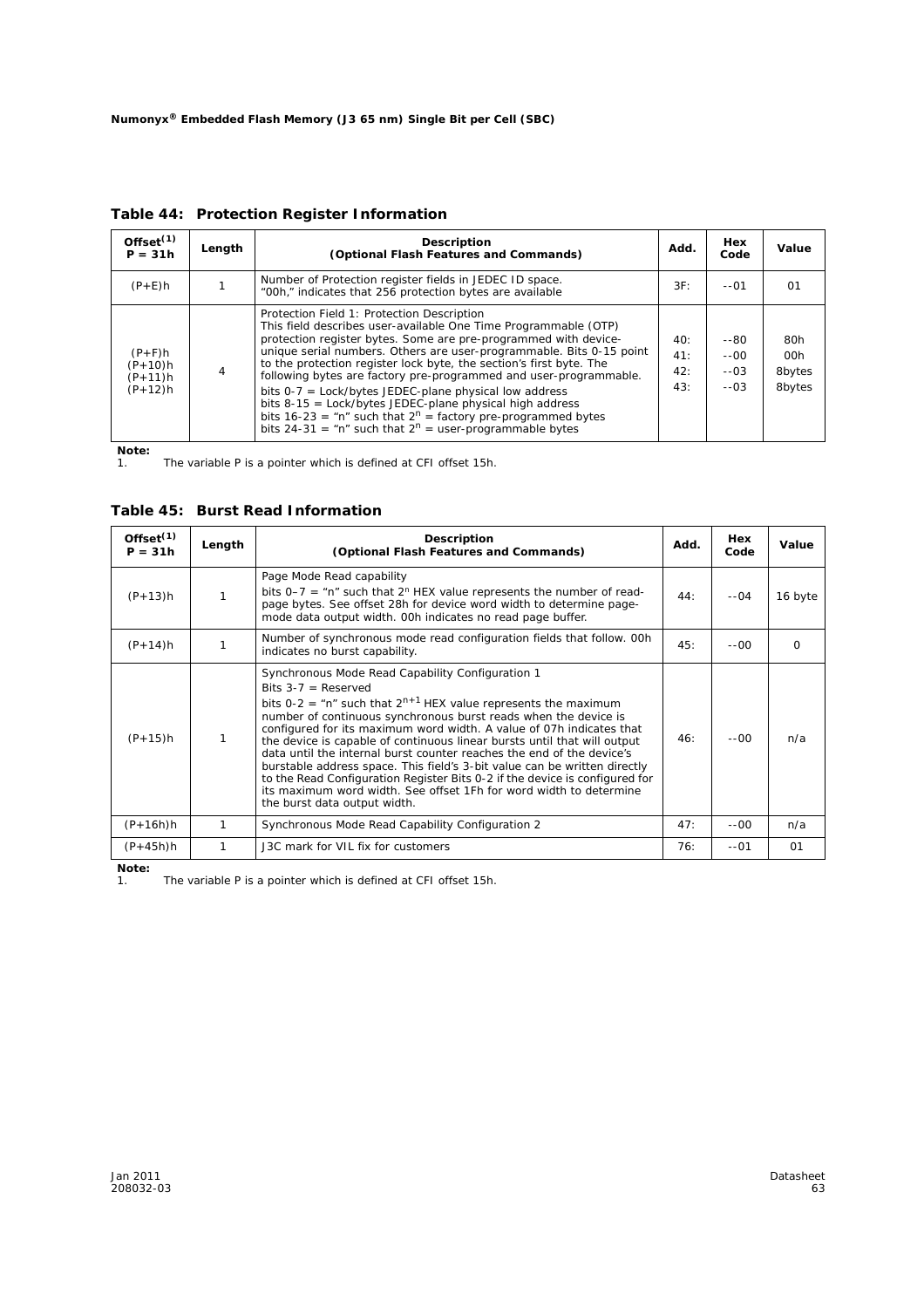| Offset $(1)$<br>$P = 31h$                       | Length | <b>Description</b><br>(Optional Flash Features and Commands)                                                                                                                                                                                                                                                                                                                                                                                                                                                                                                                                                                                                      | Add.                     | Hex<br>Code                      | Value                          |
|-------------------------------------------------|--------|-------------------------------------------------------------------------------------------------------------------------------------------------------------------------------------------------------------------------------------------------------------------------------------------------------------------------------------------------------------------------------------------------------------------------------------------------------------------------------------------------------------------------------------------------------------------------------------------------------------------------------------------------------------------|--------------------------|----------------------------------|--------------------------------|
| $(P+E)h$                                        |        | Number of Protection register fields in JEDEC ID space.<br>"00h," indicates that 256 protection bytes are available                                                                                                                                                                                                                                                                                                                                                                                                                                                                                                                                               | 3F:                      | $-01$                            | 01                             |
| $(P+F)h$<br>$(P+10)h$<br>$(P+11)h$<br>$(P+12)h$ |        | Protection Field 1: Protection Description<br>This field describes user-available One Time Programmable (OTP)<br>protection register bytes. Some are pre-programmed with device-<br>unique serial numbers. Others are user-programmable. Bits 0-15 point<br>to the protection register lock byte, the section's first byte. The<br>following bytes are factory pre-programmed and user-programmable.<br>bits $0-7$ = Lock/bytes JEDEC-plane physical low address<br>bits 8-15 = Lock/bytes JEDEC-plane physical high address<br>bits $16-23 =$ "n" such that $2^n =$ factory pre-programmed bytes<br>bits $24-31 = m^2$ such that $2^n =$ user-programmable bytes | 40:<br>41:<br>42:<br>43: | --80<br>$-00$<br>$-.03$<br>$-03$ | 80h<br>00h<br>8bytes<br>8bytes |

**Table 44: Protection Register Information**

*Note:*

1. The variable P is a pointer which is defined at CFI offset 15h.

**Table 45: Burst Read Information**

| Offset <sup>(1)</sup><br>$P = 31h$ | Length | <b>Description</b><br>(Optional Flash Features and Commands)                                                                                                                                                                                                                                                                                                                                                                                                                                                                                                                                                                                                                                                       | Add. | Hex<br>Code | Value    |
|------------------------------------|--------|--------------------------------------------------------------------------------------------------------------------------------------------------------------------------------------------------------------------------------------------------------------------------------------------------------------------------------------------------------------------------------------------------------------------------------------------------------------------------------------------------------------------------------------------------------------------------------------------------------------------------------------------------------------------------------------------------------------------|------|-------------|----------|
| $(P+13)h$                          |        | Page Mode Read capability<br>bits $0-7 =$ "n" such that 2 <sup>n</sup> HEX value represents the number of read-<br>page bytes. See offset 28h for device word width to determine page-<br>mode data output width. 00h indicates no read page buffer.                                                                                                                                                                                                                                                                                                                                                                                                                                                               | 44:  | $-04$       | 16 byte  |
| $(P+14)h$                          |        | Number of synchronous mode read configuration fields that follow. OOh<br>indicates no burst capability.                                                                                                                                                                                                                                                                                                                                                                                                                                                                                                                                                                                                            | 45:  | $-00 -$     | $\Omega$ |
| $(P+15)h$                          |        | Synchronous Mode Read Capability Configuration 1<br>Bits $3-7$ = Reserved<br>bits 0-2 = "n" such that $2^{n+1}$ HEX value represents the maximum<br>number of continuous synchronous burst reads when the device is<br>configured for its maximum word width. A value of 07h indicates that<br>the device is capable of continuous linear bursts until that will output<br>data until the internal burst counter reaches the end of the device's<br>burstable address space. This field's 3-bit value can be written directly<br>to the Read Configuration Register Bits 0-2 if the device is configured for<br>its maximum word width. See offset 1Fh for word width to determine<br>the burst data output width. | 46:  | $-00 -$     | n/a      |
| $(P+16h)h$                         | 1      | Synchronous Mode Read Capability Configuration 2                                                                                                                                                                                                                                                                                                                                                                                                                                                                                                                                                                                                                                                                   | 47:  | $-00$       | n/a      |
| $(P+45h)h$                         |        | J3C mark for VIL fix for customers                                                                                                                                                                                                                                                                                                                                                                                                                                                                                                                                                                                                                                                                                 | 76:  | $-01$       | 01       |

*Note:*

The variable P is a pointer which is defined at CFI offset 15h.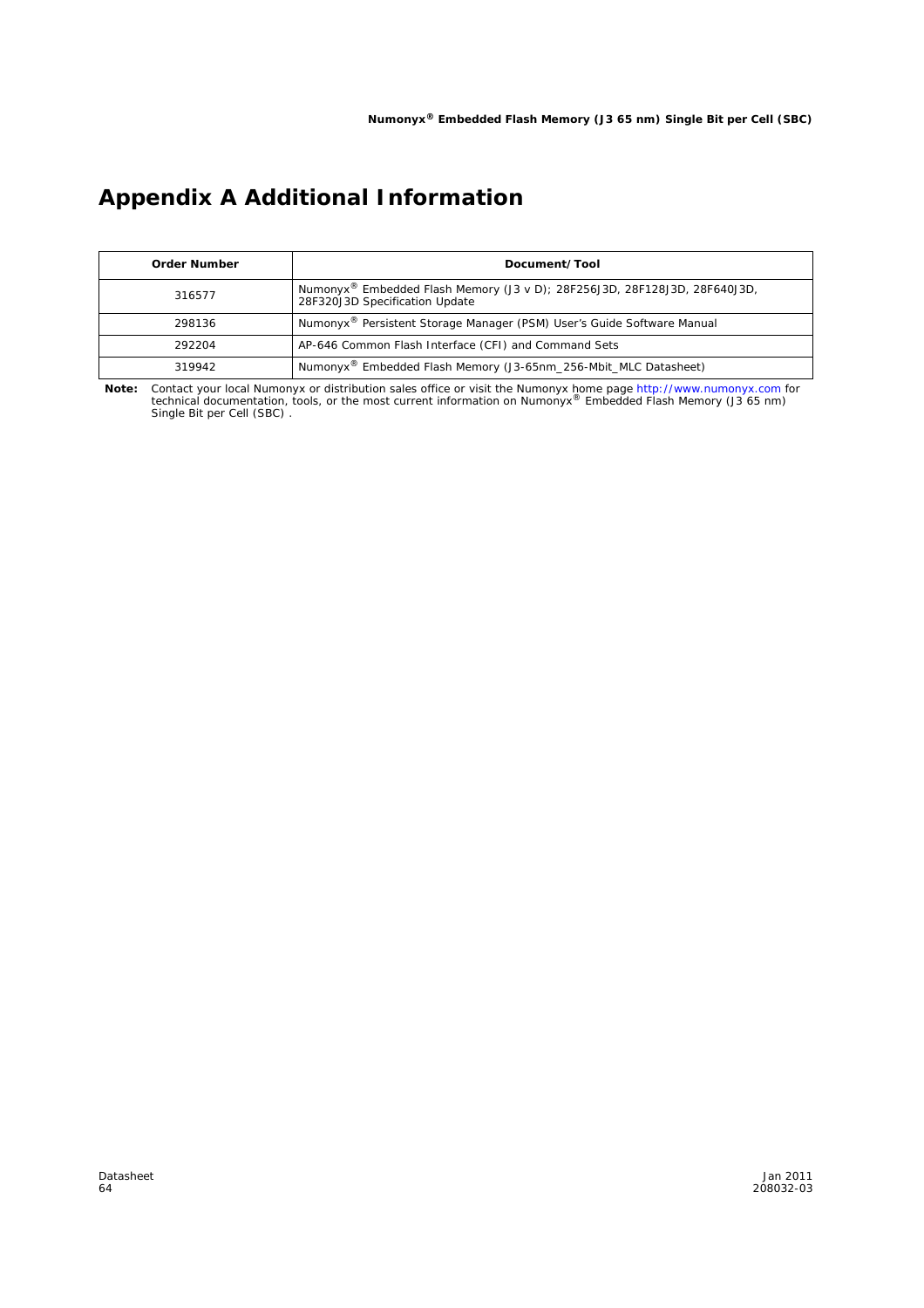# **Appendix A Additional Information**

| <b>Order Number</b> | Document/Tool                                                                                               |
|---------------------|-------------------------------------------------------------------------------------------------------------|
| 316577              | Numonyx® Embedded Flash Memory (J3 v D); 28F256J3D, 28F128J3D, 28F640J3D,<br>28F320J3D Specification Update |
| 298136              | Numonyx <sup>®</sup> Persistent Storage Manager (PSM) User's Guide Software Manual                          |
| 292204              | AP-646 Common Flash Interface (CFI) and Command Sets                                                        |
| 319942              | Numonyx <sup>®</sup> Embedded Flash Memory (J3-65nm 256-Mbit MLC Datasheet)                                 |

**Note:** Contact your local Numonyx or distribution sales office or visit the Numonyx home page http://www.numonyx.com for<br>technical documentation, tools, or the most current information on Numonyx® Embedded Flash Memory (J Single Bit per Cell (SBC) .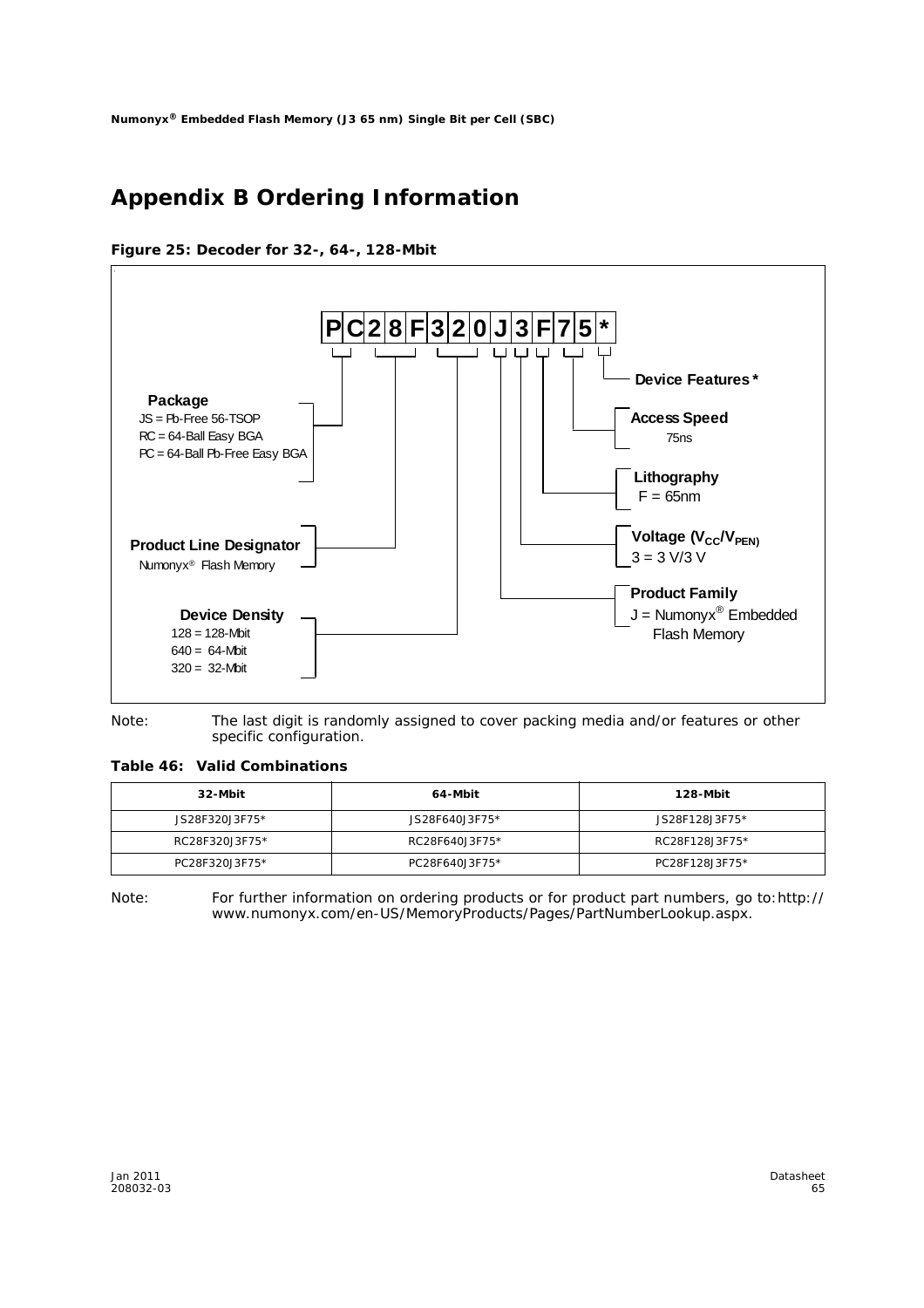# **Appendix B Ordering Information**

**Figure 25: Decoder for 32-, 64-, 128-Mbit**



*Note:* The last digit is randomly assigned to cover packing media and/or features or other specific configuration.

**Table 46: Valid Combinations** 

| 32-Mbit        | 64-Mbit        | 128-Mbit       |  |
|----------------|----------------|----------------|--|
| JS28F320J3F75* | JS28F640J3F75* | JS28F128J3F75* |  |
| RC28F320J3F75* | RC28F640J3F75* | RC28F128J3F75* |  |
| PC28F320J3F75* | PC28F640J3F75* | PC28F128J3F75* |  |

*Note:* For further information on ordering products or for product part numbers, go to:http:// www.numonyx.com/en-US/MemoryProducts/Pages/PartNumberLookup.aspx.